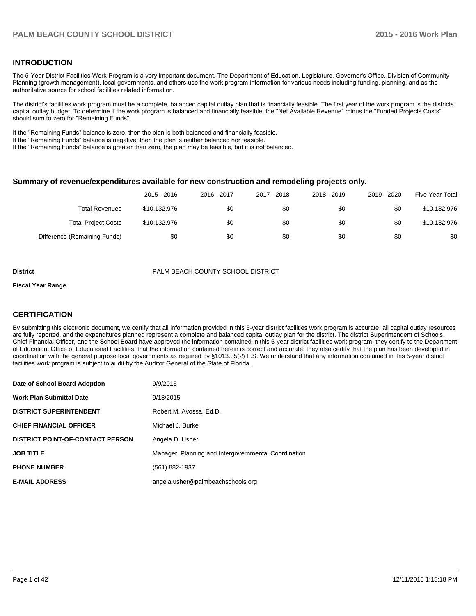#### **INTRODUCTION**

The 5-Year District Facilities Work Program is a very important document. The Department of Education, Legislature, Governor's Office, Division of Community Planning (growth management), local governments, and others use the work program information for various needs including funding, planning, and as the authoritative source for school facilities related information.

The district's facilities work program must be a complete, balanced capital outlay plan that is financially feasible. The first year of the work program is the districts capital outlay budget. To determine if the work program is balanced and financially feasible, the "Net Available Revenue" minus the "Funded Projects Costs" should sum to zero for "Remaining Funds".

If the "Remaining Funds" balance is zero, then the plan is both balanced and financially feasible.

If the "Remaining Funds" balance is negative, then the plan is neither balanced nor feasible.

If the "Remaining Funds" balance is greater than zero, the plan may be feasible, but it is not balanced.

#### **Summary of revenue/expenditures available for new construction and remodeling projects only.**

| Five Year Total | 2019 - 2020 | 2018 - 2019 | 2017 - 2018 | 2016 - 2017 | 2015 - 2016  |                              |
|-----------------|-------------|-------------|-------------|-------------|--------------|------------------------------|
| \$10,132,976    | \$0         | \$0         | \$0         | \$0         | \$10,132,976 | <b>Total Revenues</b>        |
| \$10,132,976    | \$0         | \$0         | \$0         | \$0         | \$10,132,976 | <b>Total Project Costs</b>   |
| \$0             | \$0         | \$0         | \$0         | \$0         | \$0          | Difference (Remaining Funds) |

**District** PALM BEACH COUNTY SCHOOL DISTRICT

#### **Fiscal Year Range**

#### **CERTIFICATION**

By submitting this electronic document, we certify that all information provided in this 5-year district facilities work program is accurate, all capital outlay resources are fully reported, and the expenditures planned represent a complete and balanced capital outlay plan for the district. The district Superintendent of Schools, Chief Financial Officer, and the School Board have approved the information contained in this 5-year district facilities work program; they certify to the Department of Education, Office of Educational Facilities, that the information contained herein is correct and accurate; they also certify that the plan has been developed in coordination with the general purpose local governments as required by §1013.35(2) F.S. We understand that any information contained in this 5-year district facilities work program is subject to audit by the Auditor General of the State of Florida.

| Date of School Board Adoption           | 9/9/2015                                             |
|-----------------------------------------|------------------------------------------------------|
| <b>Work Plan Submittal Date</b>         | 9/18/2015                                            |
| <b>DISTRICT SUPERINTENDENT</b>          | Robert M. Avossa, Ed.D.                              |
| <b>CHIEF FINANCIAL OFFICER</b>          | Michael J. Burke                                     |
| <b>DISTRICT POINT-OF-CONTACT PERSON</b> | Angela D. Usher                                      |
| <b>JOB TITLE</b>                        | Manager, Planning and Intergovernmental Coordination |
| <b>PHONE NUMBER</b>                     | (561) 882-1937                                       |
| <b>E-MAIL ADDRESS</b>                   | angela.usher@palmbeachschools.org                    |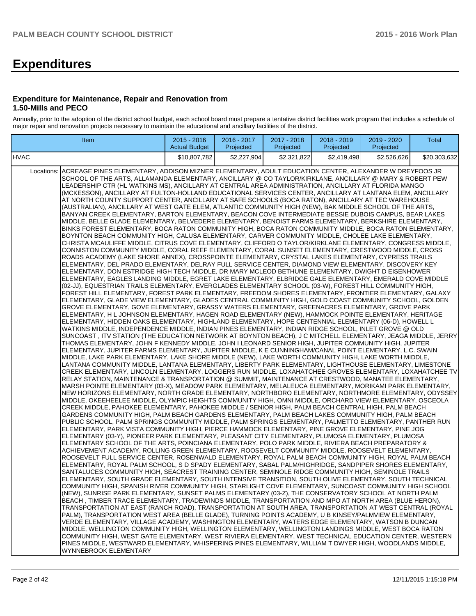## **Expenditures**

#### **Expenditure for Maintenance, Repair and Renovation from 1.50-Mills and PECO**

Annually, prior to the adoption of the district school budget, each school board must prepare a tentative district facilities work program that includes a schedule of major repair and renovation projects necessary to maintain the educational and ancillary facilities of the district.

| Item                                                                                                                                                                                                                                                                                                                                                                                                                                                                                                                                                                                                                                                                                                                                                                                                                                                                                                                                                                                                                                                                                                                                                                                                                                                                                                                                                                                                                                                                                                                                                                                                                                                                                                                                                                                                                                                                                                                                                                                                                                                                                                                                                                                                                                                                                                                                                                                                                                                                                                                                                                                                                                                                                                                                                                                                                                                                                                                                                                                                                                                                                                                                                                                                                                                                                                                                                                                                                                                                                                                                                                                                                                                                                                                                                                                                                                                                                                                                                                                                                                                                                                                                                                                                                                                                                                                                                                                                                                                                                                                                                                                                                                                                                                                                                                                                                                                                                                                                                                                                                                                                                                                                                                                                                                                                                                                                                                                                                                                                                                                                                                                                                                                                                                                                                                                                                        | $2015 - 2016$<br><b>Actual Budget</b> | 2016 - 2017<br>Projected | 2017 - 2018<br>Projected | 2018 - 2019<br>Projected | 2019 - 2020<br>Projected | <b>Total</b> |
|-----------------------------------------------------------------------------------------------------------------------------------------------------------------------------------------------------------------------------------------------------------------------------------------------------------------------------------------------------------------------------------------------------------------------------------------------------------------------------------------------------------------------------------------------------------------------------------------------------------------------------------------------------------------------------------------------------------------------------------------------------------------------------------------------------------------------------------------------------------------------------------------------------------------------------------------------------------------------------------------------------------------------------------------------------------------------------------------------------------------------------------------------------------------------------------------------------------------------------------------------------------------------------------------------------------------------------------------------------------------------------------------------------------------------------------------------------------------------------------------------------------------------------------------------------------------------------------------------------------------------------------------------------------------------------------------------------------------------------------------------------------------------------------------------------------------------------------------------------------------------------------------------------------------------------------------------------------------------------------------------------------------------------------------------------------------------------------------------------------------------------------------------------------------------------------------------------------------------------------------------------------------------------------------------------------------------------------------------------------------------------------------------------------------------------------------------------------------------------------------------------------------------------------------------------------------------------------------------------------------------------------------------------------------------------------------------------------------------------------------------------------------------------------------------------------------------------------------------------------------------------------------------------------------------------------------------------------------------------------------------------------------------------------------------------------------------------------------------------------------------------------------------------------------------------------------------------------------------------------------------------------------------------------------------------------------------------------------------------------------------------------------------------------------------------------------------------------------------------------------------------------------------------------------------------------------------------------------------------------------------------------------------------------------------------------------------------------------------------------------------------------------------------------------------------------------------------------------------------------------------------------------------------------------------------------------------------------------------------------------------------------------------------------------------------------------------------------------------------------------------------------------------------------------------------------------------------------------------------------------------------------------------------------------------------------------------------------------------------------------------------------------------------------------------------------------------------------------------------------------------------------------------------------------------------------------------------------------------------------------------------------------------------------------------------------------------------------------------------------------------------------------------------------------------------------------------------------------------------------------------------------------------------------------------------------------------------------------------------------------------------------------------------------------------------------------------------------------------------------------------------------------------------------------------------------------------------------------------------------------------------------------------------------------------------------------------------------------------------------------------------------------------------------------------------------------------------------------------------------------------------------------------------------------------------------------------------------------------------------------------------------------------------------------------------------------------------------------------------------------------------------------------------------------------------------------------------|---------------------------------------|--------------------------|--------------------------|--------------------------|--------------------------|--------------|
| <b>HVAC</b>                                                                                                                                                                                                                                                                                                                                                                                                                                                                                                                                                                                                                                                                                                                                                                                                                                                                                                                                                                                                                                                                                                                                                                                                                                                                                                                                                                                                                                                                                                                                                                                                                                                                                                                                                                                                                                                                                                                                                                                                                                                                                                                                                                                                                                                                                                                                                                                                                                                                                                                                                                                                                                                                                                                                                                                                                                                                                                                                                                                                                                                                                                                                                                                                                                                                                                                                                                                                                                                                                                                                                                                                                                                                                                                                                                                                                                                                                                                                                                                                                                                                                                                                                                                                                                                                                                                                                                                                                                                                                                                                                                                                                                                                                                                                                                                                                                                                                                                                                                                                                                                                                                                                                                                                                                                                                                                                                                                                                                                                                                                                                                                                                                                                                                                                                                                                                 | \$10,807,782                          | \$2,227,904              | \$2,321,822              | \$2,419,498              | \$2.526.626              | \$20,303,632 |
| Locations:<br>ACREAGE PINES ELEMENTARY, ADDISON MIZNER ELEMENTARY, ADULT EDUCATION CENTER, ALEXANDER W DREYFOOS JR<br>SCHOOL OF THE ARTS, ALLAMANDA ELEMENTARY, ANCILLARY @ CO TAYLOR/KIRKLANE, ANCILLARY @ MARY & ROBERT PEW<br>LEADERSHIP CTR (HL WATKINS MS), ANCILLARY AT CENTRAL AREA ADMINISTRATION, ANCILLARY AT FLORIDA MANGO<br>(MCKESSON), ANCILLARY AT FULTON-HOLLAND EDUCATIONAL SERVICES CENTER, ANCILLARY AT LANTANA ELEM, ANCILLARY<br>AT NORTH COUNTY SUPPORT CENTER, ANCILLARY AT SAFE SCHOOLS (BOCA RATON), ANCILLARY AT TEC WAREHOUSE<br>(AUSTRALIAN), ANCILLARY AT WEST GATE ELEM, ATLANTIC COMMUNITY HIGH (NEW), BAK MIDDLE SCHOOL OF THE ARTS,<br>BANYAN CREEK ELEMENTARY, BARTON ELEMENTARY, BEACON COVE INTERMEDIATE BESSIE DUBOIS CAMPUS, BEAR LAKES<br>MIDDLE, BELLE GLADE ELEMENTARY, BELVEDERE ELEMENTARY, BENOIST FARMS ELEMENTARY, BERKSHIRE ELEMENTARY,<br>BINKS FOREST ELEMENTARY, BOCA RATON COMMUNITY HIGH, BOCA RATON COMMUNITY MIDDLE, BOCA RATON ELEMENTARY,<br>BOYNTON BEACH COMMUNITY HIGH, CALUSA ELEMENTARY, CARVER COMMUNITY MIDDLE, CHOLEE LAKE ELEMENTARY,<br>CHRISTA MCAULIFFE MIDDLE, CITRUS COVE ELEMENTARY, CLIFFORD O TAYLOR/KIRKLANE ELEMENTARY, CONGRESS MIDDLE,<br>CONNISTON COMMUNITY MIDDLE, CORAL REEF ELEMENTARY, CORAL SUNSET ELEMENTARY, CRESTWOOD MIDDLE, CROSS<br>ROADS ACADEMY (LAKE SHORE ANNEX), CROSSPOINTE ELEMENTARY, CRYSTAL LAKES ELEMENTARY, CYPRESS TRAILS<br>ELEMENTARY, DEL PRADO ELEMENTARY, DELRAY FULL SERVICE CENTER, DIAMOND VIEW ELEMENTARY, DISCOVERY KEY<br>ELEMENTARY, DON ESTRIDGE HIGH TECH MIDDLE, DR MARY MCLEOD BETHUNE ELEMENTARY, DWIGHT D EISENHOWER<br>ELEMENTARY, EAGLES LANDING MIDDLE, EGRET LAKE ELEMENTARY, ELBRIDGE GALE ELEMENTARY, EMERALD COVE MIDDLE<br>(02-JJ), EQUESTRIAN TRAILS ELEMENTARY, EVERGLADES ELEMENTARY SCHOOL (03-W), FOREST HILL COMMUNITY HIGH,<br>FOREST HILL ELEMENTARY, FOREST PARK ELEMENTARY, FREEDOM SHORES ELEMENTARY, FRONTIER ELEMENTARY, GALAXY<br>ELEMENTARY, GLADE VIEW ELEMENTARY, GLADES CENTRAL COMMUNITY HIGH, GOLD COAST COMMUNITY SCHOOL, GOLDEN<br>GROVE ELEMENTARY, GOVE ELEMENTARY, GRASSY WATERS ELEMENTARY, GREENACRES ELEMENTARY, GROVE PARK<br>ELEMENTARY, H L JOHNSON ELEMENTARY, HAGEN ROAD ELEMENTARY (NEW), HAMMOCK POINTE ELEMENTARY, HERITAGE<br>ELEMENTARY, HIDDEN OAKS ELEMENTARY, HIGHLAND ELEMENTARY, HOPE CENTENNIAL ELEMENTARY (06-D), HOWELL L<br>WATKINS MIDDLE, INDEPENDENCE MIDDLE, INDIAN PINES ELEMENTARY, INDIAN RIDGE SCHOOL, INLET GROVE @ OLD<br>SUNCOAST, ITV STATION (THE EDUCATION NETWORK AT BOYNTON BEACH), J C MITCHELL ELEMENTARY, JEAGA MIDDLE, JERRY<br>THOMAS ELEMENTARY, JOHN F KENNEDY MIDDLE, JOHN I LEONARD SENIOR HIGH, JUPITER COMMUNITY HIGH, JUPITER<br>ELEMENTARY, JUPITER FARMS ELEMENTARY, JUPITER MIDDLE, K E CUNNINGHAM/CANAL POINT ELEMENTARY, L.C. SWAIN<br>MIDDLE, LAKE PARK ELEMENTARY, LAKE SHORE MIDDLE (NEW), LAKE WORTH COMMUNITY HIGH, LAKE WORTH MIDDLE,<br>LANTANA COMMUNITY MIDDLE, LANTANA ELEMENTARY, LIBERTY PARK ELEMENTARY, LIGHTHOUSE ELEMENTARY, LIMESTONE<br>CREEK ELEMENTARY, LINCOLN ELEMENTARY, LOGGERS RUN MIDDLE, LOXAHATCHEE GROVES ELEMENTARY, LOXAHATCHEE TV<br>RELAY STATION, MAINTENANCE & TRANSPORTATION @ SUMMIT, MAINTENANCE AT CRESTWOOD, MANATEE ELEMENTARY,<br>MARSH POINTE ELEMENTARY (03-X), MEADOW PARK ELEMENTARY, MELALEUCA ELEMENTARY, MORIKAMI PARK ELEMENTARY,<br>NEW HORIZONS ELEMENTARY, NORTH GRADE ELEMENTARY, NORTHBORO ELEMENTARY, NORTHMORE ELEMENTARY, ODYSSEY<br>MIDDLE, OKEEHEELEE MIDDLE, OLYMPIC HEIGHTS COMMUNITY HIGH, OMNI MIDDLE, ORCHARD VIEW ELEMENTARY, OSCEOLA<br>CREEK MIDDLE, PAHOKEE ELEMENTARY, PAHOKEE MIDDLE / SENIOR HIGH, PALM BEACH CENTRAL HIGH, PALM BEACH<br>GARDENS COMMUNITY HIGH, PALM BEACH GARDENS ELEMENTARY, PALM BEACH LAKES COMMUNITY HIGH, PALM BEACH<br>PUBLIC SCHOOL, PALM SPRINGS COMMUNITY MIDDLE, PALM SPRINGS ELEMENTARY, PALMETTO ELEMENTARY, PANTHER RUN<br>ELEMENTARY, PARK VISTA COMMUNITY HIGH, PIERCE HAMMOCK ELEMENTARY, PINE GROVE ELEMENTARY, PINE JOG<br>ELEMENTARY (03-Y), PIONEER PARK ELEMENTARY, PLEASANT CITY ELEMENTARY, PLUMOSA ELEMENTARY, PLUMOSA<br>ELEMENTARY SCHOOL OF THE ARTS, POINCIANA ELEMENTARY, POLO PARK MIDDLE, RIVIERA BEACH PREPARATORY &<br>ACHIEVEMENT ACADEMY, ROLLING GREEN ELEMENTARY, ROOSEVELT COMMUNITY MIDDLE, ROOSEVELT ELEMENTARY,<br>ROOSEVELT FULL SERVICE CENTER, ROSENWALD ELEMENTARY, ROYAL PALM BEACH COMMUNITY HIGH, ROYAL PALM BEACH<br>ELEMENTARY, ROYAL PALM SCHOOL, S D SPADY ELEMENTARY, SABAL PALM/HIGHRIDGE, SANDPIPER SHORES ELEMENTARY,<br>SANTALUCES COMMUNITY HIGH, SEACREST TRAINING CENTER, SEMINOLE RIDGE COMMUNITY HIGH, SEMINOLE TRAILS<br>ELEMENTARY, SOUTH GRADE ELEMENTARY, SOUTH INTENSIVE TRANSITION, SOUTH OLIVE ELEMENTARY, SOUTH TECHNICAL<br>COMMUNITY HIGH, SPANISH RIVER COMMUNITY HIGH, STARLIGHT COVE ELEMENTARY, SUNCOAST COMMUNITY HIGH SCHOOL<br>(NEW), SUNRISE PARK ELEMENTARY, SUNSET PALMS ELEMENTARY (03-Z), THE CONSERVATORY SCHOOL AT NORTH PALM<br>BEACH, TIMBER TRACE ELEMENTARY, TRADEWINDS MIDDLE, TRANSPORTATION AND MPO AT NORTH AREA (BLUE HERON),<br>TRANSPORTATION AT EAST (RANCH ROAD), TRANSPORTATION AT SOUTH AREA, TRANSPORTATION AT WEST CENTRAL (ROYAL<br>PALM), TRANSPORTATION WEST AREA (BELLE GLADE), TURNING POINTS ACADEMY, U B KINSEY/PALMVIEW ELEMENTARY,<br>VERDE ELEMENTARY, VILLAGE ACADEMY, WASHINGTON ELEMENTARY, WATERS EDGE ELEMENTARY, WATSON B DUNCAN<br>MIDDLE, WELLINGTON COMMUNITY HIGH, WELLINGTON ELEMENTARY, WELLINGTON LANDINGS MIDDLE, WEST BOCA RATON<br>COMMUNITY HIGH, WEST GATE ELEMENTARY, WEST RIVIERA ELEMENTARY, WEST TECHNICAL EDUCATION CENTER, WESTERN<br>PINES MIDDLE, WESTWARD ELEMENTARY, WHISPERING PINES ELEMENTARY, WILLIAM T DWYER HIGH, WOODLANDS MIDDLE,<br>WYNNEBROOK ELEMENTARY |                                       |                          |                          |                          |                          |              |
|                                                                                                                                                                                                                                                                                                                                                                                                                                                                                                                                                                                                                                                                                                                                                                                                                                                                                                                                                                                                                                                                                                                                                                                                                                                                                                                                                                                                                                                                                                                                                                                                                                                                                                                                                                                                                                                                                                                                                                                                                                                                                                                                                                                                                                                                                                                                                                                                                                                                                                                                                                                                                                                                                                                                                                                                                                                                                                                                                                                                                                                                                                                                                                                                                                                                                                                                                                                                                                                                                                                                                                                                                                                                                                                                                                                                                                                                                                                                                                                                                                                                                                                                                                                                                                                                                                                                                                                                                                                                                                                                                                                                                                                                                                                                                                                                                                                                                                                                                                                                                                                                                                                                                                                                                                                                                                                                                                                                                                                                                                                                                                                                                                                                                                                                                                                                                             |                                       |                          |                          |                          |                          |              |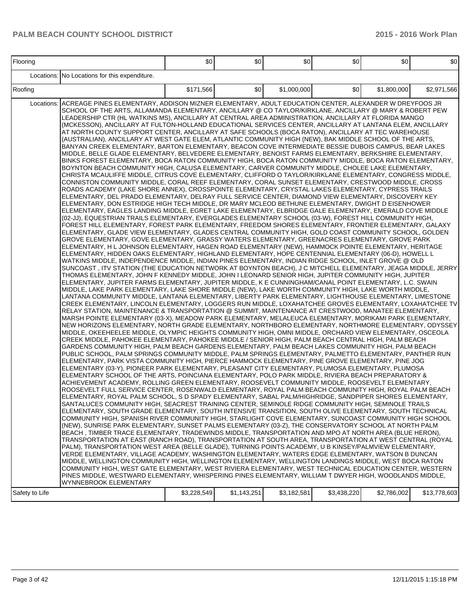| Flooring       |                                                                                                                                                                                                                                                                                                                                                                                                                                                                                                                                                                                                                                                                                                                                                                                                                                                                                                                                                                                                                                                                                                                                                                                                                                                                                                                                                                                                                                                                                                                                                                                                                                                                                                                                                                                                                                                                                                                                                                                                                                                                                                                                                                                                                                                                                                                                                                                                                                                                                                                                                                                                                                                                                                                                                                                                                                                                                                                                                                                                                                                                                                                                                                                                                                                                                                                                                                                                                                                                                                                                                                                                                                                                                                                                                                                                                                                                                                                                                                                                                                                                                                                                                                                                                                                                                                                                                                                                                                                                                                                                                                                                                                                                                                                                                                                                                                                                                                                                                                                                                                                                                                                                                                                                                                                                                                                                                                                                                                                                                                                                                                                                                                                                                                                                                                                                               | \$0         | \$0         | \$0         | \$0         | \$0         | \$0          |
|----------------|---------------------------------------------------------------------------------------------------------------------------------------------------------------------------------------------------------------------------------------------------------------------------------------------------------------------------------------------------------------------------------------------------------------------------------------------------------------------------------------------------------------------------------------------------------------------------------------------------------------------------------------------------------------------------------------------------------------------------------------------------------------------------------------------------------------------------------------------------------------------------------------------------------------------------------------------------------------------------------------------------------------------------------------------------------------------------------------------------------------------------------------------------------------------------------------------------------------------------------------------------------------------------------------------------------------------------------------------------------------------------------------------------------------------------------------------------------------------------------------------------------------------------------------------------------------------------------------------------------------------------------------------------------------------------------------------------------------------------------------------------------------------------------------------------------------------------------------------------------------------------------------------------------------------------------------------------------------------------------------------------------------------------------------------------------------------------------------------------------------------------------------------------------------------------------------------------------------------------------------------------------------------------------------------------------------------------------------------------------------------------------------------------------------------------------------------------------------------------------------------------------------------------------------------------------------------------------------------------------------------------------------------------------------------------------------------------------------------------------------------------------------------------------------------------------------------------------------------------------------------------------------------------------------------------------------------------------------------------------------------------------------------------------------------------------------------------------------------------------------------------------------------------------------------------------------------------------------------------------------------------------------------------------------------------------------------------------------------------------------------------------------------------------------------------------------------------------------------------------------------------------------------------------------------------------------------------------------------------------------------------------------------------------------------------------------------------------------------------------------------------------------------------------------------------------------------------------------------------------------------------------------------------------------------------------------------------------------------------------------------------------------------------------------------------------------------------------------------------------------------------------------------------------------------------------------------------------------------------------------------------------------------------------------------------------------------------------------------------------------------------------------------------------------------------------------------------------------------------------------------------------------------------------------------------------------------------------------------------------------------------------------------------------------------------------------------------------------------------------------------------------------------------------------------------------------------------------------------------------------------------------------------------------------------------------------------------------------------------------------------------------------------------------------------------------------------------------------------------------------------------------------------------------------------------------------------------------------------------------------------------------------------------------------------------------------------------------------------------------------------------------------------------------------------------------------------------------------------------------------------------------------------------------------------------------------------------------------------------------------------------------------------------------------------------------------------------------------------------------------------------------------------------------------------------------------|-------------|-------------|-------------|-------------|-------------|--------------|
|                | Locations: No Locations for this expenditure.                                                                                                                                                                                                                                                                                                                                                                                                                                                                                                                                                                                                                                                                                                                                                                                                                                                                                                                                                                                                                                                                                                                                                                                                                                                                                                                                                                                                                                                                                                                                                                                                                                                                                                                                                                                                                                                                                                                                                                                                                                                                                                                                                                                                                                                                                                                                                                                                                                                                                                                                                                                                                                                                                                                                                                                                                                                                                                                                                                                                                                                                                                                                                                                                                                                                                                                                                                                                                                                                                                                                                                                                                                                                                                                                                                                                                                                                                                                                                                                                                                                                                                                                                                                                                                                                                                                                                                                                                                                                                                                                                                                                                                                                                                                                                                                                                                                                                                                                                                                                                                                                                                                                                                                                                                                                                                                                                                                                                                                                                                                                                                                                                                                                                                                                                                 |             |             |             |             |             |              |
| Roofing        |                                                                                                                                                                                                                                                                                                                                                                                                                                                                                                                                                                                                                                                                                                                                                                                                                                                                                                                                                                                                                                                                                                                                                                                                                                                                                                                                                                                                                                                                                                                                                                                                                                                                                                                                                                                                                                                                                                                                                                                                                                                                                                                                                                                                                                                                                                                                                                                                                                                                                                                                                                                                                                                                                                                                                                                                                                                                                                                                                                                                                                                                                                                                                                                                                                                                                                                                                                                                                                                                                                                                                                                                                                                                                                                                                                                                                                                                                                                                                                                                                                                                                                                                                                                                                                                                                                                                                                                                                                                                                                                                                                                                                                                                                                                                                                                                                                                                                                                                                                                                                                                                                                                                                                                                                                                                                                                                                                                                                                                                                                                                                                                                                                                                                                                                                                                                               | \$171,566   | \$0         | \$1,000,000 | \$0         | \$1,800,000 | \$2,971,566  |
| Locations:     | ACREAGE PINES ELEMENTARY, ADDISON MIZNER ELEMENTARY, ADULT EDUCATION CENTER, ALEXANDER W DREYFOOS JR<br>SCHOOL OF THE ARTS, ALLAMANDA ELEMENTARY, ANCILLARY @ CO TAYLOR/KIRKLANE, ANCILLARY @ MARY & ROBERT PEW<br>LEADERSHIP CTR (HL WATKINS MS), ANCILLARY AT CENTRAL AREA ADMINISTRATION, ANCILLARY AT FLORIDA MANGO<br>(MCKESSON), ANCILLARY AT FULTON-HOLLAND EDUCATIONAL SERVICES CENTER, ANCILLARY AT LANTANA ELEM, ANCILLARY<br>AT NORTH COUNTY SUPPORT CENTER, ANCILLARY AT SAFE SCHOOLS (BOCA RATON), ANCILLARY AT TEC WAREHOUSE<br>(AUSTRALIAN), ANCILLARY AT WEST GATE ELEM, ATLANTIC COMMUNITY HIGH (NEW), BAK MIDDLE SCHOOL OF THE ARTS,<br>BANYAN CREEK ELEMENTARY, BARTON ELEMENTARY, BEACON COVE INTERMEDIATE BESSIE DUBOIS CAMPUS, BEAR LAKES<br>MIDDLE, BELLE GLADE ELEMENTARY, BELVEDERE ELEMENTARY, BENOIST FARMS ELEMENTARY, BERKSHIRE ELEMENTARY,<br>BINKS FOREST ELEMENTARY, BOCA RATON COMMUNITY HIGH, BOCA RATON COMMUNITY MIDDLE, BOCA RATON ELEMENTARY,<br>BOYNTON BEACH COMMUNITY HIGH, CALUSA ELEMENTARY, CARVER COMMUNITY MIDDLE, CHOLEE LAKE ELEMENTARY,<br>CHRISTA MCAULIFFE MIDDLE, CITRUS COVE ELEMENTARY, CLIFFORD O TAYLOR/KIRKLANE ELEMENTARY, CONGRESS MIDDLE,<br>CONNISTON COMMUNITY MIDDLE, CORAL REEF ELEMENTARY, CORAL SUNSET ELEMENTARY, CRESTWOOD MIDDLE, CROSS<br>ROADS ACADEMY (LAKE SHORE ANNEX), CROSSPOINTE ELEMENTARY, CRYSTAL LAKES ELEMENTARY, CYPRESS TRAILS<br>ELEMENTARY, DEL PRADO ELEMENTARY, DELRAY FULL SERVICE CENTER, DIAMOND VIEW ELEMENTARY, DISCOVERY KEY<br>ELEMENTARY, DON ESTRIDGE HIGH TECH MIDDLE, DR MARY MCLEOD BETHUNE ELEMENTARY, DWIGHT D EISENHOWER<br>ELEMENTARY, EAGLES LANDING MIDDLE, EGRET LAKE ELEMENTARY, ELBRIDGE GALE ELEMENTARY, EMERALD COVE MIDDLE<br>(02-JJ), EQUESTRIAN TRAILS ELEMENTARY, EVERGLADES ELEMENTARY SCHOOL (03-W), FOREST HILL COMMUNITY HIGH,<br>FOREST HILL ELEMENTARY, FOREST PARK ELEMENTARY, FREEDOM SHORES ELEMENTARY, FRONTIER ELEMENTARY, GALAXY<br>ELEMENTARY, GLADE VIEW ELEMENTARY, GLADES CENTRAL COMMUNITY HIGH, GOLD COAST COMMUNITY SCHOOL, GOLDEN<br>GROVE ELEMENTARY, GOVE ELEMENTARY, GRASSY WATERS ELEMENTARY, GREENACRES ELEMENTARY, GROVE PARK<br>ELEMENTARY, H L JOHNSON ELEMENTARY, HAGEN ROAD ELEMENTARY (NEW), HAMMOCK POINTE ELEMENTARY, HERITAGE<br>ELEMENTARY, HIDDEN OAKS ELEMENTARY, HIGHLAND ELEMENTARY, HOPE CENTENNIAL ELEMENTARY (06-D), HOWELL L<br>WATKINS MIDDLE, INDEPENDENCE MIDDLE, INDIAN PINES ELEMENTARY, INDIAN RIDGE SCHOOL, INLET GROVE @ OLD<br>SUNCOAST, ITV STATION (THE EDUCATION NETWORK AT BOYNTON BEACH), J C MITCHELL ELEMENTARY, JEAGA MIDDLE, JERRY<br>THOMAS ELEMENTARY. JOHN F KENNEDY MIDDLE. JOHN I LEONARD SENIOR HIGH. JUPITER COMMUNITY HIGH. JUPITER<br>ELEMENTARY, JUPITER FARMS ELEMENTARY, JUPITER MIDDLE, K E CUNNINGHAM/CANAL POINT ELEMENTARY, L.C. SWAIN<br>MIDDLE, LAKE PARK ELEMENTARY, LAKE SHORE MIDDLE (NEW), LAKE WORTH COMMUNITY HIGH, LAKE WORTH MIDDLE,<br>LANTANA COMMUNITY MIDDLE, LANTANA ELEMENTARY, LIBERTY PARK ELEMENTARY, LIGHTHOUSE ELEMENTARY, LIMESTONE<br>CREEK ELEMENTARY, LINCOLN ELEMENTARY, LOGGERS RUN MIDDLE, LOXAHATCHEE GROVES ELEMENTARY, LOXAHATCHEE TV<br>RELAY STATION, MAINTENANCE & TRANSPORTATION @ SUMMIT, MAINTENANCE AT CRESTWOOD, MANATEE ELEMENTARY,<br>MARSH POINTE ELEMENTARY (03-X), MEADOW PARK ELEMENTARY, MELALEUCA ELEMENTARY, MORIKAMI PARK ELEMENTARY,<br>NEW HORIZONS ELEMENTARY, NORTH GRADE ELEMENTARY, NORTHBORO ELEMENTARY, NORTHMORE ELEMENTARY, ODYSSEY<br>MIDDLE, OKEEHEELEE MIDDLE, OLYMPIC HEIGHTS COMMUNITY HIGH, OMNI MIDDLE, ORCHARD VIEW ELEMENTARY, OSCEOLA<br>CREEK MIDDLE, PAHOKEE ELEMENTARY, PAHOKEE MIDDLE / SENIOR HIGH, PALM BEACH CENTRAL HIGH, PALM BEACH<br>GARDENS COMMUNITY HIGH, PALM BEACH GARDENS ELEMENTARY, PALM BEACH LAKES COMMUNITY HIGH, PALM BEACH<br>PUBLIC SCHOOL, PALM SPRINGS COMMUNITY MIDDLE, PALM SPRINGS ELEMENTARY, PALMETTO ELEMENTARY, PANTHER RUN<br>ELEMENTARY, PARK VISTA COMMUNITY HIGH, PIERCE HAMMOCK ELEMENTARY, PINE GROVE ELEMENTARY, PINE JOG<br>ELEMENTARY (03-Y), PIONEER PARK ELEMENTARY, PLEASANT CITY ELEMENTARY, PLUMOSA ELEMENTARY, PLUMOSA<br>ELEMENTARY SCHOOL OF THE ARTS, POINCIANA ELEMENTARY, POLO PARK MIDDLE, RIVIERA BEACH PREPARATORY &<br>ACHIEVEMENT ACADEMY, ROLLING GREEN ELEMENTARY, ROOSEVELT COMMUNITY MIDDLE, ROOSEVELT ELEMENTARY,<br>ROOSEVELT FULL SERVICE CENTER, ROSENWALD ELEMENTARY, ROYAL PALM BEACH COMMUNITY HIGH, ROYAL PALM BEACH<br>ELEMENTARY, ROYAL PALM SCHOOL, S D SPADY ELEMENTARY, SABAL PALM/HIGHRIDGE, SANDPIPER SHORES ELEMENTARY,<br>SANTALUCES COMMUNITY HIGH, SEACREST TRAINING CENTER, SEMINOLE RIDGE COMMUNITY HIGH, SEMINOLE TRAILS<br>ELEMENTARY, SOUTH GRADE ELEMENTARY, SOUTH INTENSIVE TRANSITION, SOUTH OLIVE ELEMENTARY, SOUTH TECHNICAL<br>COMMUNITY HIGH, SPANISH RIVER COMMUNITY HIGH, STARLIGHT COVE ELEMENTARY, SUNCOAST COMMUNITY HIGH SCHOOL<br>(NEW), SUNRISE PARK ELEMENTARY, SUNSET PALMS ELEMENTARY (03-Z), THE CONSERVATORY SCHOOL AT NORTH PALM<br>BEACH, TIMBER TRACE ELEMENTARY, TRADEWINDS MIDDLE, TRANSPORTATION AND MPO AT NORTH AREA (BLUE HERON).<br>TRANSPORTATION AT EAST (RANCH ROAD), TRANSPORTATION AT SOUTH AREA, TRANSPORTATION AT WEST CENTRAL (ROYAL<br>PALM), TRANSPORTATION WEST AREA (BELLE GLADE), TURNING POINTS ACADEMY, U B KINSEY/PALMVIEW ELEMENTARY,<br>VERDE ELEMENTARY, VILLAGE ACADEMY, WASHINGTON ELEMENTARY, WATERS EDGE ELEMENTARY, WATSON B DUNCAN<br>MIDDLE, WELLINGTON COMMUNITY HIGH, WELLINGTON ELEMENTARY, WELLINGTON LANDINGS MIDDLE, WEST BOCA RATON<br>COMMUNITY HIGH, WEST GATE ELEMENTARY, WEST RIVIERA ELEMENTARY, WEST TECHNICAL EDUCATION CENTER, WESTERN<br>PINES MIDDLE, WESTWARD ELEMENTARY, WHISPERING PINES ELEMENTARY, WILLIAM T DWYER HIGH, WOODLANDS MIDDLE,<br>WYNNEBROOK ELEMENTARY |             |             |             |             |             |              |
| Safety to Life |                                                                                                                                                                                                                                                                                                                                                                                                                                                                                                                                                                                                                                                                                                                                                                                                                                                                                                                                                                                                                                                                                                                                                                                                                                                                                                                                                                                                                                                                                                                                                                                                                                                                                                                                                                                                                                                                                                                                                                                                                                                                                                                                                                                                                                                                                                                                                                                                                                                                                                                                                                                                                                                                                                                                                                                                                                                                                                                                                                                                                                                                                                                                                                                                                                                                                                                                                                                                                                                                                                                                                                                                                                                                                                                                                                                                                                                                                                                                                                                                                                                                                                                                                                                                                                                                                                                                                                                                                                                                                                                                                                                                                                                                                                                                                                                                                                                                                                                                                                                                                                                                                                                                                                                                                                                                                                                                                                                                                                                                                                                                                                                                                                                                                                                                                                                                               | \$3,228,549 | \$1,143,251 | \$3,182,581 | \$3,438,220 | \$2,786,002 | \$13,778,603 |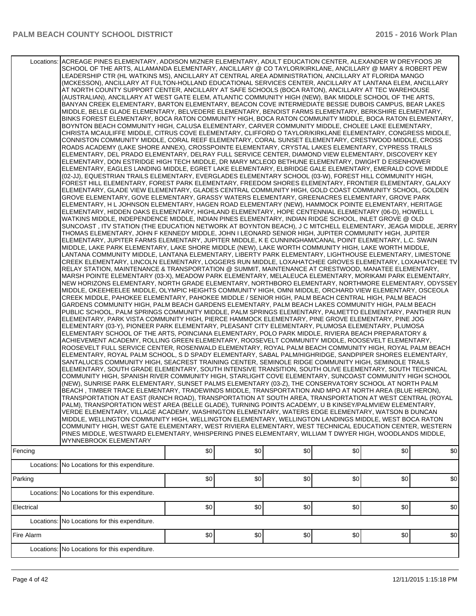| Fencing    | Locations: ACREAGE PINES ELEMENTARY, ADDISON MIZNER ELEMENTARY, ADULT EDUCATION CENTER, ALEXANDER W DREYFOOS JR<br>SCHOOL OF THE ARTS, ALLAMANDA ELEMENTARY, ANCILLARY @ CO TAYLOR/KIRKLANE, ANCILLARY @ MARY & ROBERT PEW<br>LEADERSHIP CTR (HL WATKINS MS), ANCILLARY AT CENTRAL AREA ADMINISTRATION, ANCILLARY AT FLORIDA MANGO<br>(MCKESSON), ANCILLARY AT FULTON-HOLLAND EDUCATIONAL SERVICES CENTER, ANCILLARY AT LANTANA ELEM, ANCILLARY<br>AT NORTH COUNTY SUPPORT CENTER, ANCILLARY AT SAFE SCHOOLS (BOCA RATON), ANCILLARY AT TEC WAREHOUSE<br>(AUSTRALIAN), ANCILLARY AT WEST GATE ELEM, ATLANTIC COMMUNITY HIGH (NEW), BAK MIDDLE SCHOOL OF THE ARTS,<br>BANYAN CREEK ELEMENTARY, BARTON ELEMENTARY, BEACON COVE INTERMEDIATE BESSIE DUBOIS CAMPUS, BEAR LAKES<br>MIDDLE, BELLE GLADE ELEMENTARY, BELVEDERE ELEMENTARY, BENOIST FARMS ELEMENTARY, BERKSHIRE ELEMENTARY,<br>BINKS FOREST ELEMENTARY, BOCA RATON COMMUNITY HIGH, BOCA RATON COMMUNITY MIDDLE, BOCA RATON ELEMENTARY,<br>BOYNTON BEACH COMMUNITY HIGH, CALUSA ELEMENTARY, CARVER COMMUNITY MIDDLE, CHOLEE LAKE ELEMENTARY,<br>CHRISTA MCAULIFFE MIDDLE, CITRUS COVE ELEMENTARY, CLIFFORD O TAYLOR/KIRKLANE ELEMENTARY, CONGRESS MIDDLE,<br>CONNISTON COMMUNITY MIDDLE, CORAL REEF ELEMENTARY, CORAL SUNSET ELEMENTARY, CRESTWOOD MIDDLE, CROSS<br>ROADS ACADEMY (LAKE SHORE ANNEX), CROSSPOINTE ELEMENTARY, CRYSTAL LAKES ELEMENTARY, CYPRESS TRAILS<br>ELEMENTARY, DEL PRADO ELEMENTARY, DELRAY FULL SERVICE CENTER, DIAMOND VIEW ELEMENTARY, DISCOVERY KEY<br>ELEMENTARY, DON ESTRIDGE HIGH TECH MIDDLE, DR MARY MCLEOD BETHUNE ELEMENTARY, DWIGHT D EISENHOWER<br>ELEMENTARY, EAGLES LANDING MIDDLE, EGRET LAKE ELEMENTARY, ELBRIDGE GALE ELEMENTARY, EMERALD COVE MIDDLE<br>(02-JJ), EQUESTRIAN TRAILS ELEMENTARY, EVERGLADES ELEMENTARY SCHOOL (03-W), FOREST HILL COMMUNITY HIGH,<br>FOREST HILL ELEMENTARY, FOREST PARK ELEMENTARY, FREEDOM SHORES ELEMENTARY, FRONTIER ELEMENTARY, GALAXY<br>ELEMENTARY, GLADE VIEW ELEMENTARY, GLADES CENTRAL COMMUNITY HIGH, GOLD COAST COMMUNITY SCHOOL, GOLDEN<br>GROVE ELEMENTARY, GOVE ELEMENTARY, GRASSY WATERS ELEMENTARY, GREENACRES ELEMENTARY, GROVE PARK<br>ELEMENTARY, H L JOHNSON ELEMENTARY, HAGEN ROAD ELEMENTARY (NEW), HAMMOCK POINTE ELEMENTARY, HERITAGE<br>ELEMENTARY, HIDDEN OAKS ELEMENTARY, HIGHLAND ELEMENTARY, HOPE CENTENNIAL ELEMENTARY (06-D), HOWELL L<br>WATKINS MIDDLE, INDEPENDENCE MIDDLE, INDIAN PINES ELEMENTARY, INDIAN RIDGE SCHOOL, INLET GROVE @ OLD<br>SUNCOAST, ITV STATION (THE EDUCATION NETWORK AT BOYNTON BEACH), J C MITCHELL ELEMENTARY, JEAGA MIDDLE, JERRY<br>THOMAS ELEMENTARY. JOHN F KENNEDY MIDDLE. JOHN I LEONARD SENIOR HIGH. JUPITER COMMUNITY HIGH. JUPITER<br>ELEMENTARY, JUPITER FARMS ELEMENTARY, JUPITER MIDDLE, K E CUNNINGHAM/CANAL POINT ELEMENTARY, L.C. SWAIN<br>MIDDLE, LAKE PARK ELEMENTARY, LAKE SHORE MIDDLE (NEW), LAKE WORTH COMMUNITY HIGH, LAKE WORTH MIDDLE,<br>LANTANA COMMUNITY MIDDLE, LANTANA ELEMENTARY, LIBERTY PARK ELEMENTARY, LIGHTHOUSE ELEMENTARY, LIMESTONE<br>CREEK ELEMENTARY, LINCOLN ELEMENTARY, LOGGERS RUN MIDDLE, LOXAHATCHEE GROVES ELEMENTARY, LOXAHATCHEE TV<br>RELAY STATION, MAINTENANCE & TRANSPORTATION @ SUMMIT, MAINTENANCE AT CRESTWOOD, MANATEE ELEMENTARY,<br>MARSH POINTE ELEMENTARY (03-X), MEADOW PARK ELEMENTARY, MELALEUCA ELEMENTARY, MORIKAMI PARK ELEMENTARY,<br>NEW HORIZONS ELEMENTARY, NORTH GRADE ELEMENTARY, NORTHBORO ELEMENTARY, NORTHMORE ELEMENTARY, ODYSSEY<br>MIDDLE, OKEEHEELEE MIDDLE, OLYMPIC HEIGHTS COMMUNITY HIGH, OMNI MIDDLE, ORCHARD VIEW ELEMENTARY, OSCEOLA<br>CREEK MIDDLE, PAHOKEE ELEMENTARY, PAHOKEE MIDDLE / SENIOR HIGH, PALM BEACH CENTRAL HIGH, PALM BEACH<br>GARDENS COMMUNITY HIGH, PALM BEACH GARDENS ELEMENTARY, PALM BEACH LAKES COMMUNITY HIGH, PALM BEACH<br>PUBLIC SCHOOL, PALM SPRINGS COMMUNITY MIDDLE, PALM SPRINGS ELEMENTARY, PALMETTO ELEMENTARY, PANTHER RUN<br>ELEMENTARY, PARK VISTA COMMUNITY HIGH, PIERCE HAMMOCK ELEMENTARY, PINE GROVE ELEMENTARY, PINE JOG<br>ELEMENTARY (03-Y), PIONEER PARK ELEMENTARY, PLEASANT CITY ELEMENTARY, PLUMOSA ELEMENTARY, PLUMOSA<br>ELEMENTARY SCHOOL OF THE ARTS, POINCIANA ELEMENTARY, POLO PARK MIDDLE, RIVIERA BEACH PREPARATORY &<br>ACHIEVEMENT ACADEMY, ROLLING GREEN ELEMENTARY, ROOSEVELT COMMUNITY MIDDLE, ROOSEVELT ELEMENTARY,<br>ROOSEVELT FULL SERVICE CENTER, ROSENWALD ELEMENTARY, ROYAL PALM BEACH COMMUNITY HIGH, ROYAL PALM BEACH<br>ELEMENTARY, ROYAL PALM SCHOOL, S D SPADY ELEMENTARY, SABAL PALM/HIGHRIDGE, SANDPIPER SHORES ELEMENTARY,<br>SANTALUCES COMMUNITY HIGH, SEACREST TRAINING CENTER, SEMINOLE RIDGE COMMUNITY HIGH, SEMINOLE TRAILS<br>ELEMENTARY, SOUTH GRADE ELEMENTARY, SOUTH INTENSIVE TRANSITION, SOUTH OLIVE ELEMENTARY, SOUTH TECHNICAL<br>COMMUNITY HIGH, SPANISH RIVER COMMUNITY HIGH, STARLIGHT COVE ELEMENTARY, SUNCOAST COMMUNITY HIGH SCHOOL<br>(NEW), SUNRISE PARK ELEMENTARY, SUNSET PALMS ELEMENTARY (03-Z), THE CONSERVATORY SCHOOL AT NORTH PALM<br>BEACH, TIMBER TRACE ELEMENTARY, TRADEWINDS MIDDLE, TRANSPORTATION AND MPO AT NORTH AREA (BLUE HERON),<br>TRANSPORTATION AT EAST (RANCH ROAD), TRANSPORTATION AT SOUTH AREA, TRANSPORTATION AT WEST CENTRAL (ROYAL<br>PALM), TRANSPORTATION WEST AREA (BELLE GLADE), TURNING POINTS ACADEMY, U B KINSEY/PALMVIEW ELEMENTARY,<br>VERDE ELEMENTARY, VILLAGE ACADEMY, WASHINGTON ELEMENTARY, WATERS EDGE ELEMENTARY, WATSON B DUNCAN<br>MIDDLE, WELLINGTON COMMUNITY HIGH, WELLINGTON ELEMENTARY, WELLINGTON LANDINGS MIDDLE, WEST BOCA RATON<br>COMMUNITY HIGH, WEST GATE ELEMENTARY, WEST RIVIERA ELEMENTARY, WEST TECHNICAL EDUCATION CENTER, WESTERN<br>PINES MIDDLE, WESTWARD ELEMENTARY, WHISPERING PINES ELEMENTARY, WILLIAM T DWYER HIGH, WOODLANDS MIDDLE,<br>WYNNEBROOK ELEMENTARY | \$0 | \$0 | \$0 | \$0 | \$0 | \$0 |
|------------|--------------------------------------------------------------------------------------------------------------------------------------------------------------------------------------------------------------------------------------------------------------------------------------------------------------------------------------------------------------------------------------------------------------------------------------------------------------------------------------------------------------------------------------------------------------------------------------------------------------------------------------------------------------------------------------------------------------------------------------------------------------------------------------------------------------------------------------------------------------------------------------------------------------------------------------------------------------------------------------------------------------------------------------------------------------------------------------------------------------------------------------------------------------------------------------------------------------------------------------------------------------------------------------------------------------------------------------------------------------------------------------------------------------------------------------------------------------------------------------------------------------------------------------------------------------------------------------------------------------------------------------------------------------------------------------------------------------------------------------------------------------------------------------------------------------------------------------------------------------------------------------------------------------------------------------------------------------------------------------------------------------------------------------------------------------------------------------------------------------------------------------------------------------------------------------------------------------------------------------------------------------------------------------------------------------------------------------------------------------------------------------------------------------------------------------------------------------------------------------------------------------------------------------------------------------------------------------------------------------------------------------------------------------------------------------------------------------------------------------------------------------------------------------------------------------------------------------------------------------------------------------------------------------------------------------------------------------------------------------------------------------------------------------------------------------------------------------------------------------------------------------------------------------------------------------------------------------------------------------------------------------------------------------------------------------------------------------------------------------------------------------------------------------------------------------------------------------------------------------------------------------------------------------------------------------------------------------------------------------------------------------------------------------------------------------------------------------------------------------------------------------------------------------------------------------------------------------------------------------------------------------------------------------------------------------------------------------------------------------------------------------------------------------------------------------------------------------------------------------------------------------------------------------------------------------------------------------------------------------------------------------------------------------------------------------------------------------------------------------------------------------------------------------------------------------------------------------------------------------------------------------------------------------------------------------------------------------------------------------------------------------------------------------------------------------------------------------------------------------------------------------------------------------------------------------------------------------------------------------------------------------------------------------------------------------------------------------------------------------------------------------------------------------------------------------------------------------------------------------------------------------------------------------------------------------------------------------------------------------------------------------------------------------------------------------------------------------------------------------------------------------------------------------------------------------------------------------------------------------------------------------------------------------------------------------------------------------------------------------------------------------------------------------------------------------------------------------------------------------------------------------------------------------------------------------------------|-----|-----|-----|-----|-----|-----|
|            |                                                                                                                                                                                                                                                                                                                                                                                                                                                                                                                                                                                                                                                                                                                                                                                                                                                                                                                                                                                                                                                                                                                                                                                                                                                                                                                                                                                                                                                                                                                                                                                                                                                                                                                                                                                                                                                                                                                                                                                                                                                                                                                                                                                                                                                                                                                                                                                                                                                                                                                                                                                                                                                                                                                                                                                                                                                                                                                                                                                                                                                                                                                                                                                                                                                                                                                                                                                                                                                                                                                                                                                                                                                                                                                                                                                                                                                                                                                                                                                                                                                                                                                                                                                                                                                                                                                                                                                                                                                                                                                                                                                                                                                                                                                                                                                                                                                                                                                                                                                                                                                                                                                                                                                                                                                                                                                                                                                                                                                                                                                                                                                                                                                                                                                                                                                                                          |     |     |     |     |     |     |
|            | Locations: No Locations for this expenditure.                                                                                                                                                                                                                                                                                                                                                                                                                                                                                                                                                                                                                                                                                                                                                                                                                                                                                                                                                                                                                                                                                                                                                                                                                                                                                                                                                                                                                                                                                                                                                                                                                                                                                                                                                                                                                                                                                                                                                                                                                                                                                                                                                                                                                                                                                                                                                                                                                                                                                                                                                                                                                                                                                                                                                                                                                                                                                                                                                                                                                                                                                                                                                                                                                                                                                                                                                                                                                                                                                                                                                                                                                                                                                                                                                                                                                                                                                                                                                                                                                                                                                                                                                                                                                                                                                                                                                                                                                                                                                                                                                                                                                                                                                                                                                                                                                                                                                                                                                                                                                                                                                                                                                                                                                                                                                                                                                                                                                                                                                                                                                                                                                                                                                                                                                                            |     |     |     |     |     |     |
| Parking    | Locations: No Locations for this expenditure.                                                                                                                                                                                                                                                                                                                                                                                                                                                                                                                                                                                                                                                                                                                                                                                                                                                                                                                                                                                                                                                                                                                                                                                                                                                                                                                                                                                                                                                                                                                                                                                                                                                                                                                                                                                                                                                                                                                                                                                                                                                                                                                                                                                                                                                                                                                                                                                                                                                                                                                                                                                                                                                                                                                                                                                                                                                                                                                                                                                                                                                                                                                                                                                                                                                                                                                                                                                                                                                                                                                                                                                                                                                                                                                                                                                                                                                                                                                                                                                                                                                                                                                                                                                                                                                                                                                                                                                                                                                                                                                                                                                                                                                                                                                                                                                                                                                                                                                                                                                                                                                                                                                                                                                                                                                                                                                                                                                                                                                                                                                                                                                                                                                                                                                                                                            | \$0 | \$0 | \$0 | \$0 | \$0 | \$0 |
| Electrical |                                                                                                                                                                                                                                                                                                                                                                                                                                                                                                                                                                                                                                                                                                                                                                                                                                                                                                                                                                                                                                                                                                                                                                                                                                                                                                                                                                                                                                                                                                                                                                                                                                                                                                                                                                                                                                                                                                                                                                                                                                                                                                                                                                                                                                                                                                                                                                                                                                                                                                                                                                                                                                                                                                                                                                                                                                                                                                                                                                                                                                                                                                                                                                                                                                                                                                                                                                                                                                                                                                                                                                                                                                                                                                                                                                                                                                                                                                                                                                                                                                                                                                                                                                                                                                                                                                                                                                                                                                                                                                                                                                                                                                                                                                                                                                                                                                                                                                                                                                                                                                                                                                                                                                                                                                                                                                                                                                                                                                                                                                                                                                                                                                                                                                                                                                                                                          | \$0 | \$0 | \$0 | \$0 | \$0 | \$0 |
|            | Locations: No Locations for this expenditure.                                                                                                                                                                                                                                                                                                                                                                                                                                                                                                                                                                                                                                                                                                                                                                                                                                                                                                                                                                                                                                                                                                                                                                                                                                                                                                                                                                                                                                                                                                                                                                                                                                                                                                                                                                                                                                                                                                                                                                                                                                                                                                                                                                                                                                                                                                                                                                                                                                                                                                                                                                                                                                                                                                                                                                                                                                                                                                                                                                                                                                                                                                                                                                                                                                                                                                                                                                                                                                                                                                                                                                                                                                                                                                                                                                                                                                                                                                                                                                                                                                                                                                                                                                                                                                                                                                                                                                                                                                                                                                                                                                                                                                                                                                                                                                                                                                                                                                                                                                                                                                                                                                                                                                                                                                                                                                                                                                                                                                                                                                                                                                                                                                                                                                                                                                            |     |     |     |     |     |     |
| Fire Alarm |                                                                                                                                                                                                                                                                                                                                                                                                                                                                                                                                                                                                                                                                                                                                                                                                                                                                                                                                                                                                                                                                                                                                                                                                                                                                                                                                                                                                                                                                                                                                                                                                                                                                                                                                                                                                                                                                                                                                                                                                                                                                                                                                                                                                                                                                                                                                                                                                                                                                                                                                                                                                                                                                                                                                                                                                                                                                                                                                                                                                                                                                                                                                                                                                                                                                                                                                                                                                                                                                                                                                                                                                                                                                                                                                                                                                                                                                                                                                                                                                                                                                                                                                                                                                                                                                                                                                                                                                                                                                                                                                                                                                                                                                                                                                                                                                                                                                                                                                                                                                                                                                                                                                                                                                                                                                                                                                                                                                                                                                                                                                                                                                                                                                                                                                                                                                                          | \$0 | \$0 | \$0 | \$0 | \$0 | \$0 |
|            | Locations: No Locations for this expenditure.                                                                                                                                                                                                                                                                                                                                                                                                                                                                                                                                                                                                                                                                                                                                                                                                                                                                                                                                                                                                                                                                                                                                                                                                                                                                                                                                                                                                                                                                                                                                                                                                                                                                                                                                                                                                                                                                                                                                                                                                                                                                                                                                                                                                                                                                                                                                                                                                                                                                                                                                                                                                                                                                                                                                                                                                                                                                                                                                                                                                                                                                                                                                                                                                                                                                                                                                                                                                                                                                                                                                                                                                                                                                                                                                                                                                                                                                                                                                                                                                                                                                                                                                                                                                                                                                                                                                                                                                                                                                                                                                                                                                                                                                                                                                                                                                                                                                                                                                                                                                                                                                                                                                                                                                                                                                                                                                                                                                                                                                                                                                                                                                                                                                                                                                                                            |     |     |     |     |     |     |
|            |                                                                                                                                                                                                                                                                                                                                                                                                                                                                                                                                                                                                                                                                                                                                                                                                                                                                                                                                                                                                                                                                                                                                                                                                                                                                                                                                                                                                                                                                                                                                                                                                                                                                                                                                                                                                                                                                                                                                                                                                                                                                                                                                                                                                                                                                                                                                                                                                                                                                                                                                                                                                                                                                                                                                                                                                                                                                                                                                                                                                                                                                                                                                                                                                                                                                                                                                                                                                                                                                                                                                                                                                                                                                                                                                                                                                                                                                                                                                                                                                                                                                                                                                                                                                                                                                                                                                                                                                                                                                                                                                                                                                                                                                                                                                                                                                                                                                                                                                                                                                                                                                                                                                                                                                                                                                                                                                                                                                                                                                                                                                                                                                                                                                                                                                                                                                                          |     |     |     |     |     |     |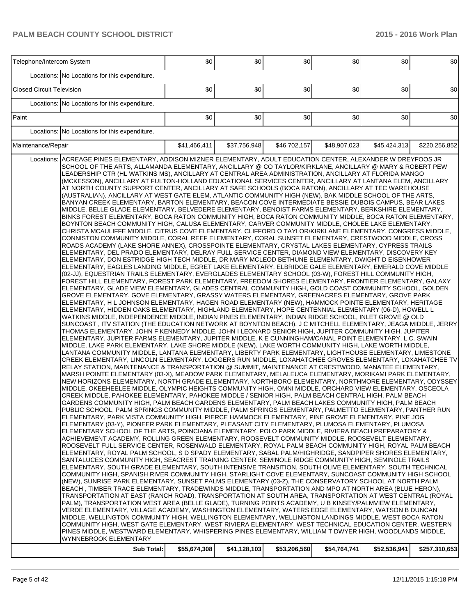| Telephone/Intercom System                                                                                                                                                                                                                                                                                                                                                                                                                                                                                                                                                                                                                                                                                                                                                                                                                                                                                                                                                                                                                                                                                                                                                                                                                                                                                                                                                                                                                                                                                                                                                                                                                                                                                                                                                                                                                                                                                                                                                                                                                                                                                                                                                                                                                                                                                                                                                                                                                                                                                                                                                                                                                                                                                                                                                                                                                                                                                                                                                                                                                                                                                                                                                                                                                                                                                                                                                                                                                                                                                                                                                                                                                                                                                                                                                                                                                                                                                                                                                                                                                                                                                                                                                                                                                                                                                                                                                                                                                                                                                                                                                                                                                                                                                                                                                                                                                                                                                                                                                                                                                                                                                                                                                                                                                                                                                                                                                                                                                                                                                                                                                                                                                                                                                                                                                                                                   |            | \$0          | \$0          | 30           | \$0          | \$0          | \$0           |
|-----------------------------------------------------------------------------------------------------------------------------------------------------------------------------------------------------------------------------------------------------------------------------------------------------------------------------------------------------------------------------------------------------------------------------------------------------------------------------------------------------------------------------------------------------------------------------------------------------------------------------------------------------------------------------------------------------------------------------------------------------------------------------------------------------------------------------------------------------------------------------------------------------------------------------------------------------------------------------------------------------------------------------------------------------------------------------------------------------------------------------------------------------------------------------------------------------------------------------------------------------------------------------------------------------------------------------------------------------------------------------------------------------------------------------------------------------------------------------------------------------------------------------------------------------------------------------------------------------------------------------------------------------------------------------------------------------------------------------------------------------------------------------------------------------------------------------------------------------------------------------------------------------------------------------------------------------------------------------------------------------------------------------------------------------------------------------------------------------------------------------------------------------------------------------------------------------------------------------------------------------------------------------------------------------------------------------------------------------------------------------------------------------------------------------------------------------------------------------------------------------------------------------------------------------------------------------------------------------------------------------------------------------------------------------------------------------------------------------------------------------------------------------------------------------------------------------------------------------------------------------------------------------------------------------------------------------------------------------------------------------------------------------------------------------------------------------------------------------------------------------------------------------------------------------------------------------------------------------------------------------------------------------------------------------------------------------------------------------------------------------------------------------------------------------------------------------------------------------------------------------------------------------------------------------------------------------------------------------------------------------------------------------------------------------------------------------------------------------------------------------------------------------------------------------------------------------------------------------------------------------------------------------------------------------------------------------------------------------------------------------------------------------------------------------------------------------------------------------------------------------------------------------------------------------------------------------------------------------------------------------------------------------------------------------------------------------------------------------------------------------------------------------------------------------------------------------------------------------------------------------------------------------------------------------------------------------------------------------------------------------------------------------------------------------------------------------------------------------------------------------------------------------------------------------------------------------------------------------------------------------------------------------------------------------------------------------------------------------------------------------------------------------------------------------------------------------------------------------------------------------------------------------------------------------------------------------------------------------------------------------------------------------------------------------------------------------------------------------------------------------------------------------------------------------------------------------------------------------------------------------------------------------------------------------------------------------------------------------------------------------------------------------------------------------------------------------------------------------------------------------------------------------------------------------------------------------|------------|--------------|--------------|--------------|--------------|--------------|---------------|
| Locations: No Locations for this expenditure.                                                                                                                                                                                                                                                                                                                                                                                                                                                                                                                                                                                                                                                                                                                                                                                                                                                                                                                                                                                                                                                                                                                                                                                                                                                                                                                                                                                                                                                                                                                                                                                                                                                                                                                                                                                                                                                                                                                                                                                                                                                                                                                                                                                                                                                                                                                                                                                                                                                                                                                                                                                                                                                                                                                                                                                                                                                                                                                                                                                                                                                                                                                                                                                                                                                                                                                                                                                                                                                                                                                                                                                                                                                                                                                                                                                                                                                                                                                                                                                                                                                                                                                                                                                                                                                                                                                                                                                                                                                                                                                                                                                                                                                                                                                                                                                                                                                                                                                                                                                                                                                                                                                                                                                                                                                                                                                                                                                                                                                                                                                                                                                                                                                                                                                                                                               |            |              |              |              |              |              |               |
| <b>Closed Circuit Television</b>                                                                                                                                                                                                                                                                                                                                                                                                                                                                                                                                                                                                                                                                                                                                                                                                                                                                                                                                                                                                                                                                                                                                                                                                                                                                                                                                                                                                                                                                                                                                                                                                                                                                                                                                                                                                                                                                                                                                                                                                                                                                                                                                                                                                                                                                                                                                                                                                                                                                                                                                                                                                                                                                                                                                                                                                                                                                                                                                                                                                                                                                                                                                                                                                                                                                                                                                                                                                                                                                                                                                                                                                                                                                                                                                                                                                                                                                                                                                                                                                                                                                                                                                                                                                                                                                                                                                                                                                                                                                                                                                                                                                                                                                                                                                                                                                                                                                                                                                                                                                                                                                                                                                                                                                                                                                                                                                                                                                                                                                                                                                                                                                                                                                                                                                                                                            |            | \$0          | \$0          | \$0          | \$0          | \$0          | \$0           |
| Locations: No Locations for this expenditure.                                                                                                                                                                                                                                                                                                                                                                                                                                                                                                                                                                                                                                                                                                                                                                                                                                                                                                                                                                                                                                                                                                                                                                                                                                                                                                                                                                                                                                                                                                                                                                                                                                                                                                                                                                                                                                                                                                                                                                                                                                                                                                                                                                                                                                                                                                                                                                                                                                                                                                                                                                                                                                                                                                                                                                                                                                                                                                                                                                                                                                                                                                                                                                                                                                                                                                                                                                                                                                                                                                                                                                                                                                                                                                                                                                                                                                                                                                                                                                                                                                                                                                                                                                                                                                                                                                                                                                                                                                                                                                                                                                                                                                                                                                                                                                                                                                                                                                                                                                                                                                                                                                                                                                                                                                                                                                                                                                                                                                                                                                                                                                                                                                                                                                                                                                               |            |              |              |              |              |              |               |
| Paint                                                                                                                                                                                                                                                                                                                                                                                                                                                                                                                                                                                                                                                                                                                                                                                                                                                                                                                                                                                                                                                                                                                                                                                                                                                                                                                                                                                                                                                                                                                                                                                                                                                                                                                                                                                                                                                                                                                                                                                                                                                                                                                                                                                                                                                                                                                                                                                                                                                                                                                                                                                                                                                                                                                                                                                                                                                                                                                                                                                                                                                                                                                                                                                                                                                                                                                                                                                                                                                                                                                                                                                                                                                                                                                                                                                                                                                                                                                                                                                                                                                                                                                                                                                                                                                                                                                                                                                                                                                                                                                                                                                                                                                                                                                                                                                                                                                                                                                                                                                                                                                                                                                                                                                                                                                                                                                                                                                                                                                                                                                                                                                                                                                                                                                                                                                                                       |            | \$0          | \$0          | \$0          | \$0          | \$0          | \$0           |
| Locations: No Locations for this expenditure.                                                                                                                                                                                                                                                                                                                                                                                                                                                                                                                                                                                                                                                                                                                                                                                                                                                                                                                                                                                                                                                                                                                                                                                                                                                                                                                                                                                                                                                                                                                                                                                                                                                                                                                                                                                                                                                                                                                                                                                                                                                                                                                                                                                                                                                                                                                                                                                                                                                                                                                                                                                                                                                                                                                                                                                                                                                                                                                                                                                                                                                                                                                                                                                                                                                                                                                                                                                                                                                                                                                                                                                                                                                                                                                                                                                                                                                                                                                                                                                                                                                                                                                                                                                                                                                                                                                                                                                                                                                                                                                                                                                                                                                                                                                                                                                                                                                                                                                                                                                                                                                                                                                                                                                                                                                                                                                                                                                                                                                                                                                                                                                                                                                                                                                                                                               |            |              |              |              |              |              |               |
| Maintenance/Repair                                                                                                                                                                                                                                                                                                                                                                                                                                                                                                                                                                                                                                                                                                                                                                                                                                                                                                                                                                                                                                                                                                                                                                                                                                                                                                                                                                                                                                                                                                                                                                                                                                                                                                                                                                                                                                                                                                                                                                                                                                                                                                                                                                                                                                                                                                                                                                                                                                                                                                                                                                                                                                                                                                                                                                                                                                                                                                                                                                                                                                                                                                                                                                                                                                                                                                                                                                                                                                                                                                                                                                                                                                                                                                                                                                                                                                                                                                                                                                                                                                                                                                                                                                                                                                                                                                                                                                                                                                                                                                                                                                                                                                                                                                                                                                                                                                                                                                                                                                                                                                                                                                                                                                                                                                                                                                                                                                                                                                                                                                                                                                                                                                                                                                                                                                                                          |            | \$41,466,411 | \$37,756,948 | \$46,702,157 | \$48,907,023 | \$45,424,313 | \$220,256,852 |
| ACREAGE PINES ELEMENTARY, ADDISON MIZNER ELEMENTARY, ADULT EDUCATION CENTER, ALEXANDER W DREYFOOS JR<br>Locations:<br>SCHOOL OF THE ARTS, ALLAMANDA ELEMENTARY, ANCILLARY @ CO TAYLOR/KIRKLANE, ANCILLARY @ MARY & ROBERT PEW<br>LEADERSHIP CTR (HL WATKINS MS), ANCILLARY AT CENTRAL AREA ADMINISTRATION, ANCILLARY AT FLORIDA MANGO<br>(MCKESSON), ANCILLARY AT FULTON-HOLLAND EDUCATIONAL SERVICES CENTER, ANCILLARY AT LANTANA ELEM, ANCILLARY<br>AT NORTH COUNTY SUPPORT CENTER, ANCILLARY AT SAFE SCHOOLS (BOCA RATON), ANCILLARY AT TEC WAREHOUSE<br>(AUSTRALIAN), ANCILLARY AT WEST GATE ELEM, ATLANTIC COMMUNITY HIGH (NEW), BAK MIDDLE SCHOOL OF THE ARTS,<br>BANYAN CREEK ELEMENTARY, BARTON ELEMENTARY, BEACON COVE INTERMEDIATE BESSIE DUBOIS CAMPUS, BEAR LAKES<br>MIDDLE, BELLE GLADE ELEMENTARY, BELVEDERE ELEMENTARY, BENOIST FARMS ELEMENTARY, BERKSHIRE ELEMENTARY,<br>BINKS FOREST ELEMENTARY, BOCA RATON COMMUNITY HIGH, BOCA RATON COMMUNITY MIDDLE, BOCA RATON ELEMENTARY,<br>BOYNTON BEACH COMMUNITY HIGH, CALUSA ELEMENTARY, CARVER COMMUNITY MIDDLE, CHOLEE LAKE ELEMENTARY,<br>CHRISTA MCAULIFFE MIDDLE, CITRUS COVE ELEMENTARY, CLIFFORD O TAYLOR/KIRKLANE ELEMENTARY, CONGRESS MIDDLE,<br>CONNISTON COMMUNITY MIDDLE, CORAL REEF ELEMENTARY, CORAL SUNSET ELEMENTARY, CRESTWOOD MIDDLE, CROSS<br>ROADS ACADEMY (LAKE SHORE ANNEX), CROSSPOINTE ELEMENTARY, CRYSTAL LAKES ELEMENTARY, CYPRESS TRAILS<br>ELEMENTARY, DEL PRADO ELEMENTARY, DELRAY FULL SERVICE CENTER, DIAMOND VIEW ELEMENTARY, DISCOVERY KEY<br>ELEMENTARY, DON ESTRIDGE HIGH TECH MIDDLE, DR MARY MCLEOD BETHUNE ELEMENTARY, DWIGHT D EISENHOWER<br>ELEMENTARY, EAGLES LANDING MIDDLE, EGRET LAKE ELEMENTARY, ELBRIDGE GALE ELEMENTARY, EMERALD COVE MIDDLE<br>(02-JJ), EQUESTRIAN TRAILS ELEMENTARY, EVERGLADES ELEMENTARY SCHOOL (03-W), FOREST HILL COMMUNITY HIGH,<br>FOREST HILL ELEMENTARY, FOREST PARK ELEMENTARY, FREEDOM SHORES ELEMENTARY, FRONTIER ELEMENTARY, GALAXY<br>ELEMENTARY, GLADE VIEW ELEMENTARY, GLADES CENTRAL COMMUNITY HIGH, GOLD COAST COMMUNITY SCHOOL, GOLDEN<br>GROVE ELEMENTARY, GOVE ELEMENTARY, GRASSY WATERS ELEMENTARY, GREENACRES ELEMENTARY, GROVE PARK<br>ELEMENTARY, H L JOHNSON ELEMENTARY, HAGEN ROAD ELEMENTARY (NEW), HAMMOCK POINTE ELEMENTARY, HERITAGE<br>ELEMENTARY, HIDDEN OAKS ELEMENTARY, HIGHLAND ELEMENTARY, HOPE CENTENNIAL ELEMENTARY (06-D), HOWELL L<br>WATKINS MIDDLE, INDEPENDENCE MIDDLE, INDIAN PINES ELEMENTARY, INDIAN RIDGE SCHOOL, INLET GROVE @ OLD<br>SUNCOAST, ITV STATION (THE EDUCATION NETWORK AT BOYNTON BEACH), J C MITCHELL ELEMENTARY, JEAGA MIDDLE, JERRY<br>THOMAS ELEMENTARY, JOHN F KENNEDY MIDDLE, JOHN I LEONARD SENIOR HIGH, JUPITER COMMUNITY HIGH, JUPITER<br>ELEMENTARY, JUPITER FARMS ELEMENTARY, JUPITER MIDDLE, K E CUNNINGHAM/CANAL POINT ELEMENTARY, L.C. SWAIN<br>MIDDLE, LAKE PARK ELEMENTARY, LAKE SHORE MIDDLE (NEW), LAKE WORTH COMMUNITY HIGH, LAKE WORTH MIDDLE,<br>LANTANA COMMUNITY MIDDLE, LANTANA ELEMENTARY, LIBERTY PARK ELEMENTARY, LIGHTHOUSE ELEMENTARY, LIMESTONE<br>CREEK ELEMENTARY, LINCOLN ELEMENTARY, LOGGERS RUN MIDDLE, LOXAHATCHEE GROVES ELEMENTARY, LOXAHATCHEE TV<br>RELAY STATION, MAINTENANCE & TRANSPORTATION @ SUMMIT, MAINTENANCE AT CRESTWOOD, MANATEE ELEMENTARY,<br>MARSH POINTE ELEMENTARY (03-X), MEADOW PARK ELEMENTARY, MELALEUCA ELEMENTARY, MORIKAMI PARK ELEMENTARY,<br>NEW HORIZONS ELEMENTARY, NORTH GRADE ELEMENTARY, NORTHBORO ELEMENTARY, NORTHMORE ELEMENTARY, ODYSSEY<br>MIDDLE, OKEEHEELEE MIDDLE, OLYMPIC HEIGHTS COMMUNITY HIGH, OMNI MIDDLE, ORCHARD VIEW ELEMENTARY, OSCEOLA<br>CREEK MIDDLE, PAHOKEE ELEMENTARY, PAHOKEE MIDDLE / SENIOR HIGH, PALM BEACH CENTRAL HIGH, PALM BEACH<br>GARDENS COMMUNITY HIGH, PALM BEACH GARDENS ELEMENTARY, PALM BEACH LAKES COMMUNITY HIGH, PALM BEACH<br>PUBLIC SCHOOL, PALM SPRINGS COMMUNITY MIDDLE, PALM SPRINGS ELEMENTARY, PALMETTO ELEMENTARY, PANTHER RUN<br>ELEMENTARY, PARK VISTA COMMUNITY HIGH, PIERCE HAMMOCK ELEMENTARY, PINE GROVE ELEMENTARY, PINE JOG<br>ELEMENTARY (03-Y), PIONEER PARK ELEMENTARY, PLEASANT CITY ELEMENTARY, PLUMOSA ELEMENTARY, PLUMOSA<br>ELEMENTARY SCHOOL OF THE ARTS, POINCIANA ELEMENTARY, POLO PARK MIDDLE, RIVIERA BEACH PREPARATORY &<br>ACHIEVEMENT ACADEMY, ROLLING GREEN ELEMENTARY, ROOSEVELT COMMUNITY MIDDLE, ROOSEVELT ELEMENTARY,<br>ROOSEVELT FULL SERVICE CENTER, ROSENWALD ELEMENTARY, ROYAL PALM BEACH COMMUNITY HIGH, ROYAL PALM BEACH<br>ELEMENTARY, ROYAL PALM SCHOOL, S D SPADY ELEMENTARY, SABAL PALM/HIGHRIDGE, SANDPIPER SHORES ELEMENTARY,<br>SANTALUCES COMMUNITY HIGH, SEACREST TRAINING CENTER, SEMINOLE RIDGE COMMUNITY HIGH, SEMINOLE TRAILS<br>ELEMENTARY, SOUTH GRADE ELEMENTARY, SOUTH INTENSIVE TRANSITION, SOUTH OLIVE ELEMENTARY, SOUTH TECHNICAL<br>COMMUNITY HIGH, SPANISH RIVER COMMUNITY HIGH, STARLIGHT COVE ELEMENTARY, SUNCOAST COMMUNITY HIGH SCHOOL<br>(NEW), SUNRISE PARK ELEMENTARY, SUNSET PALMS ELEMENTARY (03-Z), THE CONSERVATORY SCHOOL AT NORTH PALM<br>BEACH, TIMBER TRACE ELEMENTARY, TRADEWINDS MIDDLE, TRANSPORTATION AND MPO AT NORTH AREA (BLUE HERON),<br>TRANSPORTATION AT EAST (RANCH ROAD), TRANSPORTATION AT SOUTH AREA, TRANSPORTATION AT WEST CENTRAL (ROYAL<br>PALM), TRANSPORTATION WEST AREA (BELLE GLADE), TURNING POINTS ACADEMY, U B KINSEY/PALMVIEW ELEMENTARY,<br>VERDE ELEMENTARY, VILLAGE ACADEMY, WASHINGTON ELEMENTARY, WATERS EDGE ELEMENTARY, WATSON B DUNCAN<br>MIDDLE, WELLINGTON COMMUNITY HIGH, WELLINGTON ELEMENTARY, WELLINGTON LANDINGS MIDDLE, WEST BOCA RATON<br>COMMUNITY HIGH, WEST GATE ELEMENTARY, WEST RIVIERA ELEMENTARY, WEST TECHNICAL EDUCATION CENTER, WESTERN<br>PINES MIDDLE, WESTWARD ELEMENTARY, WHISPERING PINES ELEMENTARY, WILLIAM T DWYER HIGH, WOODLANDS MIDDLE,<br>WYNNEBROOK ELEMENTARY | Sub Total: | \$55,674,308 | \$41,128,103 | \$53,206,560 | \$54,764,741 | \$52,536,941 | \$257,310,653 |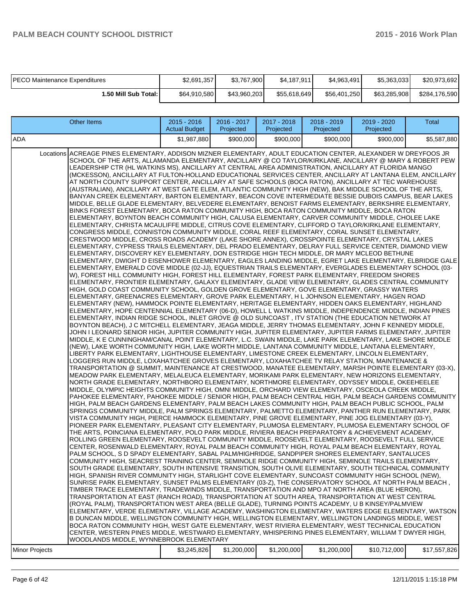| <b>PECO Maintenance Expenditures</b> | \$2,691,357  | \$3,767,900  | \$4.187.911  | \$4,963,491  | \$5,363,033  | \$20,973,692  |
|--------------------------------------|--------------|--------------|--------------|--------------|--------------|---------------|
| 1.50 Mill Sub Total: I               | \$64,910,580 | \$43.960.203 | \$55,618,649 | \$56,401,250 | \$63.285.908 | \$284,176,590 |

| <b>Other Items</b>                                                                                                                                                                                                                                                                                                                                                                                                                                                                                                                                                                                                                                                                                                                                                                                                                                                                                                                                                                                                                                                                                                                                                                                                                                                                                                                                                                                                                                                                                                                                                                                                                                                                                                                                                                                                                                                                                                                                                                                                                                                                                                                                                                                                                                                                                                                                                                                                                                                                                                                                                                                                                                                                                                                                                                                                                                                                                                                                                                                                                                                                                                                                                                                                                                                                                                                                                                                                                                                                                                                                                                                                                                                                                                                                                                                                                                                                                                                                                                                                                                                                                                                                                                                                                                                                                                                                                                                                                                                                                                                                                                                                                                                                                                                                                                                                                                                                                                                                                                                                                                                                                                                                                                                                                                                                                                                                                                                                                                                                                                                                                                                                                                                       | 2015 - 2016<br><b>Actual Budget</b> | 2016 - 2017<br>Projected | 2017 - 2018<br>Projected | 2018 - 2019<br>Projected | 2019 - 2020<br>Projected | Total        |
|--------------------------------------------------------------------------------------------------------------------------------------------------------------------------------------------------------------------------------------------------------------------------------------------------------------------------------------------------------------------------------------------------------------------------------------------------------------------------------------------------------------------------------------------------------------------------------------------------------------------------------------------------------------------------------------------------------------------------------------------------------------------------------------------------------------------------------------------------------------------------------------------------------------------------------------------------------------------------------------------------------------------------------------------------------------------------------------------------------------------------------------------------------------------------------------------------------------------------------------------------------------------------------------------------------------------------------------------------------------------------------------------------------------------------------------------------------------------------------------------------------------------------------------------------------------------------------------------------------------------------------------------------------------------------------------------------------------------------------------------------------------------------------------------------------------------------------------------------------------------------------------------------------------------------------------------------------------------------------------------------------------------------------------------------------------------------------------------------------------------------------------------------------------------------------------------------------------------------------------------------------------------------------------------------------------------------------------------------------------------------------------------------------------------------------------------------------------------------------------------------------------------------------------------------------------------------------------------------------------------------------------------------------------------------------------------------------------------------------------------------------------------------------------------------------------------------------------------------------------------------------------------------------------------------------------------------------------------------------------------------------------------------------------------------------------------------------------------------------------------------------------------------------------------------------------------------------------------------------------------------------------------------------------------------------------------------------------------------------------------------------------------------------------------------------------------------------------------------------------------------------------------------------------------------------------------------------------------------------------------------------------------------------------------------------------------------------------------------------------------------------------------------------------------------------------------------------------------------------------------------------------------------------------------------------------------------------------------------------------------------------------------------------------------------------------------------------------------------------------------------------------------------------------------------------------------------------------------------------------------------------------------------------------------------------------------------------------------------------------------------------------------------------------------------------------------------------------------------------------------------------------------------------------------------------------------------------------------------------------------------------------------------------------------------------------------------------------------------------------------------------------------------------------------------------------------------------------------------------------------------------------------------------------------------------------------------------------------------------------------------------------------------------------------------------------------------------------------------------------------------------------------------------------------------------------------------------------------------------------------------------------------------------------------------------------------------------------------------------------------------------------------------------------------------------------------------------------------------------------------------------------------------------------------------------------------------------------------------------------------------------------------------------------------------|-------------------------------------|--------------------------|--------------------------|--------------------------|--------------------------|--------------|
| ADA                                                                                                                                                                                                                                                                                                                                                                                                                                                                                                                                                                                                                                                                                                                                                                                                                                                                                                                                                                                                                                                                                                                                                                                                                                                                                                                                                                                                                                                                                                                                                                                                                                                                                                                                                                                                                                                                                                                                                                                                                                                                                                                                                                                                                                                                                                                                                                                                                                                                                                                                                                                                                                                                                                                                                                                                                                                                                                                                                                                                                                                                                                                                                                                                                                                                                                                                                                                                                                                                                                                                                                                                                                                                                                                                                                                                                                                                                                                                                                                                                                                                                                                                                                                                                                                                                                                                                                                                                                                                                                                                                                                                                                                                                                                                                                                                                                                                                                                                                                                                                                                                                                                                                                                                                                                                                                                                                                                                                                                                                                                                                                                                                                                                      | \$1.987.880                         | \$900,000                | \$900,000                | \$900,000                | \$900,000                | \$5,587,880  |
| Locations ACREAGE PINES ELEMENTARY, ADDISON MIZNER ELEMENTARY, ADULT EDUCATION CENTER, ALEXANDER W DREYFOOS JR<br>SCHOOL OF THE ARTS, ALLAMANDA ELEMENTARY, ANCILLARY @ CO TAYLOR/KIRKLANE, ANCILLARY @ MARY & ROBERT PEW<br>LEADERSHIP CTR (HL WATKINS MS), ANCILLARY AT CENTRAL AREA ADMINISTRATION, ANCILLARY AT FLORIDA MANGO<br>(MCKESSON), ANCILLARY AT FULTON-HOLLAND EDUCATIONAL SERVICES CENTER, ANCILLARY AT LANTANA ELEM, ANCILLARY<br>AT NORTH COUNTY SUPPORT CENTER, ANCILLARY AT SAFE SCHOOLS (BOCA RATON), ANCILLARY AT TEC WAREHOUSE<br>(AUSTRALIAN), ANCILLARY AT WEST GATE ELEM, ATLANTIC COMMUNITY HIGH (NEW), BAK MIDDLE SCHOOL OF THE ARTS,<br>BANYAN CREEK ELEMENTARY, BARTON ELEMENTARY, BEACON COVE INTERMEDIATE BESSIE DUBOIS CAMPUS, BEAR LAKES<br>MIDDLE, BELLE GLADE ELEMENTARY, BELVEDERE ELEMENTARY, BENOIST FARMS ELEMENTARY, BERKSHIRE ELEMENTARY,<br>BINKS FOREST ELEMENTARY, BOCA RATON COMMUNITY HIGH, BOCA RATON COMMUNITY MIDDLE, BOCA RATON<br>ELEMENTARY, BOYNTON BEACH COMMUNITY HIGH, CALUSA ELEMENTARY, CARVER COMMUNITY MIDDLE, CHOLEE LAKE<br>ELEMENTARY, CHRISTA MCAULIFFE MIDDLE, CITRUS COVE ELEMENTARY, CLIFFORD O TAYLOR/KIRKLANE ELEMENTARY,<br>CONGRESS MIDDLE, CONNISTON COMMUNITY MIDDLE, CORAL REEF ELEMENTARY, CORAL SUNSET ELEMENTARY,<br>CRESTWOOD MIDDLE, CROSS ROADS ACADEMY (LAKE SHORE ANNEX), CROSSPOINTE ELEMENTARY, CRYSTAL LAKES<br>ELEMENTARY, CYPRESS TRAILS ELEMENTARY, DEL PRADO ELEMENTARY, DELRAY FULL SERVICE CENTER, DIAMOND VIEW<br>ELEMENTARY, DISCOVERY KEY ELEMENTARY, DON ESTRIDGE HIGH TECH MIDDLE, DR MARY MCLEOD BETHUNE<br>ELEMENTARY, DWIGHT D EISENHOWER ELEMENTARY, EAGLES LANDING MIDDLE, EGRET LAKE ELEMENTARY, ELBRIDGE GALE<br>ELEMENTARY, EMERALD COVE MIDDLE (02-JJ), EQUESTRIAN TRAILS ELEMENTARY, EVERGLADES ELEMENTARY SCHOOL (03-<br>W), FOREST HILL COMMUNITY HIGH, FOREST HILL ELEMENTARY, FOREST PARK ELEMENTARY, FREEDOM SHORES<br>ELEMENTARY, FRONTIER ELEMENTARY, GALAXY ELEMENTARY, GLADE VIEW ELEMENTARY, GLADES CENTRAL COMMUNITY<br>HIGH, GOLD COAST COMMUNITY SCHOOL, GOLDEN GROVE ELEMENTARY, GOVE ELEMENTARY, GRASSY WATERS<br>ELEMENTARY, GREENACRES ELEMENTARY, GROVE PARK ELEMENTARY, H L JOHNSON ELEMENTARY, HAGEN ROAD<br>ELEMENTARY (NEW), HAMMOCK POINTE ELEMENTARY, HERITAGE ELEMENTARY, HIDDEN OAKS ELEMENTARY, HIGHLAND<br>ELEMENTARY, HOPE CENTENNIAL ELEMENTARY (06-D), HOWELL L WATKINS MIDDLE, INDEPENDENCE MIDDLE, INDIAN PINES<br>ELEMENTARY, INDIAN RIDGE SCHOOL, INLET GROVE @ OLD SUNCOAST , ITV STATION (THE EDUCATION NETWORK AT<br>BOYNTON BEACH), J C MITCHELL ELEMENTARY, JEAGA MIDDLE, JERRY THOMAS ELEMENTARY, JOHN F KENNEDY MIDDLE,<br>JOHN I LEONARD SENIOR HIGH, JUPITER COMMUNITY HIGH, JUPITER ELEMENTARY, JUPITER FARMS ELEMENTARY, JUPITER<br>MIDDLE, K E CUNNINGHAM/CANAL POINT ELEMENTARY, L.C. SWAIN MIDDLE, LAKE PARK ELEMENTARY, LAKE SHORE MIDDLE<br>(NEW), LAKE WORTH COMMUNITY HIGH, LAKE WORTH MIDDLE, LANTANA COMMUNITY MIDDLE, LANTANA ELEMENTARY,<br>LIBERTY PARK ELEMENTARY, LIGHTHOUSE ELEMENTARY, LIMESTONE CREEK ELEMENTARY, LINCOLN ELEMENTARY,<br>LOGGERS RUN MIDDLE, LOXAHATCHEE GROVES ELEMENTARY, LOXAHATCHEE TV RELAY STATION, MAINTENANCE &<br>TRANSPORTATION @ SUMMIT, MAINTENANCE AT CRESTWOOD, MANATEE ELEMENTARY, MARSH POINTE ELEMENTARY (03-X),<br>MEADOW PARK ELEMENTARY, MELALEUCA ELEMENTARY, MORIKAMI PARK ELEMENTARY, NEW HORIZONS ELEMENTARY,<br>NORTH GRADE ELEMENTARY, NORTHBORO ELEMENTARY, NORTHMORE ELEMENTARY, ODYSSEY MIDDLE, OKEEHEELEE<br>MIDDLE, OLYMPIC HEIGHTS COMMUNITY HIGH, OMNI MIDDLE, ORCHARD VIEW ELEMENTARY, OSCEOLA CREEK MIDDLE,<br>PAHOKEE ELEMENTARY, PAHOKEE MIDDLE / SENIOR HIGH, PALM BEACH CENTRAL HIGH, PALM BEACH GARDENS COMMUNITY<br>HIGH, PALM BEACH GARDENS ELEMENTARY, PALM BEACH LAKES COMMUNITY HIGH, PALM BEACH PUBLIC SCHOOL, PALM<br>SPRINGS COMMUNITY MIDDLE, PALM SPRINGS ELEMENTARY, PALMETTO ELEMENTARY, PANTHER RUN ELEMENTARY, PARK<br>VISTA COMMUNITY HIGH, PIERCE HAMMOCK ELEMENTARY, PINE GROVE ELEMENTARY, PINE JOG ELEMENTARY (03-Y),<br>PIONEER PARK ELEMENTARY, PLEASANT CITY ELEMENTARY, PLUMOSA ELEMENTARY, PLUMOSA ELEMENTARY SCHOOL OF<br>THE ARTS, POINCIANA ELEMENTARY, POLO PARK MIDDLE, RIVIERA BEACH PREPARATORY & ACHIEVEMENT ACADEMY,<br>ROLLING GREEN ELEMENTARY, ROOSEVELT COMMUNITY MIDDLE, ROOSEVELT ELEMENTARY, ROOSEVELT FULL SERVICE<br>CENTER, ROSENWALD ELEMENTARY, ROYAL PALM BEACH COMMUNITY HIGH, ROYAL PALM BEACH ELEMENTARY, ROYAL<br>PALM SCHOOL, S D SPADY ELEMENTARY, SABAL PALM/HIGHRIDGE, SANDPIPER SHORES ELEMENTARY, SANTALUCES<br>COMMUNITY HIGH, SEACREST TRAINING CENTER, SEMINOLE RIDGE COMMUNITY HIGH, SEMINOLE TRAILS ELEMENTARY,<br>SOUTH GRADE ELEMENTARY, SOUTH INTENSIVE TRANSITION, SOUTH OLIVE ELEMENTARY, SOUTH TECHNICAL COMMUNITY<br>HIGH, SPANISH RIVER COMMUNITY HIGH, STARLIGHT COVE ELEMENTARY, SUNCOAST COMMUNITY HIGH SCHOOL (NEW),<br>SUNRISE PARK ELEMENTARY, SUNSET PALMS ELEMENTARY (03-Z), THE CONSERVATORY SCHOOL AT NORTH PALM BEACH,<br>TIMBER TRACE ELEMENTARY, TRADEWINDS MIDDLE, TRANSPORTATION AND MPO AT NORTH AREA (BLUE HERON),<br>TRANSPORTATION AT EAST (RANCH ROAD), TRANSPORTATION AT SOUTH AREA, TRANSPORTATION AT WEST CENTRAL<br>(ROYAL PALM), TRANSPORTATION WEST AREA (BELLE GLADE), TURNING POINTS ACADEMY, U B KINSEY/PALMVIEW<br>ELEMENTARY, VERDE ELEMENTARY, VILLAGE ACADEMY, WASHINGTON ELEMENTARY, WATERS EDGE ELEMENTARY, WATSON<br>B DUNCAN MIDDLE, WELLINGTON COMMUNITY HIGH, WELLINGTON ELEMENTARY, WELLINGTON LANDINGS MIDDLE, WEST<br>BOCA RATON COMMUNITY HIGH, WEST GATE ELEMENTARY, WEST RIVIERA ELEMENTARY, WEST TECHNICAL EDUCATION |                                     |                          |                          |                          |                          |              |
| CENTER, WESTERN PINES MIDDLE, WESTWARD ELEMENTARY, WHISPERING PINES ELEMENTARY, WILLIAM T DWYER HIGH,<br>WOODLANDS MIDDLE, WYNNEBROOK ELEMENTARY                                                                                                                                                                                                                                                                                                                                                                                                                                                                                                                                                                                                                                                                                                                                                                                                                                                                                                                                                                                                                                                                                                                                                                                                                                                                                                                                                                                                                                                                                                                                                                                                                                                                                                                                                                                                                                                                                                                                                                                                                                                                                                                                                                                                                                                                                                                                                                                                                                                                                                                                                                                                                                                                                                                                                                                                                                                                                                                                                                                                                                                                                                                                                                                                                                                                                                                                                                                                                                                                                                                                                                                                                                                                                                                                                                                                                                                                                                                                                                                                                                                                                                                                                                                                                                                                                                                                                                                                                                                                                                                                                                                                                                                                                                                                                                                                                                                                                                                                                                                                                                                                                                                                                                                                                                                                                                                                                                                                                                                                                                                         |                                     |                          |                          |                          |                          |              |
| <b>Minor Projects</b>                                                                                                                                                                                                                                                                                                                                                                                                                                                                                                                                                                                                                                                                                                                                                                                                                                                                                                                                                                                                                                                                                                                                                                                                                                                                                                                                                                                                                                                                                                                                                                                                                                                                                                                                                                                                                                                                                                                                                                                                                                                                                                                                                                                                                                                                                                                                                                                                                                                                                                                                                                                                                                                                                                                                                                                                                                                                                                                                                                                                                                                                                                                                                                                                                                                                                                                                                                                                                                                                                                                                                                                                                                                                                                                                                                                                                                                                                                                                                                                                                                                                                                                                                                                                                                                                                                                                                                                                                                                                                                                                                                                                                                                                                                                                                                                                                                                                                                                                                                                                                                                                                                                                                                                                                                                                                                                                                                                                                                                                                                                                                                                                                                                    | \$3,245,826                         | \$1,200,000              | \$1,200,000              | \$1,200,000              | \$10,712,000             | \$17,557,826 |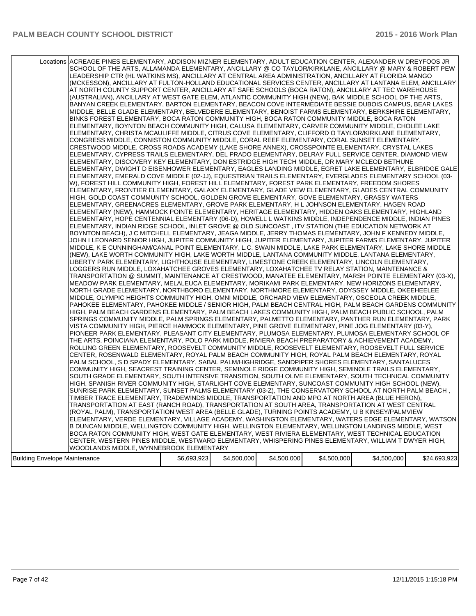|                                      | Locations ACREAGE PINES ELEMENTARY, ADDISON MIZNER ELEMENTARY, ADULT EDUCATION CENTER, ALEXANDER W DREYFOOS JR<br>SCHOOL OF THE ARTS, ALLAMANDA ELEMENTARY, ANCILLARY @ CO TAYLOR/KIRKLANE, ANCILLARY @ MARY & ROBERT PEW<br>LEADERSHIP CTR (HL WATKINS MS), ANCILLARY AT CENTRAL AREA ADMINISTRATION, ANCILLARY AT FLORIDA MANGO<br>(MCKESSON), ANCILLARY AT FULTON-HOLLAND EDUCATIONAL SERVICES CENTER, ANCILLARY AT LANTANA ELEM, ANCILLARY<br>AT NORTH COUNTY SUPPORT CENTER, ANCILLARY AT SAFE SCHOOLS (BOCA RATON), ANCILLARY AT TEC WAREHOUSE<br>(AUSTRALIAN), ANCILLARY AT WEST GATE ELEM, ATLANTIC COMMUNITY HIGH (NEW), BAK MIDDLE SCHOOL OF THE ARTS,<br>BANYAN CREEK ELEMENTARY, BARTON ELEMENTARY, BEACON COVE INTERMEDIATE BESSIE DUBOIS CAMPUS, BEAR LAKES<br>MIDDLE, BELLE GLADE ELEMENTARY, BELVEDERE ELEMENTARY, BENOIST FARMS ELEMENTARY, BERKSHIRE ELEMENTARY,<br>BINKS FOREST ELEMENTARY, BOCA RATON COMMUNITY HIGH, BOCA RATON COMMUNITY MIDDLE, BOCA RATON<br>ELEMENTARY, BOYNTON BEACH COMMUNITY HIGH, CALUSA ELEMENTARY, CARVER COMMUNITY MIDDLE, CHOLEE LAKE<br>ELEMENTARY, CHRISTA MCAULIFFE MIDDLE, CITRUS COVE ELEMENTARY, CLIFFORD O TAYLOR/KIRKLANE ELEMENTARY,<br>CONGRESS MIDDLE, CONNISTON COMMUNITY MIDDLE, CORAL REEF ELEMENTARY, CORAL SUNSET ELEMENTARY,<br>CRESTWOOD MIDDLE, CROSS ROADS ACADEMY (LAKE SHORE ANNEX), CROSSPOINTE ELEMENTARY, CRYSTAL LAKES<br>ELEMENTARY, CYPRESS TRAILS ELEMENTARY, DEL PRADO ELEMENTARY, DELRAY FULL SERVICE CENTER, DIAMOND VIEW<br>ELEMENTARY, DISCOVERY KEY ELEMENTARY, DON ESTRIDGE HIGH TECH MIDDLE, DR MARY MCLEOD BETHUNE<br>ELEMENTARY, DWIGHT D EISENHOWER ELEMENTARY, EAGLES LANDING MIDDLE, EGRET LAKE ELEMENTARY, ELBRIDGE GALE<br>ELEMENTARY, EMERALD COVE MIDDLE (02-JJ), EQUESTRIAN TRAILS ELEMENTARY, EVERGLADES ELEMENTARY SCHOOL (03-<br>W), FOREST HILL COMMUNITY HIGH, FOREST HILL ELEMENTARY, FOREST PARK ELEMENTARY, FREEDOM SHORES<br>ELEMENTARY, FRONTIER ELEMENTARY, GALAXY ELEMENTARY, GLADE VIEW ELEMENTARY, GLADES CENTRAL COMMUNITY<br>HIGH, GOLD COAST COMMUNITY SCHOOL, GOLDEN GROVE ELEMENTARY, GOVE ELEMENTARY, GRASSY WATERS<br>ELEMENTARY, GREENACRES ELEMENTARY, GROVE PARK ELEMENTARY, H L JOHNSON ELEMENTARY, HAGEN ROAD<br>ELEMENTARY (NEW), HAMMOCK POINTE ELEMENTARY, HERITAGE ELEMENTARY, HIDDEN OAKS ELEMENTARY, HIGHLAND<br>ELEMENTARY, HOPE CENTENNIAL ELEMENTARY (06-D), HOWELL L WATKINS MIDDLE, INDEPENDENCE MIDDLE, INDIAN PINES<br>ELEMENTARY, INDIAN RIDGE SCHOOL, INLET GROVE @ OLD SUNCOAST, ITV STATION (THE EDUCATION NETWORK AT<br>BOYNTON BEACH), J C MITCHELL ELEMENTARY, JEAGA MIDDLE, JERRY THOMAS ELEMENTARY, JOHN F KENNEDY MIDDLE,<br>JOHN I LEONARD SENIOR HIGH, JUPITER COMMUNITY HIGH, JUPITER ELEMENTARY, JUPITER FARMS ELEMENTARY, JUPITER<br>MIDDLE, K E CUNNINGHAM/CANAL POINT ELEMENTARY, L.C. SWAIN MIDDLE, LAKE PARK ELEMENTARY, LAKE SHORE MIDDLE<br>(NEW), LAKE WORTH COMMUNITY HIGH, LAKE WORTH MIDDLE, LANTANA COMMUNITY MIDDLE, LANTANA ELEMENTARY,<br>LIBERTY PARK ELEMENTARY, LIGHTHOUSE ELEMENTARY, LIMESTONE CREEK ELEMENTARY, LINCOLN ELEMENTARY,<br>LOGGERS RUN MIDDLE, LOXAHATCHEE GROVES ELEMENTARY, LOXAHATCHEE TV RELAY STATION, MAINTENANCE &<br>TRANSPORTATION @ SUMMIT, MAINTENANCE AT CRESTWOOD, MANATEE ELEMENTARY, MARSH POINTE ELEMENTARY (03-X),<br>MEADOW PARK ELEMENTARY, MELALEUCA ELEMENTARY, MORIKAMI PARK ELEMENTARY, NEW HORIZONS ELEMENTARY,<br>NORTH GRADE ELEMENTARY, NORTHBORO ELEMENTARY, NORTHMORE ELEMENTARY, ODYSSEY MIDDLE, OKEEHEELEE<br>MIDDLE, OLYMPIC HEIGHTS COMMUNITY HIGH, OMNI MIDDLE, ORCHARD VIEW ELEMENTARY, OSCEOLA CREEK MIDDLE,<br>PAHOKEE ELEMENTARY, PAHOKEE MIDDLE / SENIOR HIGH, PALM BEACH CENTRAL HIGH, PALM BEACH GARDENS COMMUNITY<br>HIGH, PALM BEACH GARDENS ELEMENTARY, PALM BEACH LAKES COMMUNITY HIGH, PALM BEACH PUBLIC SCHOOL, PALM<br>SPRINGS COMMUNITY MIDDLE, PALM SPRINGS ELEMENTARY, PALMETTO ELEMENTARY, PANTHER RUN ELEMENTARY, PARK<br>VISTA COMMUNITY HIGH, PIERCE HAMMOCK ELEMENTARY, PINE GROVE ELEMENTARY, PINE JOG ELEMENTARY (03-Y),<br>PIONEER PARK ELEMENTARY, PLEASANT CITY ELEMENTARY, PLUMOSA ELEMENTARY, PLUMOSA ELEMENTARY SCHOOL OF<br>THE ARTS, POINCIANA ELEMENTARY, POLO PARK MIDDLE, RIVIERA BEACH PREPARATORY & ACHIEVEMENT ACADEMY,<br>ROLLING GREEN ELEMENTARY, ROOSEVELT COMMUNITY MIDDLE, ROOSEVELT ELEMENTARY, ROOSEVELT FULL SERVICE<br>CENTER, ROSENWALD ELEMENTARY, ROYAL PALM BEACH COMMUNITY HIGH, ROYAL PALM BEACH ELEMENTARY, ROYAL<br>PALM SCHOOL, S D SPADY ELEMENTARY, SABAL PALM/HIGHRIDGE, SANDPIPER SHORES ELEMENTARY, SANTALUCES<br>COMMUNITY HIGH, SEACREST TRAINING CENTER, SEMINOLE RIDGE COMMUNITY HIGH, SEMINOLE TRAILS ELEMENTARY,<br>SOUTH GRADE ELEMENTARY, SOUTH INTENSIVE TRANSITION, SOUTH OLIVE ELEMENTARY, SOUTH TECHNICAL COMMUNITY<br>HIGH, SPANISH RIVER COMMUNITY HIGH, STARLIGHT COVE ELEMENTARY, SUNCOAST COMMUNITY HIGH SCHOOL (NEW),<br>SUNRISE PARK ELEMENTARY, SUNSET PALMS ELEMENTARY (03-Z), THE CONSERVATORY SCHOOL AT NORTH PALM BEACH,<br>TIMBER TRACE ELEMENTARY, TRADEWINDS MIDDLE, TRANSPORTATION AND MPO AT NORTH AREA (BLUE HERON),<br>TRANSPORTATION AT EAST (RANCH ROAD), TRANSPORTATION AT SOUTH AREA, TRANSPORTATION AT WEST CENTRAL<br>(ROYAL PALM), TRANSPORTATION WEST AREA (BELLE GLADE), TURNING POINTS ACADEMY, U B KINSEY/PALMVIEW<br>ELEMENTARY, VERDE ELEMENTARY, VILLAGE ACADEMY, WASHINGTON ELEMENTARY, WATERS EDGE ELEMENTARY, WATSON<br>B DUNCAN MIDDLE, WELLINGTON COMMUNITY HIGH, WELLINGTON ELEMENTARY, WELLINGTON LANDINGS MIDDLE, WEST<br>BOCA RATON COMMUNITY HIGH, WEST GATE ELEMENTARY, WEST RIVIERA ELEMENTARY, WEST TECHNICAL EDUCATION |             |             |             |             |             |              |
|--------------------------------------|-------------------------------------------------------------------------------------------------------------------------------------------------------------------------------------------------------------------------------------------------------------------------------------------------------------------------------------------------------------------------------------------------------------------------------------------------------------------------------------------------------------------------------------------------------------------------------------------------------------------------------------------------------------------------------------------------------------------------------------------------------------------------------------------------------------------------------------------------------------------------------------------------------------------------------------------------------------------------------------------------------------------------------------------------------------------------------------------------------------------------------------------------------------------------------------------------------------------------------------------------------------------------------------------------------------------------------------------------------------------------------------------------------------------------------------------------------------------------------------------------------------------------------------------------------------------------------------------------------------------------------------------------------------------------------------------------------------------------------------------------------------------------------------------------------------------------------------------------------------------------------------------------------------------------------------------------------------------------------------------------------------------------------------------------------------------------------------------------------------------------------------------------------------------------------------------------------------------------------------------------------------------------------------------------------------------------------------------------------------------------------------------------------------------------------------------------------------------------------------------------------------------------------------------------------------------------------------------------------------------------------------------------------------------------------------------------------------------------------------------------------------------------------------------------------------------------------------------------------------------------------------------------------------------------------------------------------------------------------------------------------------------------------------------------------------------------------------------------------------------------------------------------------------------------------------------------------------------------------------------------------------------------------------------------------------------------------------------------------------------------------------------------------------------------------------------------------------------------------------------------------------------------------------------------------------------------------------------------------------------------------------------------------------------------------------------------------------------------------------------------------------------------------------------------------------------------------------------------------------------------------------------------------------------------------------------------------------------------------------------------------------------------------------------------------------------------------------------------------------------------------------------------------------------------------------------------------------------------------------------------------------------------------------------------------------------------------------------------------------------------------------------------------------------------------------------------------------------------------------------------------------------------------------------------------------------------------------------------------------------------------------------------------------------------------------------------------------------------------------------------------------------------------------------------------------------------------------------------------------------------------------------------------------------------------------------------------------------------------------------------------------------------------------------------------------------------------------------------------------------------------------------------------------------------------------------------------------------------------------------------------------------------------------------------------------------------------------------------------------------------------------------------------------------------------------------------------------------------------------------------------------------------------------------------------------------------------------------------------------------------------------------------------------------------|-------------|-------------|-------------|-------------|-------------|--------------|
|                                      |                                                                                                                                                                                                                                                                                                                                                                                                                                                                                                                                                                                                                                                                                                                                                                                                                                                                                                                                                                                                                                                                                                                                                                                                                                                                                                                                                                                                                                                                                                                                                                                                                                                                                                                                                                                                                                                                                                                                                                                                                                                                                                                                                                                                                                                                                                                                                                                                                                                                                                                                                                                                                                                                                                                                                                                                                                                                                                                                                                                                                                                                                                                                                                                                                                                                                                                                                                                                                                                                                                                                                                                                                                                                                                                                                                                                                                                                                                                                                                                                                                                                                                                                                                                                                                                                                                                                                                                                                                                                                                                                                                                                                                                                                                                                                                                                                                                                                                                                                                                                                                                                                                                                                                                                                                                                                                                                                                                                                                                                                                                                                                                                                                                                         |             |             |             |             |             |              |
|                                      |                                                                                                                                                                                                                                                                                                                                                                                                                                                                                                                                                                                                                                                                                                                                                                                                                                                                                                                                                                                                                                                                                                                                                                                                                                                                                                                                                                                                                                                                                                                                                                                                                                                                                                                                                                                                                                                                                                                                                                                                                                                                                                                                                                                                                                                                                                                                                                                                                                                                                                                                                                                                                                                                                                                                                                                                                                                                                                                                                                                                                                                                                                                                                                                                                                                                                                                                                                                                                                                                                                                                                                                                                                                                                                                                                                                                                                                                                                                                                                                                                                                                                                                                                                                                                                                                                                                                                                                                                                                                                                                                                                                                                                                                                                                                                                                                                                                                                                                                                                                                                                                                                                                                                                                                                                                                                                                                                                                                                                                                                                                                                                                                                                                                         |             |             |             |             |             |              |
|                                      |                                                                                                                                                                                                                                                                                                                                                                                                                                                                                                                                                                                                                                                                                                                                                                                                                                                                                                                                                                                                                                                                                                                                                                                                                                                                                                                                                                                                                                                                                                                                                                                                                                                                                                                                                                                                                                                                                                                                                                                                                                                                                                                                                                                                                                                                                                                                                                                                                                                                                                                                                                                                                                                                                                                                                                                                                                                                                                                                                                                                                                                                                                                                                                                                                                                                                                                                                                                                                                                                                                                                                                                                                                                                                                                                                                                                                                                                                                                                                                                                                                                                                                                                                                                                                                                                                                                                                                                                                                                                                                                                                                                                                                                                                                                                                                                                                                                                                                                                                                                                                                                                                                                                                                                                                                                                                                                                                                                                                                                                                                                                                                                                                                                                         |             |             |             |             |             |              |
|                                      |                                                                                                                                                                                                                                                                                                                                                                                                                                                                                                                                                                                                                                                                                                                                                                                                                                                                                                                                                                                                                                                                                                                                                                                                                                                                                                                                                                                                                                                                                                                                                                                                                                                                                                                                                                                                                                                                                                                                                                                                                                                                                                                                                                                                                                                                                                                                                                                                                                                                                                                                                                                                                                                                                                                                                                                                                                                                                                                                                                                                                                                                                                                                                                                                                                                                                                                                                                                                                                                                                                                                                                                                                                                                                                                                                                                                                                                                                                                                                                                                                                                                                                                                                                                                                                                                                                                                                                                                                                                                                                                                                                                                                                                                                                                                                                                                                                                                                                                                                                                                                                                                                                                                                                                                                                                                                                                                                                                                                                                                                                                                                                                                                                                                         |             |             |             |             |             |              |
|                                      | CENTER, WESTERN PINES MIDDLE, WESTWARD ELEMENTARY, WHISPERING PINES ELEMENTARY, WILLIAM T DWYER HIGH,                                                                                                                                                                                                                                                                                                                                                                                                                                                                                                                                                                                                                                                                                                                                                                                                                                                                                                                                                                                                                                                                                                                                                                                                                                                                                                                                                                                                                                                                                                                                                                                                                                                                                                                                                                                                                                                                                                                                                                                                                                                                                                                                                                                                                                                                                                                                                                                                                                                                                                                                                                                                                                                                                                                                                                                                                                                                                                                                                                                                                                                                                                                                                                                                                                                                                                                                                                                                                                                                                                                                                                                                                                                                                                                                                                                                                                                                                                                                                                                                                                                                                                                                                                                                                                                                                                                                                                                                                                                                                                                                                                                                                                                                                                                                                                                                                                                                                                                                                                                                                                                                                                                                                                                                                                                                                                                                                                                                                                                                                                                                                                   |             |             |             |             |             |              |
|                                      | WOODLANDS MIDDLE, WYNNEBROOK ELEMENTARY                                                                                                                                                                                                                                                                                                                                                                                                                                                                                                                                                                                                                                                                                                                                                                                                                                                                                                                                                                                                                                                                                                                                                                                                                                                                                                                                                                                                                                                                                                                                                                                                                                                                                                                                                                                                                                                                                                                                                                                                                                                                                                                                                                                                                                                                                                                                                                                                                                                                                                                                                                                                                                                                                                                                                                                                                                                                                                                                                                                                                                                                                                                                                                                                                                                                                                                                                                                                                                                                                                                                                                                                                                                                                                                                                                                                                                                                                                                                                                                                                                                                                                                                                                                                                                                                                                                                                                                                                                                                                                                                                                                                                                                                                                                                                                                                                                                                                                                                                                                                                                                                                                                                                                                                                                                                                                                                                                                                                                                                                                                                                                                                                                 |             |             |             |             |             |              |
| <b>Building Envelope Maintenance</b> |                                                                                                                                                                                                                                                                                                                                                                                                                                                                                                                                                                                                                                                                                                                                                                                                                                                                                                                                                                                                                                                                                                                                                                                                                                                                                                                                                                                                                                                                                                                                                                                                                                                                                                                                                                                                                                                                                                                                                                                                                                                                                                                                                                                                                                                                                                                                                                                                                                                                                                                                                                                                                                                                                                                                                                                                                                                                                                                                                                                                                                                                                                                                                                                                                                                                                                                                                                                                                                                                                                                                                                                                                                                                                                                                                                                                                                                                                                                                                                                                                                                                                                                                                                                                                                                                                                                                                                                                                                                                                                                                                                                                                                                                                                                                                                                                                                                                                                                                                                                                                                                                                                                                                                                                                                                                                                                                                                                                                                                                                                                                                                                                                                                                         | \$6,693,923 | \$4,500,000 | \$4,500,000 | \$4,500,000 | \$4,500,000 | \$24,693,923 |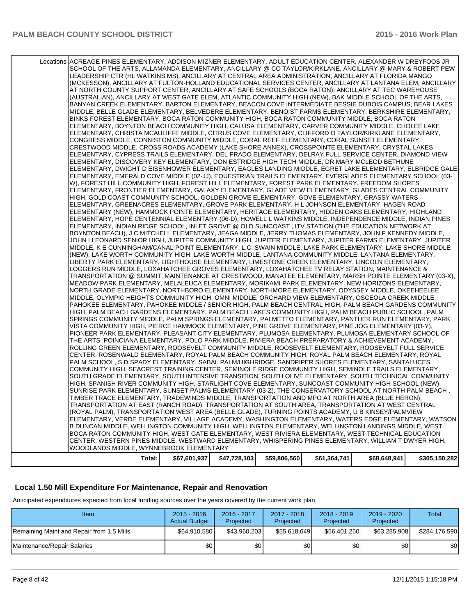| Total:                                                                                                                                                                                                  | \$67,601,937 | \$47,728,103 | \$59,806,560 | \$61,364,741 | \$68,648,941 | \$305,150,282 |
|---------------------------------------------------------------------------------------------------------------------------------------------------------------------------------------------------------|--------------|--------------|--------------|--------------|--------------|---------------|
| WOODLANDS MIDDLE, WYNNEBROOK ELEMENTARY                                                                                                                                                                 |              |              |              |              |              |               |
| CENTER, WESTERN PINES MIDDLE, WESTWARD ELEMENTARY, WHISPERING PINES ELEMENTARY, WILLIAM T DWYER HIGH,                                                                                                   |              |              |              |              |              |               |
| BOCA RATON COMMUNITY HIGH, WEST GATE ELEMENTARY, WEST RIVIERA ELEMENTARY, WEST TECHNICAL EDUCATION                                                                                                      |              |              |              |              |              |               |
| B DUNCAN MIDDLE, WELLINGTON COMMUNITY HIGH, WELLINGTON ELEMENTARY, WELLINGTON LANDINGS MIDDLE, WEST                                                                                                     |              |              |              |              |              |               |
| ELEMENTARY, VERDE ELEMENTARY, VILLAGE ACADEMY, WASHINGTON ELEMENTARY, WATERS EDGE ELEMENTARY, WATSON                                                                                                    |              |              |              |              |              |               |
| (ROYAL PALM), TRANSPORTATION WEST AREA (BELLE GLADE), TURNING POINTS ACADEMY, U B KINSEY/PALMVIEW                                                                                                       |              |              |              |              |              |               |
| TRANSPORTATION AT EAST (RANCH ROAD), TRANSPORTATION AT SOUTH AREA, TRANSPORTATION AT WEST CENTRAL                                                                                                       |              |              |              |              |              |               |
| TIMBER TRACE ELEMENTARY, TRADEWINDS MIDDLE, TRANSPORTATION AND MPO AT NORTH AREA (BLUE HERON),                                                                                                          |              |              |              |              |              |               |
| SUNRISE PARK ELEMENTARY, SUNSET PALMS ELEMENTARY (03-Z), THE CONSERVATORY SCHOOL AT NORTH PALM BEACH,                                                                                                   |              |              |              |              |              |               |
| HIGH, SPANISH RIVER COMMUNITY HIGH, STARLIGHT COVE ELEMENTARY, SUNCOAST COMMUNITY HIGH SCHOOL (NEW),                                                                                                    |              |              |              |              |              |               |
| SOUTH GRADE ELEMENTARY, SOUTH INTENSIVE TRANSITION, SOUTH OLIVE ELEMENTARY, SOUTH TECHNICAL COMMUNITY                                                                                                   |              |              |              |              |              |               |
| COMMUNITY HIGH, SEACREST TRAINING CENTER, SEMINOLE RIDGE COMMUNITY HIGH, SEMINOLE TRAILS ELEMENTARY,                                                                                                    |              |              |              |              |              |               |
| PALM SCHOOL, S D SPADY ELEMENTARY, SABAL PALM/HIGHRIDGE, SANDPIPER SHORES ELEMENTARY, SANTALUCES                                                                                                        |              |              |              |              |              |               |
| ROLLING GREEN ELEMENTARY, ROOSEVELT COMMUNITY MIDDLE, ROOSEVELT ELEMENTARY, ROOSEVELT FULL SERVICE<br>CENTER, ROSENWALD ELEMENTARY, ROYAL PALM BEACH COMMUNITY HIGH, ROYAL PALM BEACH ELEMENTARY, ROYAL |              |              |              |              |              |               |
| THE ARTS, POINCIANA ELEMENTARY, POLO PARK MIDDLE, RIVIERA BEACH PREPARATORY & ACHIEVEMENT ACADEMY,                                                                                                      |              |              |              |              |              |               |
| PIONEER PARK ELEMENTARY, PLEASANT CITY ELEMENTARY, PLUMOSA ELEMENTARY, PLUMOSA ELEMENTARY SCHOOL OF                                                                                                     |              |              |              |              |              |               |
| VISTA COMMUNITY HIGH, PIERCE HAMMOCK ELEMENTARY, PINE GROVE ELEMENTARY, PINE JOG ELEMENTARY (03-Y),                                                                                                     |              |              |              |              |              |               |
| SPRINGS COMMUNITY MIDDLE, PALM SPRINGS ELEMENTARY, PALMETTO ELEMENTARY, PANTHER RUN ELEMENTARY, PARK                                                                                                    |              |              |              |              |              |               |
| HIGH, PALM BEACH GARDENS ELEMENTARY, PALM BEACH LAKES COMMUNITY HIGH, PALM BEACH PUBLIC SCHOOL, PALM                                                                                                    |              |              |              |              |              |               |
| PAHOKEE ELEMENTARY, PAHOKEE MIDDLE / SENIOR HIGH, PALM BEACH CENTRAL HIGH, PALM BEACH GARDENS COMMUNITY                                                                                                 |              |              |              |              |              |               |
| MIDDLE, OLYMPIC HEIGHTS COMMUNITY HIGH, OMNI MIDDLE, ORCHARD VIEW ELEMENTARY, OSCEOLA CREEK MIDDLE,                                                                                                     |              |              |              |              |              |               |
| NORTH GRADE ELEMENTARY, NORTHBORO ELEMENTARY, NORTHMORE ELEMENTARY, ODYSSEY MIDDLE, OKEEHEELEE                                                                                                          |              |              |              |              |              |               |
| MEADOW PARK ELEMENTARY, MELALEUCA ELEMENTARY, MORIKAMI PARK ELEMENTARY, NEW HORIZONS ELEMENTARY,                                                                                                        |              |              |              |              |              |               |
| TRANSPORTATION @ SUMMIT, MAINTENANCE AT CRESTWOOD, MANATEE ELEMENTARY, MARSH POINTE ELEMENTARY (03-X),                                                                                                  |              |              |              |              |              |               |
| LOGGERS RUN MIDDLE, LOXAHATCHEE GROVES ELEMENTARY, LOXAHATCHEE TV RELAY STATION, MAINTENANCE &                                                                                                          |              |              |              |              |              |               |
| LIBERTY PARK ELEMENTARY, LIGHTHOUSE ELEMENTARY, LIMESTONE CREEK ELEMENTARY, LINCOLN ELEMENTARY,                                                                                                         |              |              |              |              |              |               |
| (NEW), LAKE WORTH COMMUNITY HIGH, LAKE WORTH MIDDLE, LANTANA COMMUNITY MIDDLE, LANTANA ELEMENTARY,                                                                                                      |              |              |              |              |              |               |
| MIDDLE, K E CUNNINGHAM/CANAL POINT ELEMENTARY, L.C. SWAIN MIDDLE, LAKE PARK ELEMENTARY, LAKE SHORE MIDDLE                                                                                               |              |              |              |              |              |               |
| JOHN I LEONARD SENIOR HIGH, JUPITER COMMUNITY HIGH, JUPITER ELEMENTARY, JUPITER FARMS ELEMENTARY, JUPITER                                                                                               |              |              |              |              |              |               |
| BOYNTON BEACH), J C MITCHELL ELEMENTARY, JEAGA MIDDLE, JERRY THOMAS ELEMENTARY, JOHN F KENNEDY MIDDLE,                                                                                                  |              |              |              |              |              |               |
| ELEMENTARY, INDIAN RIDGE SCHOOL, INLET GROVE @ OLD SUNCOAST , ITV STATION (THE EDUCATION NETWORK AT                                                                                                     |              |              |              |              |              |               |
| ELEMENTARY, HOPE CENTENNIAL ELEMENTARY (06-D), HOWELL L WATKINS MIDDLE, INDEPENDENCE MIDDLE, INDIAN PINES                                                                                               |              |              |              |              |              |               |
| ELEMENTARY (NEW), HAMMOCK POINTE ELEMENTARY, HERITAGE ELEMENTARY, HIDDEN OAKS ELEMENTARY, HIGHLAND                                                                                                      |              |              |              |              |              |               |
| ELEMENTARY, GREENACRES ELEMENTARY, GROVE PARK ELEMENTARY, H L JOHNSON ELEMENTARY, HAGEN ROAD                                                                                                            |              |              |              |              |              |               |
| HIGH, GOLD COAST COMMUNITY SCHOOL, GOLDEN GROVE ELEMENTARY, GOVE ELEMENTARY, GRASSY WATERS                                                                                                              |              |              |              |              |              |               |
| ELEMENTARY, FRONTIER ELEMENTARY, GALAXY ELEMENTARY, GLADE VIEW ELEMENTARY, GLADES CENTRAL COMMUNITY                                                                                                     |              |              |              |              |              |               |
| W), FOREST HILL COMMUNITY HIGH, FOREST HILL ELEMENTARY, FOREST PARK ELEMENTARY, FREEDOM SHORES                                                                                                          |              |              |              |              |              |               |
| ELEMENTARY, EMERALD COVE MIDDLE (02-JJ), EQUESTRIAN TRAILS ELEMENTARY, EVERGLADES ELEMENTARY SCHOOL (03-                                                                                                |              |              |              |              |              |               |
| ELEMENTARY, DWIGHT D EISENHOWER ELEMENTARY, EAGLES LANDING MIDDLE, EGRET LAKE ELEMENTARY, ELBRIDGE GALE                                                                                                 |              |              |              |              |              |               |
| ELEMENTARY, DISCOVERY KEY ELEMENTARY, DON ESTRIDGE HIGH TECH MIDDLE, DR MARY MCLEOD BETHUNE                                                                                                             |              |              |              |              |              |               |
| ELEMENTARY, CYPRESS TRAILS ELEMENTARY, DEL PRADO ELEMENTARY, DELRAY FULL SERVICE CENTER, DIAMOND VIEW                                                                                                   |              |              |              |              |              |               |
| CRESTWOOD MIDDLE, CROSS ROADS ACADEMY (LAKE SHORE ANNEX), CROSSPOINTE ELEMENTARY, CRYSTAL LAKES                                                                                                         |              |              |              |              |              |               |
| CONGRESS MIDDLE, CONNISTON COMMUNITY MIDDLE, CORAL REEF ELEMENTARY, CORAL SUNSET ELEMENTARY,                                                                                                            |              |              |              |              |              |               |
|                                                                                                                                                                                                         |              |              |              |              |              |               |
| ELEMENTARY, CHRISTA MCAULIFFE MIDDLE, CITRUS COVE ELEMENTARY, CLIFFORD O TAYLOR/KIRKLANE ELEMENTARY,                                                                                                    |              |              |              |              |              |               |
| ELEMENTARY, BOYNTON BEACH COMMUNITY HIGH, CALUSA ELEMENTARY, CARVER COMMUNITY MIDDLE, CHOLEE LAKE                                                                                                       |              |              |              |              |              |               |
| BINKS FOREST ELEMENTARY, BOCA RATON COMMUNITY HIGH, BOCA RATON COMMUNITY MIDDLE, BOCA RATON                                                                                                             |              |              |              |              |              |               |
| MIDDLE, BELLE GLADE ELEMENTARY, BELVEDERE ELEMENTARY, BENOIST FARMS ELEMENTARY, BERKSHIRE ELEMENTARY,                                                                                                   |              |              |              |              |              |               |
| BANYAN CREEK ELEMENTARY, BARTON ELEMENTARY, BEACON COVE INTERMEDIATE BESSIE DUBOIS CAMPUS, BEAR LAKES                                                                                                   |              |              |              |              |              |               |
| (AUSTRALIAN), ANCILLARY AT WEST GATE ELEM, ATLANTIC COMMUNITY HIGH (NEW), BAK MIDDLE SCHOOL OF THE ARTS,                                                                                                |              |              |              |              |              |               |
| AT NORTH COUNTY SUPPORT CENTER, ANCILLARY AT SAFE SCHOOLS (BOCA RATON), ANCILLARY AT TEC WAREHOUSE                                                                                                      |              |              |              |              |              |               |
| (MCKESSON), ANCILLARY AT FULTON-HOLLAND EDUCATIONAL SERVICES CENTER, ANCILLARY AT LANTANA ELEM, ANCILLARY                                                                                               |              |              |              |              |              |               |
| LEADERSHIP CTR (HL WATKINS MS), ANCILLARY AT CENTRAL AREA ADMINISTRATION, ANCILLARY AT FLORIDA MANGO                                                                                                    |              |              |              |              |              |               |
| SCHOOL OF THE ARTS, ALLAMANDA ELEMENTARY, ANCILLARY @ CO TAYLOR/KIRKLANE, ANCILLARY @ MARY & ROBERT PEW                                                                                                 |              |              |              |              |              |               |
| Locations ACREAGE PINES ELEMENTARY, ADDISON MIZNER ELEMENTARY, ADULT EDUCATION CENTER, ALEXANDER W DREYFOOS JR                                                                                          |              |              |              |              |              |               |
|                                                                                                                                                                                                         |              |              |              |              |              |               |

#### **Local 1.50 Mill Expenditure For Maintenance, Repair and Renovation**

Anticipated expenditures expected from local funding sources over the years covered by the current work plan.

| Item                                      | $2015 - 2016$<br><b>Actual Budget</b> | 2016 - 2017<br>Projected | 2017 - 2018<br>Projected | $2018 - 2019$<br>Projected | $2019 - 2020$<br>Projected | Total         |
|-------------------------------------------|---------------------------------------|--------------------------|--------------------------|----------------------------|----------------------------|---------------|
| Remaining Maint and Repair from 1.5 Mills | \$64,910,580                          | \$43,960,203             | \$55.618.649             | \$56,401,250               | \$63,285,908               | \$284.176.590 |
| Maintenance/Repair Salaries               | \$0                                   | \$0                      | \$0                      | \$0 <sub>1</sub>           | \$0                        | \$0           |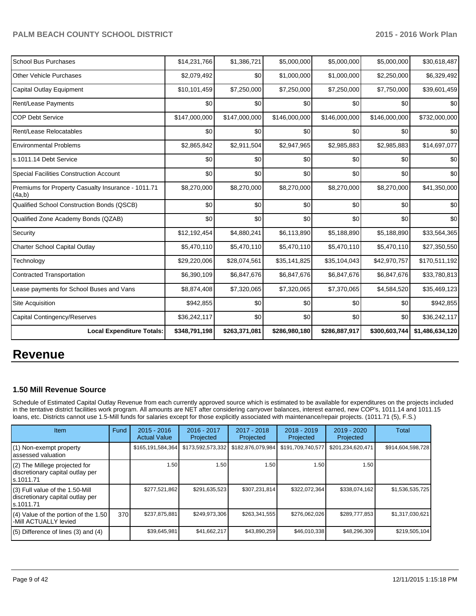| <b>School Bus Purchases</b>                                  | \$14,231,766  | \$1,386,721   | \$5,000,000   | \$5,000,000   | \$5,000,000   | \$30,618,487    |
|--------------------------------------------------------------|---------------|---------------|---------------|---------------|---------------|-----------------|
| <b>Other Vehicle Purchases</b>                               | \$2,079,492   | \$0           | \$1,000,000   | \$1,000,000   | \$2,250,000   | \$6,329,492     |
| Capital Outlay Equipment                                     | \$10,101,459  | \$7,250,000   | \$7,250,000   | \$7,250,000   | \$7,750,000   | \$39,601,459    |
| Rent/Lease Payments                                          | \$0           | \$0           | \$0           | \$0           | \$0           | \$0             |
| <b>COP Debt Service</b>                                      | \$147,000,000 | \$147,000,000 | \$146,000,000 | \$146,000,000 | \$146,000,000 | \$732,000,000   |
| Rent/Lease Relocatables                                      | \$0           | \$0           | \$0           | \$0           | \$0           | \$0             |
| <b>Environmental Problems</b>                                | \$2,865,842   | \$2,911,504   | \$2,947,965   | \$2,985,883   | \$2,985,883   | \$14,697,077    |
| s.1011.14 Debt Service                                       | \$0           | \$0           | \$0           | \$0           | \$0           | \$0             |
| <b>Special Facilities Construction Account</b>               | \$0           | \$0           | \$0           | \$0           | \$0           | \$0             |
| Premiums for Property Casualty Insurance - 1011.71<br>(4a,b) | \$8,270,000   | \$8,270,000   | \$8,270,000   | \$8,270,000   | \$8,270,000   | \$41,350,000    |
| Qualified School Construction Bonds (QSCB)                   | \$0           | \$0           | \$0           | \$0           | \$0           | \$0             |
| Qualified Zone Academy Bonds (QZAB)                          | \$0           | \$0           | \$0           | \$0           | \$0           | \$0             |
| Security                                                     | \$12,192,454  | \$4,880,241   | \$6,113,890   | \$5,188,890   | \$5,188,890   | \$33,564,365    |
| <b>Charter School Capital Outlay</b>                         | \$5,470,110   | \$5,470,110   | \$5,470,110   | \$5,470,110   | \$5,470,110   | \$27,350,550    |
| Technology                                                   | \$29,220,006  | \$28,074,561  | \$35,141,825  | \$35,104,043  | \$42,970,757  | \$170,511,192   |
| <b>Contracted Transportation</b>                             | \$6,390,109   | \$6,847,676   | \$6,847,676   | \$6,847,676   | \$6,847,676   | \$33,780,813    |
| Lease payments for School Buses and Vans                     | \$8,874,408   | \$7,320,065   | \$7,320,065   | \$7,370,065   | \$4,584,520   | \$35,469,123    |
| Site Acquisition                                             | \$942,855     | \$0           | \$0           | \$0           | \$0           | \$942,855       |
| Capital Contingency/Reserves                                 | \$36,242,117  | \$0           | \$0           | \$0           | \$0           | \$36,242,117    |
| <b>Local Expenditure Totals:</b>                             | \$348,791,198 | \$263,371,081 | \$286,980,180 | \$286,887,917 | \$300,603,744 | \$1,486,634,120 |

## **Revenue**

#### **1.50 Mill Revenue Source**

Schedule of Estimated Capital Outlay Revenue from each currently approved source which is estimated to be available for expenditures on the projects included in the tentative district facilities work program. All amounts are NET after considering carryover balances, interest earned, new COP's, 1011.14 and 1011.15 loans, etc. Districts cannot use 1.5-Mill funds for salaries except for those explicitly associated with maintenance/repair projects. (1011.71 (5), F.S.)

| Item                                                                                | Fund | $2015 - 2016$<br><b>Actual Value</b> | $2016 - 2017$<br>Projected | $2017 - 2018$<br>Projected | $2018 - 2019$<br>Projected | $2019 - 2020$<br>Projected | Total             |
|-------------------------------------------------------------------------------------|------|--------------------------------------|----------------------------|----------------------------|----------------------------|----------------------------|-------------------|
| (1) Non-exempt property<br>lassessed valuation                                      |      | \$165,191,584,364                    | \$173,592,573,332          | \$182,876,079,984          | \$191,709,740,577          | \$201,234,620,471          | \$914,604,598,728 |
| $(2)$ The Millege projected for<br>discretionary capital outlay per<br>ls.1011.71   |      | 1.50                                 | 1.50                       | 1.50                       | 1.50                       | 1.50                       |                   |
| $(3)$ Full value of the 1.50-Mill<br>discretionary capital outlay per<br>ls.1011.71 |      | \$277,521,862                        | \$291,635,523              | \$307,231,814              | \$322,072,364              | \$338,074,162              | \$1,536,535,725   |
| $(4)$ Value of the portion of the 1.50<br>I-Mill ACTUALLY levied                    | 370  | \$237,875,881                        | \$249,973,306              | \$263,341,555              | \$276,062,026              | \$289,777,853              | \$1,317,030,621   |
| $(5)$ Difference of lines $(3)$ and $(4)$                                           |      | \$39,645,981                         | \$41,662,217               | \$43,890,259               | \$46,010,338               | \$48,296,309               | \$219,505,104     |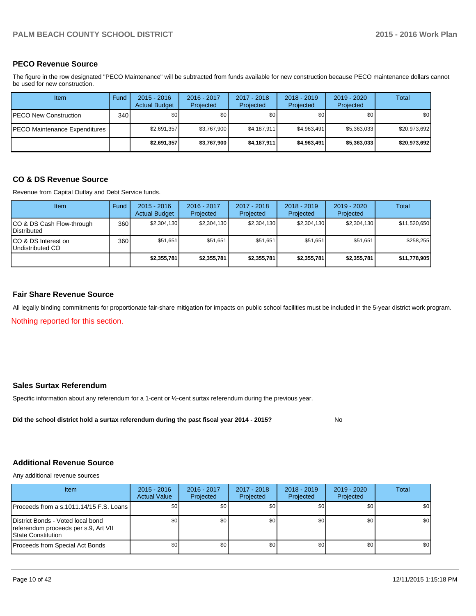#### **PECO Revenue Source**

The figure in the row designated "PECO Maintenance" will be subtracted from funds available for new construction because PECO maintenance dollars cannot be used for new construction.

| Item                          | Fund  | $2015 - 2016$<br><b>Actual Budget</b> | 2016 - 2017<br>Projected | 2017 - 2018<br>Projected | $2018 - 2019$<br>Projected | $2019 - 2020$<br>Projected | Total        |
|-------------------------------|-------|---------------------------------------|--------------------------|--------------------------|----------------------------|----------------------------|--------------|
| IPECO New Construction        | 340 l | \$O I                                 | \$0                      | \$0                      | \$0                        | \$0                        | \$0          |
| PECO Maintenance Expenditures |       | \$2,691,357                           | \$3,767,900              | \$4,187,911              | \$4.963.491                | \$5,363,033                | \$20.973.692 |
|                               |       | \$2,691,357                           | \$3,767,900              | \$4,187,911              | \$4,963,491                | \$5,363,033                | \$20,973,692 |

#### **CO & DS Revenue Source**

Revenue from Capital Outlay and Debt Service funds.

| <b>Item</b>                                     | Fund | $2015 - 2016$<br><b>Actual Budget</b> | $2016 - 2017$<br>Projected | $2017 - 2018$<br>Projected | $2018 - 2019$<br>Projected | $2019 - 2020$<br>Projected | Total        |
|-------------------------------------------------|------|---------------------------------------|----------------------------|----------------------------|----------------------------|----------------------------|--------------|
| CO & DS Cash Flow-through<br><b>Distributed</b> | 360  | \$2.304.130                           | \$2,304,130                | \$2,304,130                | \$2.304.130                | \$2,304,130                | \$11,520,650 |
| CO & DS Interest on<br>Undistributed CO         | 360  | \$51,651                              | \$51.651                   | \$51.651                   | \$51.651                   | \$51.651                   | \$258,255    |
|                                                 |      | \$2,355,781                           | \$2,355,781                | \$2,355,781                | \$2,355,781                | \$2,355,781                | \$11,778,905 |

#### **Fair Share Revenue Source**

All legally binding commitments for proportionate fair-share mitigation for impacts on public school facilities must be included in the 5-year district work program.

Nothing reported for this section.

#### **Sales Surtax Referendum**

Specific information about any referendum for a 1-cent or ½-cent surtax referendum during the previous year.

No **Did the school district hold a surtax referendum during the past fiscal year 2014 - 2015?**

#### **Additional Revenue Source**

Any additional revenue sources

| <b>Item</b>                                                                                             | $2015 - 2016$<br><b>Actual Value</b> | 2016 - 2017<br>Projected | 2017 - 2018<br>Projected | $2018 - 2019$<br>Projected | 2019 - 2020<br>Projected | Total |
|---------------------------------------------------------------------------------------------------------|--------------------------------------|--------------------------|--------------------------|----------------------------|--------------------------|-------|
| Proceeds from a s.1011.14/15 F.S. Loans                                                                 | SO I                                 | \$0                      | \$0                      | \$0                        | \$0                      | \$0   |
| District Bonds - Voted local bond<br>referendum proceeds per s.9, Art VII<br><b>IState Constitution</b> | SO I                                 | \$0 <sub>1</sub>         | \$0                      | \$0 <sub>0</sub>           | \$0                      | \$0   |
| Proceeds from Special Act Bonds                                                                         | \$0                                  | \$0 <sub>1</sub>         | \$0                      | \$0 <sub>0</sub>           | \$0                      | \$0   |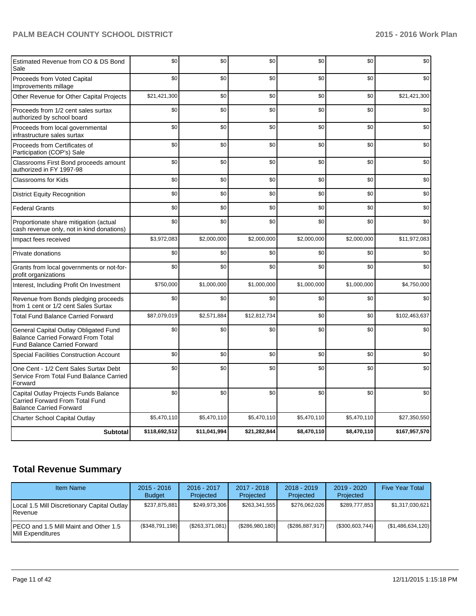| Estimated Revenue from CO & DS Bond<br>Sale                                                                        | \$0           | \$0          | \$0          | \$0         | \$0         | \$0           |
|--------------------------------------------------------------------------------------------------------------------|---------------|--------------|--------------|-------------|-------------|---------------|
| Proceeds from Voted Capital<br>Improvements millage                                                                | \$0           | \$0          | \$0          | \$0         | \$0         | \$0           |
| Other Revenue for Other Capital Projects                                                                           | \$21,421,300  | \$0          | \$0          | \$0         | \$0         | \$21,421,300  |
| Proceeds from 1/2 cent sales surtax<br>authorized by school board                                                  | \$0           | \$0          | \$0          | \$0         | \$0         | \$0           |
| Proceeds from local governmental<br>infrastructure sales surtax                                                    | \$0           | \$0          | \$0          | \$0         | \$0         | \$0           |
| Proceeds from Certificates of<br>Participation (COP's) Sale                                                        | \$0           | \$0          | \$0          | \$0         | \$0         | \$0           |
| Classrooms First Bond proceeds amount<br>authorized in FY 1997-98                                                  | \$0           | \$0          | \$0          | \$0         | \$0         | \$0           |
| <b>Classrooms for Kids</b>                                                                                         | \$0           | \$0          | \$0          | \$0         | \$0         | \$0           |
| <b>District Equity Recognition</b>                                                                                 | \$0           | \$0          | \$0          | \$0         | \$0         | \$0           |
| <b>Federal Grants</b>                                                                                              | \$0           | \$0          | \$0          | \$0         | \$0         | \$0           |
| Proportionate share mitigation (actual<br>cash revenue only, not in kind donations)                                | \$0           | \$0          | \$0          | \$0         | \$0         | \$0           |
| Impact fees received                                                                                               | \$3,972,083   | \$2,000,000  | \$2,000,000  | \$2,000,000 | \$2,000,000 | \$11,972,083  |
| Private donations                                                                                                  | \$0           | \$0          | \$0          | \$0         | \$0         | \$0           |
| Grants from local governments or not-for-<br>profit organizations                                                  | \$0           | \$0          | \$0          | \$0         | \$0         | \$0           |
| Interest, Including Profit On Investment                                                                           | \$750,000     | \$1,000,000  | \$1,000,000  | \$1,000,000 | \$1,000,000 | \$4,750,000   |
| Revenue from Bonds pledging proceeds<br>from 1 cent or 1/2 cent Sales Surtax                                       | \$0           | \$0          | \$0          | \$0         | \$0         | \$0           |
| <b>Total Fund Balance Carried Forward</b>                                                                          | \$87,079,019  | \$2,571,884  | \$12,812,734 | \$0         | \$0         | \$102,463,637 |
| General Capital Outlay Obligated Fund<br>Balance Carried Forward From Total<br><b>Fund Balance Carried Forward</b> | \$0           | \$0          | \$0          | \$0         | \$0         | \$0           |
| <b>Special Facilities Construction Account</b>                                                                     | \$0           | \$0          | \$0          | \$0         | \$0         | \$0           |
| One Cent - 1/2 Cent Sales Surtax Debt<br>Service From Total Fund Balance Carried<br>Forward                        | \$0           | \$0          | \$0          | \$0         | \$0         | \$0           |
| Capital Outlay Projects Funds Balance<br>Carried Forward From Total Fund<br><b>Balance Carried Forward</b>         | \$0           | \$0          | \$0          | \$0         | \$0         | \$0           |
| Charter School Capital Outlay                                                                                      | \$5,470,110   | \$5,470,110  | \$5,470,110  | \$5,470,110 | \$5,470,110 | \$27,350,550  |
| <b>Subtotal</b>                                                                                                    | \$118,692,512 | \$11,041,994 | \$21,282,844 | \$8,470,110 | \$8,470,110 | \$167,957,570 |

## **Total Revenue Summary**

| <b>Item Name</b>                                                    | $2015 - 2016$<br><b>Budget</b> | $2016 - 2017$<br>Projected | $2017 - 2018$<br>Projected | $2018 - 2019$<br>Projected | $2019 - 2020$<br>Projected | <b>Five Year Total</b> |
|---------------------------------------------------------------------|--------------------------------|----------------------------|----------------------------|----------------------------|----------------------------|------------------------|
| Local 1.5 Mill Discretionary Capital Outlay<br><b>I</b> Revenue     | \$237,875,881                  | \$249,973,306              | \$263,341,555              | \$276.062.026              | \$289.777.853              | \$1,317,030,621        |
| IPECO and 1.5 Mill Maint and Other 1.5<br><b>IMill Expenditures</b> | (\$348,791,198)                | (S263, 371, 081)           | (S286,980,180)             | (\$286, 887, 917)          | (\$300,603,744)            | (\$1,486,634,120)      |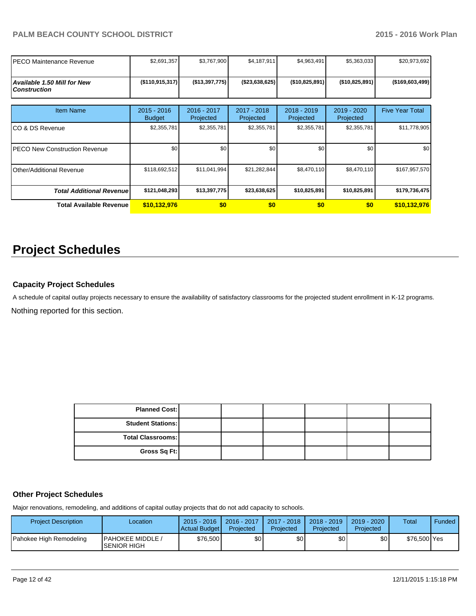| IPECO Maintenance Revenue                                 | \$2,691,357                    | \$3,767,900              | \$4,187,911              | \$4,963,491                | \$5,363,033              | \$20,973,692           |
|-----------------------------------------------------------|--------------------------------|--------------------------|--------------------------|----------------------------|--------------------------|------------------------|
| <b>Available 1.50 Mill for New</b><br><b>Construction</b> | (\$110, 915, 317)              | (\$13,397,775)           | (\$23,638,625)           | (\$10,825,891)             | (\$10,825,891)           | $($ \$169,603,499)     |
| <b>Item Name</b>                                          | $2015 - 2016$<br><b>Budget</b> | 2016 - 2017<br>Projected | 2017 - 2018<br>Projected | $2018 - 2019$<br>Projected | 2019 - 2020<br>Projected | <b>Five Year Total</b> |
| ICO & DS Revenue                                          | \$2,355,781                    | \$2,355,781              | \$2,355,781              | \$2,355,781                | \$2,355,781              | \$11,778,905           |
| IPECO New Construction Revenue                            | \$0                            | \$0                      | \$0                      | \$0                        | \$0                      | \$0                    |
| <b>Other/Additional Revenue</b>                           | \$118,692,512                  | \$11,041,994             | \$21,282,844             | \$8,470,110                | \$8,470,110              | \$167,957,570          |
| <b>Total Additional Revenuel</b>                          | \$121,048,293                  | \$13,397,775             | \$23,638,625             | \$10,825,891               | \$10,825,891             | \$179,736,475          |
| <b>Total Available Revenue</b>                            | \$10,132,976                   | \$0                      | \$0                      | \$0                        | \$0                      | \$10,132,976           |

## **Project Schedules**

#### **Capacity Project Schedules**

A schedule of capital outlay projects necessary to ensure the availability of satisfactory classrooms for the projected student enrollment in K-12 programs.

Nothing reported for this section.

| <b>Planned Cost:</b>     |  |  |  |
|--------------------------|--|--|--|
| <b>Student Stations:</b> |  |  |  |
| Total Classrooms:        |  |  |  |
| Gross Sq Ft:             |  |  |  |

### **Other Project Schedules**

Major renovations, remodeling, and additions of capital outlay projects that do not add capacity to schools.

| <b>Project Description</b> | Location                                        | $2015 - 2016$<br>Actual Budget | 2016 - 2017<br>Projected | 2017 - 2018<br>Projected | $2018 - 2019$<br>Projected | $2019 - 2020$<br>Projected | Total        | Funded |
|----------------------------|-------------------------------------------------|--------------------------------|--------------------------|--------------------------|----------------------------|----------------------------|--------------|--------|
| Pahokee High Remodeling    | <b>IPAHOKEE MIDDLE /</b><br><b>ISENIOR HIGH</b> | \$76,500 <b> </b>              | \$0                      | \$0 <sub>1</sub>         | \$OI                       | \$0                        | \$76,500 Yes |        |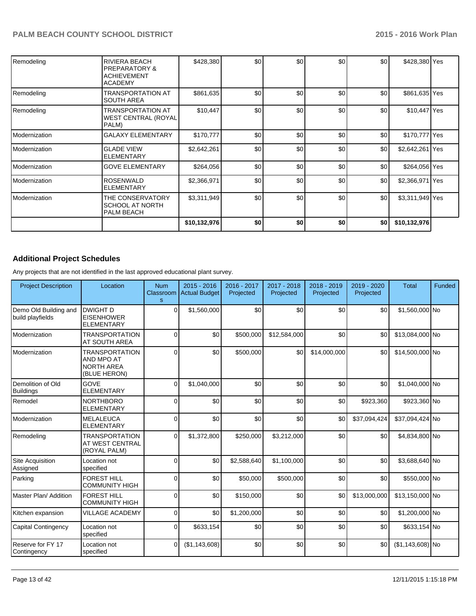| Remodeling    | <b>RIVIERA BEACH</b><br><b>IPREPARATORY &amp;</b><br><b>ACHIEVEMENT</b><br><b>ACADEMY</b> | \$428,380    | \$0 | \$0 | \$0 | \$0 | \$428,380 Yes   |  |
|---------------|-------------------------------------------------------------------------------------------|--------------|-----|-----|-----|-----|-----------------|--|
| Remodeling    | <b>TRANSPORTATION AT</b><br><b>SOUTH AREA</b>                                             | \$861,635    | \$0 | \$0 | \$0 | \$0 | \$861,635 Yes   |  |
| Remodeling    | <b>TRANSPORTATION AT</b><br>WEST CENTRAL (ROYAL)<br>PALM)                                 | \$10,447     | \$0 | \$0 | \$0 | \$0 | \$10,447 Yes    |  |
| Modernization | <b>GALAXY ELEMENTARY</b>                                                                  | \$170,777    | \$0 | \$0 | \$0 | \$0 | \$170,777 Yes   |  |
| Modernization | <b>GLADE VIEW</b><br><b>ELEMENTARY</b>                                                    | \$2,642,261  | \$0 | \$0 | \$0 | \$0 | \$2,642,261 Yes |  |
| Modernization | <b>GOVE ELEMENTARY</b>                                                                    | \$264,056    | \$0 | \$0 | \$0 | \$0 | \$264,056 Yes   |  |
| Modernization | ROSENWALD<br><b>ELEMENTARY</b>                                                            | \$2,366,971  | \$0 | \$0 | \$0 | \$0 | \$2,366,971 Yes |  |
| Modernization | THE CONSERVATORY<br><b>SCHOOL AT NORTH</b><br><b>PALM BEACH</b>                           | \$3,311,949  | \$0 | \$0 | \$0 | \$0 | \$3,311,949 Yes |  |
|               |                                                                                           | \$10,132,976 | \$0 | \$0 | \$0 | \$0 | \$10,132,976    |  |

## **Additional Project Schedules**

Any projects that are not identified in the last approved educational plant survey.

| <b>Project Description</b>                | Location                                                                 | <b>Num</b><br>Classroom<br>s | $2015 - 2016$<br><b>Actual Budget</b> | 2016 - 2017<br>Projected | 2017 - 2018<br>Projected | 2018 - 2019<br>Projected | 2019 - 2020<br>Projected | <b>Total</b>        | Funded |
|-------------------------------------------|--------------------------------------------------------------------------|------------------------------|---------------------------------------|--------------------------|--------------------------|--------------------------|--------------------------|---------------------|--------|
| Demo Old Building and<br>build playfields | <b>DWIGHT D</b><br><b>EISENHOWER</b><br><b>ELEMENTARY</b>                | $\Omega$                     | \$1,560,000                           | \$0                      | \$0                      | \$0                      | \$0                      | \$1,560,000 No      |        |
| Modernization                             | <b>TRANSPORTATION</b><br>AT SOUTH AREA                                   | $\Omega$                     | \$0                                   | \$500,000                | \$12,584,000             | \$0                      | \$0                      | \$13,084,000 No     |        |
| Modernization                             | <b>TRANSPORTATION</b><br>AND MPO AT<br><b>NORTH AREA</b><br>(BLUE HERON) | $\Omega$                     | \$0                                   | \$500,000                | \$0                      | \$14,000,000             | \$0                      | \$14,500,000 No     |        |
| Demolition of Old<br><b>Buildings</b>     | GOVE<br><b>ELEMENTARY</b>                                                | $\Omega$                     | \$1,040,000                           | \$0                      | \$0                      | \$0                      | \$0                      | \$1,040,000 No      |        |
| Remodel                                   | <b>NORTHBORO</b><br><b>ELEMENTARY</b>                                    | $\Omega$                     | \$0                                   | \$0                      | \$0                      | \$0                      | \$923,360                | \$923,360 No        |        |
| Modernization                             | <b>MELALEUCA</b><br><b>ELEMENTARY</b>                                    | $\Omega$                     | \$0                                   | \$0                      | \$0                      | \$0                      | \$37,094,424             | \$37,094,424 No     |        |
| Remodeling                                | <b>TRANSPORTATION</b><br>AT WEST CENTRAL<br>(ROYAL PALM)                 | $\Omega$                     | \$1,372,800                           | \$250,000                | \$3,212,000              | \$0                      | \$0                      | \$4,834,800 No      |        |
| <b>Site Acquisition</b><br>Assigned       | Location not<br>specified                                                | $\Omega$                     | \$0                                   | \$2,588,640              | \$1,100,000              | \$0                      | \$0                      | \$3,688,640 No      |        |
| Parking                                   | <b>FOREST HILL</b><br><b>COMMUNITY HIGH</b>                              | $\Omega$                     | \$0                                   | \$50,000                 | \$500,000                | \$0                      | \$0                      | \$550,000 No        |        |
| Master Plan/ Addition                     | <b>FOREST HILL</b><br><b>COMMUNITY HIGH</b>                              | $\Omega$                     | \$0                                   | \$150,000                | \$0                      | \$0                      | \$13,000,000             | \$13,150,000 No     |        |
| Kitchen expansion                         | <b>VILLAGE ACADEMY</b>                                                   | $\Omega$                     | \$0                                   | \$1,200,000              | \$0                      | \$0                      | \$0                      | \$1,200,000 No      |        |
| <b>Capital Contingency</b>                | Location not<br>specified                                                | U                            | \$633,154                             | \$0                      | \$0                      | \$0                      | \$0                      | \$633,154 No        |        |
| Reserve for FY 17<br>Contingency          | Location not<br>specified                                                | $\Omega$                     | (\$1,143,608)                         | \$0                      | \$0                      | \$0                      | \$0                      | $(S1, 143, 608)$ No |        |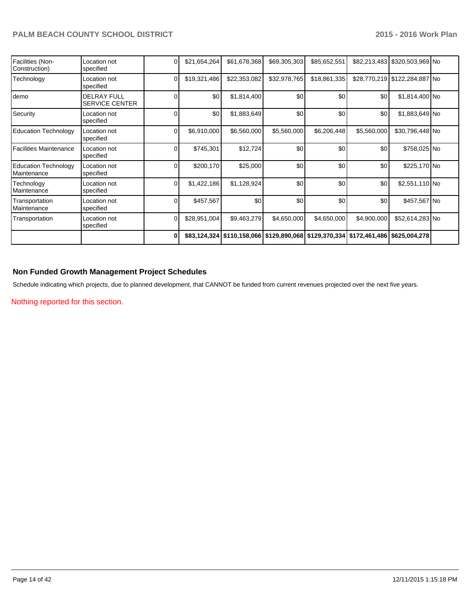| Facilities (Non-<br>Construction)          | Location not<br>specified                   |          | \$21,654,264 | \$61,678,368                                                         | \$69,305,303 | \$85,652,551 | \$82,213,483 | \$320,503,969 No              |  |
|--------------------------------------------|---------------------------------------------|----------|--------------|----------------------------------------------------------------------|--------------|--------------|--------------|-------------------------------|--|
| Technology                                 | Location not<br>specified                   | $\Omega$ | \$19,321,486 | \$22,353,082                                                         | \$32,978,765 | \$18,861,335 |              | \$28,770,219 \$122,284,887 No |  |
| demo                                       | <b>DELRAY FULL</b><br><b>SERVICE CENTER</b> |          | \$0          | \$1,814,400                                                          | \$0          | \$0          | \$0          | \$1,814,400 No                |  |
| Security                                   | Location not<br>specified                   |          | \$0          | \$1,883,649                                                          | \$0          | \$0          | \$0          | \$1,883,649 No                |  |
| <b>Education Technology</b>                | Location not<br>specified                   |          | \$6,910,000  | \$6,560,000                                                          | \$5,560,000  | \$6,206,448  | \$5,560,000  | \$30,796,448 No               |  |
| <b>Facilities Maintenance</b>              | Location not<br>specified                   |          | \$745,301    | \$12,724                                                             | \$0          | \$0          | \$0          | \$758,025 No                  |  |
| <b>Education Technology</b><br>Maintenance | Location not<br>specified                   | ი        | \$200,170    | \$25,000                                                             | \$0          | \$0          | \$0          | \$225,170 No                  |  |
| Technology<br>Maintenance                  | Location not<br>specified                   | ∩        | \$1,422,186  | \$1,128,924                                                          | \$0          | \$0          | \$0          | \$2,551,110 No                |  |
| Transportation<br>Maintenance              | Location not<br>specified                   |          | \$457,567    | \$0                                                                  | \$0          | \$0          | \$0          | \$457,567 No                  |  |
| Transportation                             | Location not<br>specified                   | U        | \$28,951,004 | \$9,463,279                                                          | \$4,650,000  | \$4,650,000  | \$4,900,000  | \$52,614,283 No               |  |
|                                            |                                             | O        |              | \$83,124,324 \$110,158,066 \$129,890,068 \$129,370,334 \$172,461,486 |              |              |              | \$625,004,278                 |  |

## **Non Funded Growth Management Project Schedules**

Schedule indicating which projects, due to planned development, that CANNOT be funded from current revenues projected over the next five years.

Nothing reported for this section.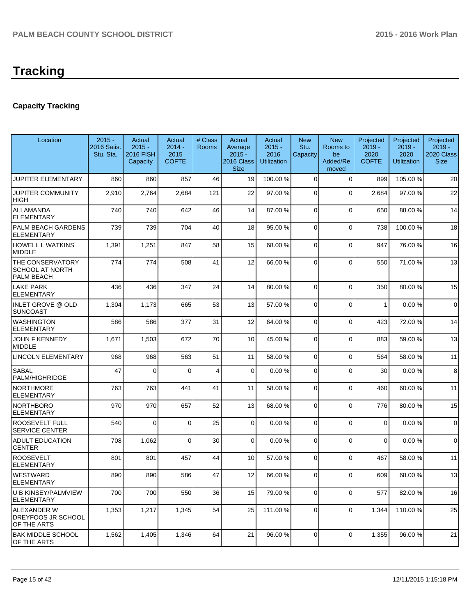# **Tracking**

## **Capacity Tracking**

| Location                                                 | $2015 -$<br>2016 Satis.<br>Stu. Sta. | Actual<br>$2015 -$<br><b>2016 FISH</b><br>Capacity | Actual<br>$2014 -$<br>2015<br><b>COFTE</b> | # Class<br>Rooms | Actual<br>Average<br>$2015 -$<br>2016 Class<br><b>Size</b> | Actual<br>$2015 -$<br>2016<br>Utilization | <b>New</b><br>Stu.<br>Capacity | <b>New</b><br>Rooms to<br>be<br>Added/Re<br>moved | Projected<br>$2019 -$<br>2020<br><b>COFTE</b> | Projected<br>$2019 -$<br>2020<br><b>Utilization</b> | Projected<br>$2019 -$<br>2020 Class<br><b>Size</b> |
|----------------------------------------------------------|--------------------------------------|----------------------------------------------------|--------------------------------------------|------------------|------------------------------------------------------------|-------------------------------------------|--------------------------------|---------------------------------------------------|-----------------------------------------------|-----------------------------------------------------|----------------------------------------------------|
| JUPITER ELEMENTARY                                       | 860                                  | 860                                                | 857                                        | 46               | 19                                                         | 100.00 %                                  | 0                              | $\Omega$                                          | 899                                           | 105.00 %                                            | 20                                                 |
| JUPITER COMMUNITY<br><b>HIGH</b>                         | 2,910                                | 2,764                                              | 2,684                                      | 121              | 22                                                         | 97.00 %                                   | 0                              | $\Omega$                                          | 2,684                                         | 97.00 %                                             | 22                                                 |
| <b>ALLAMANDA</b><br><b>ELEMENTARY</b>                    | 740                                  | 740                                                | 642                                        | 46               | 14                                                         | 87.00 %                                   | $\overline{0}$                 | $\Omega$                                          | 650                                           | 88.00 %                                             | 14                                                 |
| PALM BEACH GARDENS<br><b>ELEMENTARY</b>                  | 739                                  | 739                                                | 704                                        | 40               | 18                                                         | 95.00 %                                   | 0                              | $\Omega$                                          | 738                                           | 100.00%                                             | 18                                                 |
| <b>HOWELL L WATKINS</b><br><b>MIDDLE</b>                 | 1,391                                | 1,251                                              | 847                                        | 58               | 15                                                         | 68.00 %                                   | 0                              | $\Omega$                                          | 947                                           | 76.00 %                                             | 16                                                 |
| THE CONSERVATORY<br><b>SCHOOL AT NORTH</b><br>PALM BEACH | 774                                  | 774                                                | 508                                        | 41               | 12                                                         | 66.00 %                                   | 0                              | $\Omega$                                          | 550                                           | 71.00%                                              | 13                                                 |
| LAKE PARK<br><b>ELEMENTARY</b>                           | 436                                  | 436                                                | 347                                        | 24               | 14                                                         | 80.00 %                                   | 0                              | $\Omega$                                          | 350                                           | 80.00 %                                             | 15                                                 |
| INLET GROVE @ OLD<br><b>SUNCOAST</b>                     | 1,304                                | 1,173                                              | 665                                        | 53               | 13                                                         | 57.00 %                                   | 0                              | $\Omega$                                          | 1                                             | 0.00%                                               | $\mathbf 0$                                        |
| <b>WASHINGTON</b><br><b>ELEMENTARY</b>                   | 586                                  | 586                                                | 377                                        | 31               | 12                                                         | 64.00 %                                   | 0                              | $\Omega$                                          | 423                                           | 72.00 %                                             | 14                                                 |
| <b>JOHN F KENNEDY</b><br>MIDDLE                          | 1,671                                | 1,503                                              | 672                                        | 70               | 10                                                         | 45.00 %                                   | 0                              | $\Omega$                                          | 883                                           | 59.00 %                                             | 13                                                 |
| LINCOLN ELEMENTARY                                       | 968                                  | 968                                                | 563                                        | 51               | 11                                                         | 58.00 %                                   | 0                              | $\Omega$                                          | 564                                           | 58.00 %                                             | 11                                                 |
| SABAL<br>PALM/HIGHRIDGE                                  | 47                                   | $\Omega$                                           | $\Omega$                                   | 4                | $\Omega$                                                   | 0.00%                                     | 0                              | $\Omega$                                          | 30                                            | 0.00%                                               | 8                                                  |
| <b>NORTHMORE</b><br><b>ELEMENTARY</b>                    | 763                                  | 763                                                | 441                                        | 41               | 11                                                         | 58.00 %                                   | 0                              | $\Omega$                                          | 460                                           | 60.00%                                              | 11                                                 |
| <b>NORTHBORO</b><br><b>ELEMENTARY</b>                    | 970                                  | 970                                                | 657                                        | 52               | 13                                                         | 68.00 %                                   | 0                              | $\Omega$                                          | 776                                           | 80.00 %                                             | 15                                                 |
| <b>ROOSEVELT FULL</b><br><b>SERVICE CENTER</b>           | 540                                  | $\Omega$                                           | $\Omega$                                   | 25               | $\Omega$                                                   | 0.00%                                     | 0                              | $\Omega$                                          | $\mathbf 0$                                   | 0.00%                                               | $\mathbf 0$                                        |
| <b>ADULT EDUCATION</b><br><b>CENTER</b>                  | 708                                  | 1,062                                              | $\Omega$                                   | 30               | $\Omega$                                                   | 0.00%                                     | $\Omega$                       | $\Omega$                                          | $\mathbf 0$                                   | 0.00%                                               | $\mathbf 0$                                        |
| <b>ROOSEVELT</b><br><b>ELEMENTARY</b>                    | 801                                  | 801                                                | 457                                        | 44               | 10 <sup>1</sup>                                            | 57.00 %                                   | 0                              | $\Omega$                                          | 467                                           | 58.00 %                                             | 11                                                 |
| <b>WESTWARD</b><br>ELEMENTARY                            | 890                                  | 890                                                | 586                                        | 47               | 12                                                         | 66.00 %                                   | 0                              | $\Omega$                                          | 609                                           | 68.00 %                                             | 13                                                 |
| U B KINSEY/PALMVIEW<br><b>ELEMENTARY</b>                 | 700                                  | 700                                                | 550                                        | 36               | 15                                                         | 79.00 %                                   | 0                              | $\mathbf 0$                                       | 577                                           | 82.00%                                              | 16                                                 |
| ALEXANDER W<br>DREYFOOS JR SCHOOL<br>OF THE ARTS         | 1,353                                | 1,217                                              | 1,345                                      | 54               | 25                                                         | 111.00 %                                  | $\mathbf 0$                    | $\Omega$                                          | 1,344                                         | 110.00%                                             | 25                                                 |
| <b>BAK MIDDLE SCHOOL</b><br>OF THE ARTS                  | 1,562                                | 1,405                                              | 1,346                                      | 64               | 21                                                         | 96.00 %                                   | 0                              | $\mathbf 0$                                       | 1,355                                         | 96.00 %                                             | 21                                                 |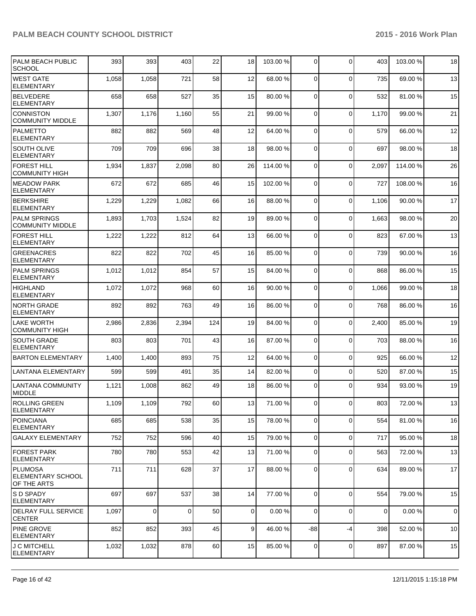| <b>PALM BEACH PUBLIC</b><br><b>SCHOOL</b>      | 393   | 393         | 403            | 22  | 18             | 103.00 % | $\overline{0}$ | 0           | 403            | 103.00%  | 18          |
|------------------------------------------------|-------|-------------|----------------|-----|----------------|----------|----------------|-------------|----------------|----------|-------------|
| <b>WEST GATE</b><br>ELEMENTARY                 | 1,058 | 1,058       | 721            | 58  | 12             | 68.00 %  | $\Omega$       | 0           | 735            | 69.00 %  | 13          |
| <b>BELVEDERE</b><br>ELEMENTARY                 | 658   | 658         | 527            | 35  | 15             | 80.00 %  | $\overline{0}$ | $\mathbf 0$ | 532            | 81.00%   | 15          |
| Iconniston<br><b>COMMUNITY MIDDLE</b>          | 1,307 | 1,176       | 1,160          | 55  | 21             | 99.00 %  | $\mathbf 0$    | 0           | 1,170          | 99.00 %  | 21          |
| PALMETTO<br><b>ELEMENTARY</b>                  | 882   | 882         | 569            | 48  | 12             | 64.00 %  | $\mathbf 0$    | $\mathbf 0$ | 579            | 66.00 %  | 12          |
| <b>SOUTH OLIVE</b><br>ELEMENTARY               | 709   | 709         | 696            | 38  | 18             | 98.00 %  | $\Omega$       | $\mathbf 0$ | 697            | 98.00 %  | 18          |
| <b>FOREST HILL</b><br> COMMUNITY HIGH          | 1,934 | 1,837       | 2,098          | 80  | 26             | 114.00 % | $\Omega$       | 0           | 2,097          | 114.00 % | 26          |
| <b>IMEADOW PARK</b><br>ELEMENTARY              | 672   | 672         | 685            | 46  | 15             | 102.00%  | $\mathbf 0$    | 0           | 727            | 108.00%  | 16          |
| <b>BERKSHIRE</b><br>ELEMENTARY                 | 1,229 | 1,229       | 1,082          | 66  | 16             | 88.00 %  | 0              | $\mathbf 0$ | 1,106          | 90.00%   | 17          |
| <b>PALM SPRINGS</b><br><b>COMMUNITY MIDDLE</b> | 1,893 | 1,703       | 1,524          | 82  | 19             | 89.00 %  | $\Omega$       | $\mathbf 0$ | 1,663          | 98.00 %  | 20          |
| <b>FOREST HILL</b><br><b>ELEMENTARY</b>        | 1,222 | 1,222       | 812            | 64  | 13             | 66.00 %  | $\overline{0}$ | $\mathbf 0$ | 823            | 67.00 %  | 13          |
| <b>GREENACRES</b><br><b>ELEMENTARY</b>         | 822   | 822         | 702            | 45  | 16             | 85.00 %  | $\overline{0}$ | 0           | 739            | 90.00%   | 16          |
| <b>PALM SPRINGS</b><br>ELEMENTARY              | 1,012 | 1,012       | 854            | 57  | 15             | 84.00 %  | 0              | 0           | 868            | 86.00 %  | 15          |
| <b>HIGHLAND</b><br>ELEMENTARY                  | 1,072 | 1,072       | 968            | 60  | 16             | 90.00 %  | $\Omega$       | $\mathbf 0$ | 1,066          | 99.00 %  | 18          |
| NORTH GRADE<br>ELEMENTARY                      | 892   | 892         | 763            | 49  | 16             | 86.00 %  | $\overline{0}$ | 0           | 768            | 86.00 %  | 16          |
| <b>LAKE WORTH</b><br><b>COMMUNITY HIGH</b>     | 2,986 | 2,836       | 2,394          | 124 | 19             | 84.00 %  | $\mathbf 0$    | $\mathbf 0$ | 2,400          | 85.00 %  | 19          |
| <b>SOUTH GRADE</b><br>ELEMENTARY               | 803   | 803         | 701            | 43  | 16             | 87.00 %  | $\Omega$       | 0           | 703            | 88.00 %  | 16          |
| <b>BARTON ELEMENTARY</b>                       | 1,400 | 1,400       | 893            | 75  | 12             | 64.00 %  | $\overline{0}$ | $\mathbf 0$ | 925            | 66.00 %  | 12          |
| <b>LANTANA ELEMENTARY</b>                      | 599   | 599         | 491            | 35  | 14             | 82.00 %  | $\overline{0}$ | $\mathbf 0$ | 520            | 87.00 %  | 15          |
| LANTANA COMMUNITY<br>MIDDLE                    | 1,121 | 1,008       | 862            | 49  | 18             | 86.00 %  | $\Omega$       | $\Omega$    | 934            | 93.00 %  | 19          |
| ROLLING GREEN<br>ELEMENTARY                    | 1,109 | 1,109       | 792            | 60  | 13             | 71.00 %  | $\overline{0}$ | 0           | 803            | 72.00 %  | 13          |
| POINCIANA<br><b>ELEMENTARY</b>                 | 685   | 685         | 538            | 35  | 15             | 78.00 %  | $\overline{0}$ | $\mathbf 0$ | 554            | 81.00%   | 16          |
| <b>GALAXY ELEMENTARY</b>                       | 752   | 752         | 596            | 40  | 15             | 79.00 %  | $\overline{0}$ | $\mathbf 0$ | 717            | 95.00 %  | 18          |
| <b>FOREST PARK</b><br> ELEMENTARY              | 780   | 780         | 553            | 42  | 13             | 71.00 %  | $\overline{0}$ | 0           | 563            | 72.00 %  | 13          |
| PLUMOSA<br> ELEMENTARY SCHOOL<br>OF THE ARTS   | 711   | 711         | 628            | 37  | 17             | 88.00 %  | $\overline{0}$ | 0           | 634            | 89.00 %  | 17          |
| <b>S D SPADY</b><br>ELEMENTARY                 | 697   | 697         | 537            | 38  | 14             | 77.00 %  | $\Omega$       | $\mathbf 0$ | 554            | 79.00 %  | 15          |
| <b>DELRAY FULL SERVICE</b><br> CENTER          | 1,097 | $\mathbf 0$ | $\overline{0}$ | 50  | $\overline{0}$ | 0.00%    | $\overline{0}$ | 0           | $\overline{0}$ | 0.00%    | $\mathbf 0$ |
| <b>PINE GROVE</b><br><b>ELEMENTARY</b>         | 852   | 852         | 393            | 45  | 9 <sub>l</sub> | 46.00 %  | $-88$          | -4          | 398            | 52.00 %  | 10          |
| <b>J C MITCHELL</b><br><b>ELEMENTARY</b>       | 1,032 | 1,032       | 878            | 60  | 15             | 85.00 %  | 0              | 0           | 897            | 87.00 %  | 15          |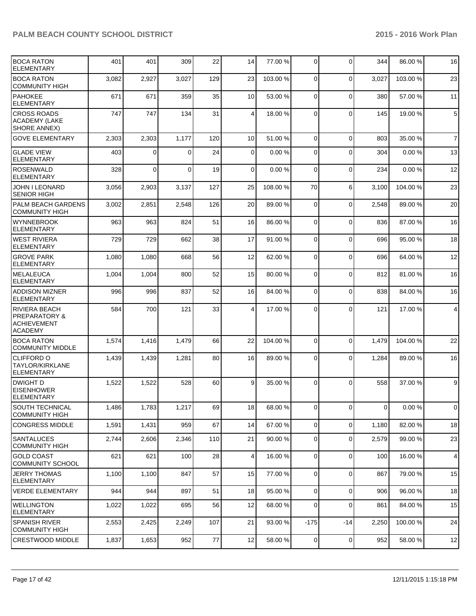| <b>BOCA RATON</b><br><b>ELEMENTARY</b>                                     | 401   | 401      | 309      | 22     | 14              | 77.00 %  | $\overline{0}$ | $\Omega$       | 344            | 86.00 %  | 16             |
|----------------------------------------------------------------------------|-------|----------|----------|--------|-----------------|----------|----------------|----------------|----------------|----------|----------------|
| <b>BOCA RATON</b><br><b>COMMUNITY HIGH</b>                                 | 3,082 | 2,927    | 3,027    | 129    | 23              | 103.00 % | $\Omega$       | $\mathbf{0}$   | 3,027          | 103.00 % | 23             |
| <b>PAHOKEE</b><br>ELEMENTARY                                               | 671   | 671      | 359      | 35     | 10 <sup>1</sup> | 53.00 %  | $\Omega$       | $\Omega$       | 380            | 57.00 %  | 11             |
| <b>CROSS ROADS</b><br>ACADEMY (LAKE<br><b>SHORE ANNEX)</b>                 | 747   | 747      | 134      | 31     | $\vert$         | 18.00 %  | $\Omega$       | $\mathbf{0}$   | 145            | 19.00 %  | $\overline{5}$ |
| <b>GOVE ELEMENTARY</b>                                                     | 2,303 | 2,303    | 1,177    | 120    | 10 <sup>1</sup> | 51.00 %  | $\Omega$       | $\mathbf 0$    | 803            | 35.00 %  | $\overline{7}$ |
| <b>GLADE VIEW</b><br><b>ELEMENTARY</b>                                     | 403   | $\Omega$ | $\Omega$ | 24     | $\overline{0}$  | 0.00%    | $\Omega$       | $\Omega$       | 304            | 0.00%    | 13             |
| <b>ROSENWALD</b><br><b>ELEMENTARY</b>                                      | 328   | $\Omega$ | $\Omega$ | 19     | $\Omega$        | 0.00%    | $\Omega$       | $\mathbf{0}$   | 234            | 0.00%    | 12             |
| <b>JOHN I LEONARD</b><br><b>SENIOR HIGH</b>                                | 3,056 | 2,903    | 3,137    | 127    | 25              | 108.00 % | 70             | 6              | 3,100          | 104.00%  | 23             |
| PALM BEACH GARDENS<br><b>COMMUNITY HIGH</b>                                | 3,002 | 2,851    | 2,548    | 126    | 20              | 89.00 %  | $\Omega$       | 0              | 2,548          | 89.00 %  | 20             |
| Iwynnebrook<br><b>ELEMENTARY</b>                                           | 963   | 963      | 824      | 51     | 16              | 86.00 %  | $\Omega$       | $\mathbf{0}$   | 836            | 87.00%   | 16             |
| IWEST RIVIERA<br><b>ELEMENTARY</b>                                         | 729   | 729      | 662      | 38     | 17              | 91.00 %  | $\Omega$       | $\mathbf{0}$   | 696            | 95.00 %  | 18             |
| <b>GROVE PARK</b><br><b>ELEMENTARY</b>                                     | 1,080 | 1,080    | 668      | 56     | 12              | 62.00 %  | $\Omega$       | $\Omega$       | 696            | 64.00%   | 12             |
| <b>MELALEUCA</b><br><b>ELEMENTARY</b>                                      | 1,004 | 1,004    | 800      | 52     | 15              | 80.00 %  | $\Omega$       | $\Omega$       | 812            | 81.00%   | 16             |
| <b>ADDISON MIZNER</b><br>ELEMENTARY                                        | 996   | 996      | 837      | 52     | 16              | 84.00 %  | $\Omega$       | $\mathbf{0}$   | 838            | 84.00 %  | 16             |
| <b>RIVIERA BEACH</b><br><b>PREPARATORY &amp;</b><br>ACHIEVEMENT<br>ACADEMY | 584   | 700      | 121      | 33     | 4               | 17.00 %  | $\Omega$       | $\Omega$       | 121            | 17.00 %  | $\overline{4}$ |
| <b>BOCA RATON</b><br><b>COMMUNITY MIDDLE</b>                               | 1,574 | 1,416    | 1,479    | 66     | 22              | 104.00 % | $\Omega$       | $\Omega$       | 1,479          | 104.00%  | 22             |
| <b>CLIFFORD O</b><br>TAYLOR/KIRKLANE<br><b>ELEMENTARY</b>                  | 1,439 | 1,439    | 1,281    | 80     | 16              | 89.00 %  | $\Omega$       | $\mathbf{0}$   | 1,284          | 89.00 %  | 16             |
| <b>DWIGHT D</b><br><b>EISENHOWER</b><br><b>ELEMENTARY</b>                  | 1,522 | 1,522    | 528      | 60     | 9 <sup>1</sup>  | 35.00 %  | $\Omega$       | $\Omega$       | 558            | 37.00 %  | $9\,$          |
| SOUTH TECHNICAL<br><b>COMMUNITY HIGH</b>                                   | 1,486 | 1,783    | 1,217    | 69     | 18              | 68.00 %  | 01             | $\overline{0}$ | $\overline{0}$ | 0.00%    | $\mathbf 0$    |
| <b>CONGRESS MIDDLE</b>                                                     | 1,591 | 1,431    | 959      | 67     | 14              | 67.00 %  | $\overline{0}$ | $\mathbf{0}$   | 1,180          | 82.00 %  | 18             |
| SANTALUCES<br><b>COMMUNITY HIGH</b>                                        | 2,744 | 2,606    | 2,346    | 110    | 21              | 90.00 %  | $\Omega$       | 0              | 2,579          | 99.00 %  | 23             |
| <b>GOLD COAST</b><br><b>COMMUNITY SCHOOL</b>                               | 621   | 621      | 100      | 28     | $\vert$         | 16.00 %  | $\Omega$       | $\mathbf 0$    | 100            | 16.00%   | $\overline{4}$ |
| <b>JERRY THOMAS</b><br><b>ELEMENTARY</b>                                   | 1,100 | 1,100    | 847      | 57     | 15              | 77.00 %  | $\overline{0}$ | 0              | 867            | 79.00 %  | 15             |
| <b>VERDE ELEMENTARY</b>                                                    | 944   | 944      | 897      | 51     | 18              | 95.00 %  | $\overline{0}$ | 0              | 906            | 96.00%   | 18             |
| <b>I</b> WELLINGTON<br><b>ELEMENTARY</b>                                   | 1,022 | 1,022    | 695      | 56     | 12              | 68.00 %  | $\overline{0}$ | $\Omega$       | 861            | 84.00%   | 15             |
| <b>SPANISH RIVER</b><br><b>COMMUNITY HIGH</b>                              | 2,553 | 2,425    | 2,249    | 107    | 21              | 93.00 %  | $-175$         | -14            | 2,250          | 100.00%  | 24             |
| CRESTWOOD MIDDLE                                                           | 1,837 | 1,653    | 952      | $77\,$ | 12              | 58.00 %  | $\overline{0}$ | $\mathbf 0$    | 952            | 58.00%   | 12             |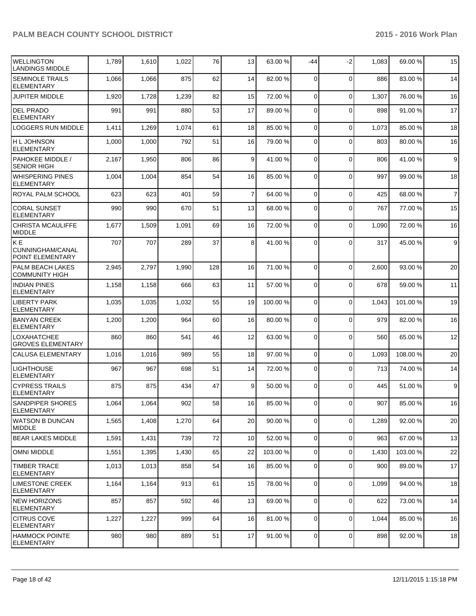| <b>WELLINGTON</b><br><b>LANDINGS MIDDLE</b>      | 1,789 | 1,610 | 1,022 | 76  | 13             | 63.00 %  | $-44$          | $-2$           | 1,083 | 69.00 %  | 15               |
|--------------------------------------------------|-------|-------|-------|-----|----------------|----------|----------------|----------------|-------|----------|------------------|
| <b>SEMINOLE TRAILS</b><br><b>ELEMENTARY</b>      | 1,066 | 1,066 | 875   | 62  | 14             | 82.00 %  | 0              | $\Omega$       | 886   | 83.00 %  | 14               |
| <b>JUPITER MIDDLE</b>                            | 1,920 | 1,728 | 1,239 | 82  | 15             | 72.00 %  | $\mathbf 0$    | $\mathbf 0$    | 1,307 | 76.00 %  | 16               |
| <b>DEL PRADO</b><br>ELEMENTARY                   | 991   | 991   | 880   | 53  | 17             | 89.00 %  | 0              | $\Omega$       | 898   | 91.00 %  | 17               |
| <b>LOGGERS RUN MIDDLE</b>                        | 1,411 | 1,269 | 1,074 | 61  | 18             | 85.00 %  | $\mathbf 0$    | $\Omega$       | 1,073 | 85.00 %  | 18               |
| H L JOHNSON<br><b>ELEMENTARY</b>                 | 1,000 | 1,000 | 792   | 51  | 16             | 79.00 %  | 0              | $\Omega$       | 803   | 80.00%   | 16               |
| <b>PAHOKEE MIDDLE /</b><br><b>SENIOR HIGH</b>    | 2,167 | 1,950 | 806   | 86  | 9              | 41.00 %  | $\Omega$       | $\Omega$       | 806   | 41.00 %  | 9                |
| <b>WHISPERING PINES</b><br><b>ELEMENTARY</b>     | 1,004 | 1,004 | 854   | 54  | 16             | 85.00 %  | $\Omega$       | $\Omega$       | 997   | 99.00 %  | 18               |
| <b>ROYAL PALM SCHOOL</b>                         | 623   | 623   | 401   | 59  | $\overline{7}$ | 64.00 %  | $\mathbf 0$    | $\mathbf 0$    | 425   | 68.00 %  | $\overline{7}$   |
| <b>CORAL SUNSET</b><br><b>ELEMENTARY</b>         | 990   | 990   | 670   | 51  | 13             | 68.00 %  | 0              | $\Omega$       | 767   | 77.00 %  | 15               |
| <b>CHRISTA MCAULIFFE</b><br>MIDDLE               | 1,677 | 1,509 | 1,091 | 69  | 16             | 72.00 %  | 0              | $\Omega$       | 1,090 | 72.00 %  | 16               |
| KE<br>CUNNINGHAM/CANAL<br>POINT ELEMENTARY       | 707   | 707   | 289   | 37  | 8              | 41.00 %  | 0              | $\Omega$       | 317   | 45.00 %  | $\boldsymbol{9}$ |
| <b>PALM BEACH LAKES</b><br><b>COMMUNITY HIGH</b> | 2,945 | 2,797 | 1,990 | 128 | 16             | 71.00 %  | $\mathbf 0$    | $\Omega$       | 2,600 | 93.00 %  | 20               |
| <b>INDIAN PINES</b><br><b>ELEMENTARY</b>         | 1,158 | 1,158 | 666   | 63  | 11             | 57.00 %  | 0              | $\Omega$       | 678   | 59.00 %  | 11               |
| <b>LIBERTY PARK</b><br><b>ELEMENTARY</b>         | 1,035 | 1,035 | 1,032 | 55  | 19             | 100.00 % | 0              | $\Omega$       | 1,043 | 101.00%  | 19               |
| <b>BANYAN CREEK</b><br><b>ELEMENTARY</b>         | 1,200 | 1,200 | 964   | 60  | 16             | 80.00 %  | 0              | $\Omega$       | 979   | 82.00 %  | 16               |
| <b>LOXAHATCHEE</b><br><b>GROVES ELEMENTARY</b>   | 860   | 860   | 541   | 46  | 12             | 63.00 %  | 0              | $\mathbf 0$    | 560   | 65.00 %  | 12               |
| <b>CALUSA ELEMENTARY</b>                         | 1,016 | 1,016 | 989   | 55  | 18             | 97.00 %  | 0              | $\mathbf 0$    | 1,093 | 108.00 % | 20               |
| <b>LIGHTHOUSE</b><br><b>ELEMENTARY</b>           | 967   | 967   | 698   | 51  | 14             | 72.00 %  | 0              | $\Omega$       | 713   | 74.00 %  | 14               |
| <b>CYPRESS TRAILS</b><br><b>ELEMENTARY</b>       | 875   | 875   | 434   | 47  | 9              | 50.00 %  | 0              | $\Omega$       | 445   | 51.00 %  | 9                |
| SANDPIPER SHORES<br>ELEMENTARY                   | 1,064 | 1,064 | 902   | 58  | 16             | 85.00 %  |                | 0              | 907   | 85.00 %  | 16               |
| WATSON B DUNCAN<br><b>MIDDLE</b>                 | 1,565 | 1,408 | 1,270 | 64  | 20             | 90.00 %  | 0              | $\mathbf 0$    | 1,289 | 92.00 %  | 20               |
| <b>BEAR LAKES MIDDLE</b>                         | 1,591 | 1,431 | 739   | 72  | 10             | 52.00 %  | 0              | $\mathbf 0$    | 963   | 67.00 %  | 13               |
| <b>OMNI MIDDLE</b>                               | 1,551 | 1,395 | 1,430 | 65  | 22             | 103.00 % | 0              | $\Omega$       | 1,430 | 103.00 % | 22               |
| <b>TIMBER TRACE</b><br><b>ELEMENTARY</b>         | 1,013 | 1,013 | 858   | 54  | 16             | 85.00 %  | 0              | $\Omega$       | 900   | 89.00 %  | 17               |
| <b>LIMESTONE CREEK</b><br><b>ELEMENTARY</b>      | 1,164 | 1,164 | 913   | 61  | 15             | 78.00 %  | $\overline{0}$ | $\overline{0}$ | 1,099 | 94.00%   | 18               |
| NEW HORIZONS<br><b>ELEMENTARY</b>                | 857   | 857   | 592   | 46  | 13             | 69.00 %  | 0              | $\mathbf 0$    | 622   | 73.00 %  | 14               |
| <b>CITRUS COVE</b><br><b>ELEMENTARY</b>          | 1,227 | 1,227 | 999   | 64  | 16             | 81.00 %  | 0              | $\mathbf 0$    | 1,044 | 85.00 %  | 16               |
| <b>HAMMOCK POINTE</b><br><b>ELEMENTARY</b>       | 980   | 980   | 889   | 51  | 17             | 91.00 %  | 0              | $\mathbf 0$    | 898   | 92.00 %  | 18               |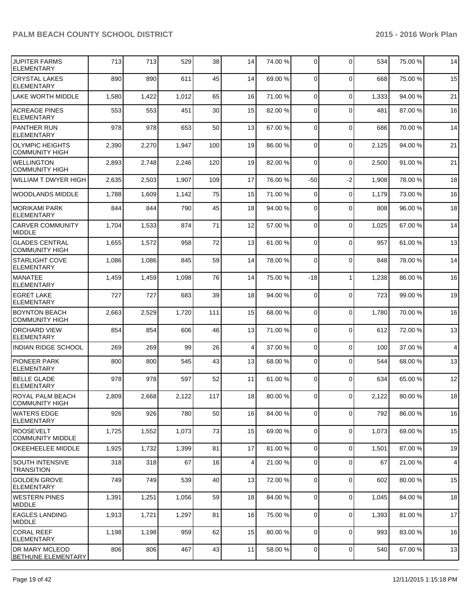| <b>JUPITER FARMS</b><br><b>ELEMENTARY</b>          | 713   | 713   | 529   | 38  | 14              | 74.00 % | $\Omega$       | $\Omega$     | 534   | 75.00 % | 14             |
|----------------------------------------------------|-------|-------|-------|-----|-----------------|---------|----------------|--------------|-------|---------|----------------|
| <b>CRYSTAL LAKES</b><br><b>ELEMENTARY</b>          | 890   | 890   | 611   | 45  | 14              | 69.00 % | $\Omega$       | $\Omega$     | 668   | 75.00 % | 15             |
| <b>LAKE WORTH MIDDLE</b>                           | 1,580 | 1,422 | 1,012 | 65  | 16              | 71.00 % | $\overline{0}$ | $\mathbf 0$  | 1,333 | 94.00%  | 21             |
| <b>ACREAGE PINES</b><br><b>ELEMENTARY</b>          | 553   | 553   | 451   | 30  | 15              | 82.00 % | $\Omega$       | $\Omega$     | 481   | 87.00 % | 16             |
| PANTHER RUN<br><b>ELEMENTARY</b>                   | 978   | 978   | 653   | 50  | 13              | 67.00 % | $\overline{0}$ | $\mathbf 0$  | 686   | 70.00%  | 14             |
| <b>OLYMPIC HEIGHTS</b><br><b>COMMUNITY HIGH</b>    | 2,390 | 2,270 | 1,947 | 100 | 19              | 86.00 % | 0              | $\mathbf 0$  | 2,125 | 94.00%  | 21             |
| <b>WELLINGTON</b><br><b>COMMUNITY HIGH</b>         | 2,893 | 2,748 | 2,246 | 120 | 19              | 82.00 % | $\Omega$       | $\mathbf 0$  | 2,500 | 91.00 % | 21             |
| WILLIAM T DWYER HIGH                               | 2,635 | 2,503 | 1,907 | 109 | 17              | 76.00 % | $-50$          | $-2$         | 1,908 | 78.00 % | 18             |
| <b>WOODLANDS MIDDLE</b>                            | 1,788 | 1,609 | 1,142 | 75  | 15              | 71.00 % | $\overline{0}$ | $\mathbf 0$  | 1,179 | 73.00 % | 16             |
| <b>MORIKAMI PARK</b><br><b>ELEMENTARY</b>          | 844   | 844   | 790   | 45  | 18              | 94.00 % | $\Omega$       | $\Omega$     | 808   | 96.00%  | 18             |
| <b>CARVER COMMUNITY</b><br><b>MIDDLE</b>           | 1,704 | 1,533 | 874   | 71  | 12              | 57.00 % | $\Omega$       | $\mathbf 0$  | 1,025 | 67.00%  | 14             |
| <b>GLADES CENTRAL</b><br><b>COMMUNITY HIGH</b>     | 1,655 | 1,572 | 958   | 72  | 13              | 61.00 % | $\Omega$       | $\mathbf 0$  | 957   | 61.00%  | 13             |
| <b>STARLIGHT COVE</b><br><b>ELEMENTARY</b>         | 1,086 | 1,086 | 845   | 59  | 14              | 78.00 % | $\Omega$       | $\Omega$     | 848   | 78.00%  | 14             |
| <b>MANATEE</b><br>ELEMENTARY                       | 1,459 | 1,459 | 1,098 | 76  | 14              | 75.00 % | $-18$          | $\mathbf{1}$ | 1,238 | 86.00%  | 16             |
| <b>EGRET LAKE</b><br><b>ELEMENTARY</b>             | 727   | 727   | 683   | 39  | 18              | 94.00 % | $\Omega$       | $\Omega$     | 723   | 99.00 % | 19             |
| <b>BOYNTON BEACH</b><br><b>COMMUNITY HIGH</b>      | 2,663 | 2,529 | 1,720 | 111 | 15              | 68.00 % | $\Omega$       | $\Omega$     | 1,780 | 70.00%  | 16             |
| <b>ORCHARD VIEW</b><br><b>ELEMENTARY</b>           | 854   | 854   | 606   | 46  | 13              | 71.00 % | $\Omega$       | $\mathbf 0$  | 612   | 72.00 % | 13             |
| <b>INDIAN RIDGE SCHOOL</b>                         | 269   | 269   | 99    | 26  | $\vert$         | 37.00 % | $\overline{0}$ | $\mathbf 0$  | 100   | 37.00 % | $\overline{4}$ |
| <b>PIONEER PARK</b><br><b>ELEMENTARY</b>           | 800   | 800   | 545   | 43  | 13              | 68.00 % | $\overline{0}$ | $\Omega$     | 544   | 68.00%  | 13             |
| <b>BELLE GLADE</b><br><b>ELEMENTARY</b>            | 978   | 978   | 597   | 52  | 11              | 61.00%  | $\overline{0}$ | $\Omega$     | 634   | 65.00 % | 12             |
| <b>ROYAL PALM BEACH</b><br><b>COMMUNITY HIGH</b>   | 2,809 | 2,668 | 2,122 | 117 | 18              | 80.00 % | $\Omega$       | $\Omega$     | 2,122 | 80.00 % | 18             |
| <b>WATERS EDGE</b><br><b>ELEMENTARY</b>            | 926   | 926   | 780   | 50  | 16              | 84.00 % | $\Omega$       | $\mathbf 0$  | 792   | 86.00 % | 16             |
| <b>ROOSEVELT</b><br><b>COMMUNITY MIDDLE</b>        | 1,725 | 1,552 | 1,073 | 73  | 15              | 69.00 % | $\overline{0}$ | $\mathbf 0$  | 1,073 | 69.00 % | 15             |
| OKEEHEELEE MIDDLE                                  | 1,925 | 1,732 | 1,399 | 81  | 17              | 81.00 % | $\overline{0}$ | $\mathbf 0$  | 1,501 | 87.00 % | 19             |
| <b>SOUTH INTENSIVE</b><br><b>TRANSITION</b>        | 318   | 318   | 67    | 16  | $\vert 4 \vert$ | 21.00 % | $\overline{0}$ | $\mathbf 0$  | 67    | 21.00 % | $\overline{4}$ |
| <b>GOLDEN GROVE</b><br><b>ELEMENTARY</b>           | 749   | 749   | 539   | 40  | 13              | 72.00 % | 0              | $\mathbf 0$  | 602   | 80.00%  | 15             |
| <b>WESTERN PINES</b><br><b>MIDDLE</b>              | 1,391 | 1,251 | 1,056 | 59  | 18              | 84.00 % | $\overline{0}$ | $\mathbf 0$  | 1,045 | 84.00%  | 18             |
| <b>EAGLES LANDING</b><br><b>MIDDLE</b>             | 1,913 | 1,721 | 1,297 | 81  | 16              | 75.00 % | $\overline{0}$ | $\mathbf 0$  | 1,393 | 81.00%  | 17             |
| <b>CORAL REEF</b><br><b>ELEMENTARY</b>             | 1,198 | 1,198 | 959   | 62  | 15              | 80.00 % | 0              | $\mathbf 0$  | 993   | 83.00 % | 16             |
| <b>DR MARY MCLEOD</b><br><b>BETHUNE ELEMENTARY</b> | 806   | 806   | 467   | 43  | 11              | 58.00 % | $\overline{0}$ | $\mathbf 0$  | 540   | 67.00%  | 13             |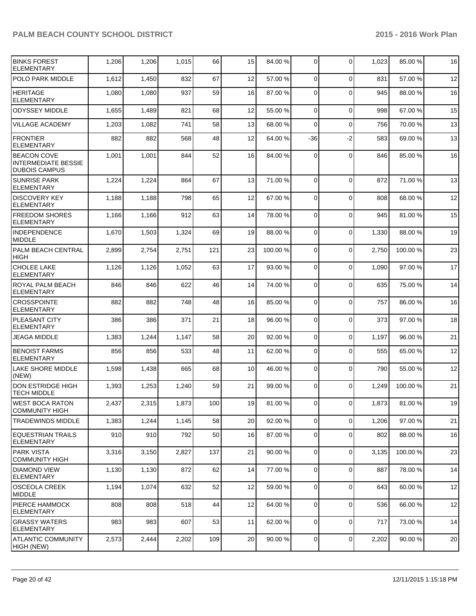| <b>BINKS FOREST</b><br><b>ELEMENTARY</b>                                 | 1,206 | 1,206 | 1,015 | 66  | 15 | 84.00 % | 0              | $\Omega$       | 1,023 | 85.00 % | 16 |
|--------------------------------------------------------------------------|-------|-------|-------|-----|----|---------|----------------|----------------|-------|---------|----|
| POLO PARK MIDDLE                                                         | 1,612 | 1,450 | 832   | 67  | 12 | 57.00 % | $\mathbf 0$    | $\Omega$       | 831   | 57.00 % | 12 |
| <b>HERITAGE</b><br><b>ELEMENTARY</b>                                     | 1,080 | 1,080 | 937   | 59  | 16 | 87.00 % | $\Omega$       | $\Omega$       | 945   | 88.00%  | 16 |
| <b>ODYSSEY MIDDLE</b>                                                    | 1,655 | 1,489 | 821   | 68  | 12 | 55.00 % | $\mathbf 0$    | $\mathbf 0$    | 998   | 67.00%  | 15 |
| <b>VILLAGE ACADEMY</b>                                                   | 1,203 | 1,082 | 741   | 58  | 13 | 68.00 % | 0              | $\mathbf 0$    | 756   | 70.00 % | 13 |
| <b>FRONTIER</b><br><b>ELEMENTARY</b>                                     | 882   | 882   | 568   | 48  | 12 | 64.00 % | -36            | $-2$           | 583   | 69.00 % | 13 |
| <b>BEACON COVE</b><br><b>INTERMEDIATE BESSIE</b><br><b>DUBOIS CAMPUS</b> | 1,001 | 1,001 | 844   | 52  | 16 | 84.00 % | 0              | $\Omega$       | 846   | 85.00 % | 16 |
| <b>SUNRISE PARK</b><br><b>ELEMENTARY</b>                                 | 1,224 | 1,224 | 864   | 67  | 13 | 71.00 % | $\mathbf 0$    | $\Omega$       | 872   | 71.00 % | 13 |
| <b>DISCOVERY KEY</b><br><b>ELEMENTARY</b>                                | 1,188 | 1,188 | 798   | 65  | 12 | 67.00 % | 0              | $\Omega$       | 808   | 68.00 % | 12 |
| <b>FREEDOM SHORES</b><br><b>ELEMENTARY</b>                               | 1,166 | 1,166 | 912   | 63  | 14 | 78.00 % | 0              | $\Omega$       | 945   | 81.00 % | 15 |
| <b>INDEPENDENCE</b><br><b>MIDDLE</b>                                     | 1,670 | 1,503 | 1,324 | 69  | 19 | 88.00 % | $\Omega$       | $\Omega$       | 1,330 | 88.00 % | 19 |
| PALM BEACH CENTRAL<br><b>HIGH</b>                                        | 2,899 | 2,754 | 2,751 | 121 | 23 | 100.00% | 0              | $\mathbf 0$    | 2,750 | 100.00% | 23 |
| <b>CHOLEE LAKE</b><br><b>ELEMENTARY</b>                                  | 1,126 | 1,126 | 1,052 | 63  | 17 | 93.00 % | 0              | $\mathbf 0$    | 1,090 | 97.00 % | 17 |
| ROYAL PALM BEACH<br><b>ELEMENTARY</b>                                    | 846   | 846   | 622   | 46  | 14 | 74.00 % | 0              | $\Omega$       | 635   | 75.00 % | 14 |
| <b>CROSSPOINTE</b><br><b>ELEMENTARY</b>                                  | 882   | 882   | 748   | 48  | 16 | 85.00 % | 0              | $\mathbf 0$    | 757   | 86.00 % | 16 |
| <b>PLEASANT CITY</b><br><b>ELEMENTARY</b>                                | 386   | 386   | 371   | 21  | 18 | 96.00 % | $\mathbf 0$    | $\Omega$       | 373   | 97.00 % | 18 |
| <b>JEAGA MIDDLE</b>                                                      | 1,383 | 1,244 | 1,147 | 58  | 20 | 92.00 % | 0              | $\Omega$       | 1,197 | 96.00%  | 21 |
| <b>BENOIST FARMS</b><br><b>ELEMENTARY</b>                                | 856   | 856   | 533   | 48  | 11 | 62.00 % | 0              | $\Omega$       | 555   | 65.00 % | 12 |
| <b>LAKE SHORE MIDDLE</b><br>(NEW)                                        | 1,598 | 1,438 | 665   | 68  | 10 | 46.00 % | $\Omega$       | $\Omega$       | 790   | 55.00 % | 12 |
| <b>DON ESTRIDGE HIGH</b><br><b>TECH MIDDLE</b>                           | 1,393 | 1,253 | 1,240 | 59  | 21 | 99.00 % | $\mathbf 0$    | $\Omega$       | 1,249 | 100.00% | 21 |
| <b>WEST BOCA RATON</b><br><b>COMMUNITY HIGH</b>                          | 2,437 | 2,315 | 1,873 | 100 | 19 | 81.00 % | 0              | $\overline{0}$ | 1,873 | 81.00%  | 19 |
| <b>TRADEWINDS MIDDLE</b>                                                 | 1,383 | 1,244 | 1,145 | 58  | 20 | 92.00 % | 0              | $\Omega$       | 1,206 | 97.00 % | 21 |
| <b>EQUESTRIAN TRAILS</b><br>ELEMENTARY                                   | 910   | 910   | 792   | 50  | 16 | 87.00 % | 0              | $\Omega$       | 802   | 88.00 % | 16 |
| <b>PARK VISTA</b><br><b>COMMUNITY HIGH</b>                               | 3,316 | 3,150 | 2,827 | 137 | 21 | 90.00 % | $\mathbf 0$    | $\Omega$       | 3,135 | 100.00% | 23 |
| <b>DIAMOND VIEW</b><br><b>ELEMENTARY</b>                                 | 1,130 | 1,130 | 872   | 62  | 14 | 77.00 % | $\mathbf 0$    | $\Omega$       | 887   | 78.00 % | 14 |
| <b>OSCEOLA CREEK</b><br><b>MIDDLE</b>                                    | 1,194 | 1,074 | 632   | 52  | 12 | 59.00 % | $\mathbf 0$    | $\Omega$       | 643   | 60.00%  | 12 |
| <b>PIERCE HAMMOCK</b><br><b>ELEMENTARY</b>                               | 808   | 808   | 518   | 44  | 12 | 64.00 % | 0              | 0              | 536   | 66.00 % | 12 |
| <b>GRASSY WATERS</b><br><b>ELEMENTARY</b>                                | 983   | 983   | 607   | 53  | 11 | 62.00 % | 0              | $\mathbf 0$    | 717   | 73.00 % | 14 |
| <b>ATLANTIC COMMUNITY</b><br>HIGH (NEW)                                  | 2,573 | 2,444 | 2,202 | 109 | 20 | 90.00 % | $\overline{0}$ | 0              | 2,202 | 90.00%  | 20 |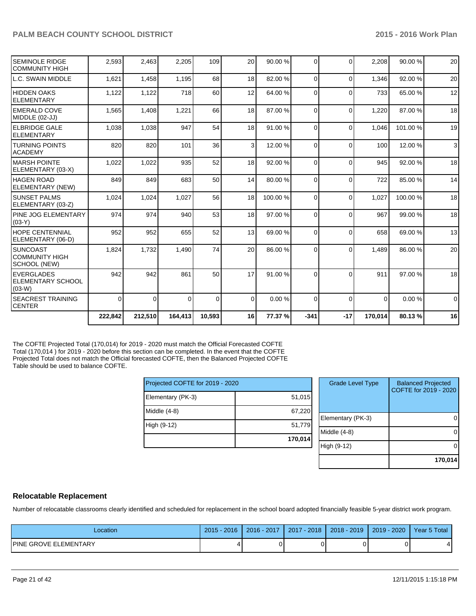|                                                            | 222,842     | 212,510  | 164,413  | 10,593 | 16              | 77.37 % | $-341$   | $-17$    | 170,014  | 80.13%  | 16          |
|------------------------------------------------------------|-------------|----------|----------|--------|-----------------|---------|----------|----------|----------|---------|-------------|
| <b>SEACREST TRAINING</b><br>ICENTER                        | $\mathbf 0$ | $\Omega$ | $\Omega$ | 0      | $\Omega$        | 0.00%   | $\Omega$ | $\Omega$ | $\Omega$ | 0.00%   | $\mathbf 0$ |
| <b>IEVERGLADES</b><br><b>ELEMENTARY SCHOOL</b><br>$(03-W)$ | 942         | 942      | 861      | 50     | 17              | 91.00 % | $\Omega$ | $\Omega$ | 911      | 97.00 % | 18          |
| ISUNCOAST<br><b>COMMUNITY HIGH</b><br>SCHOOL (NEW)         | 1,824       | 1,732    | 1,490    | 74     | 20 <sup>1</sup> | 86.00 % | $\Omega$ | $\Omega$ | 1,489    | 86.00 % | 20          |
| <b>HOPE CENTENNIAL</b><br>ELEMENTARY (06-D)                | 952         | 952      | 655      | 52     | 13              | 69.00 % | $\Omega$ | $\Omega$ | 658      | 69.00 % | 13          |
| <b>IPINE JOG ELEMENTARY</b><br>$(03-Y)$                    | 974         | 974      | 940      | 53     | 18              | 97.00 % | $\Omega$ | $\Omega$ | 967      | 99.00 % | 18          |
| ISUNSET PALMS<br>ELEMENTARY (03-Z)                         | 1,024       | 1,024    | 1,027    | 56     | 18              | 100.00% | $\Omega$ | $\Omega$ | 1,027    | 100.00% | 18          |
| HAGEN ROAD<br>ELEMENTARY (NEW)                             | 849         | 849      | 683      | 50     | 14              | 80.00 % | $\Omega$ | $\Omega$ | 722      | 85.00 % | 14          |
| IMARSH POINTE<br>ELEMENTARY (03-X)                         | 1,022       | 1,022    | 935      | 52     | 18              | 92.00 % | $\Omega$ | $\Omega$ | 945      | 92.00%  | 18          |
| <b>TURNING POINTS</b><br>IACADEMY                          | 820         | 820      | 101      | 36     | $\overline{3}$  | 12.00 % | $\Omega$ | $\Omega$ | 100      | 12.00 % | 3           |
| <b>ELBRIDGE GALE</b><br>IELEMENTARY                        | 1,038       | 1,038    | 947      | 54     | 18              | 91.00 % | 0        | $\Omega$ | 1,046    | 101.00% | 19          |
| <b>EMERALD COVE</b><br>MIDDLE (02-JJ)                      | 1,565       | 1,408    | 1,221    | 66     | 18              | 87.00 % | $\Omega$ | $\Omega$ | 1,220    | 87.00 % | 18          |
| <b>IHIDDEN OAKS</b><br>IELEMENTARY                         | 1,122       | 1,122    | 718      | 60     | 12              | 64.00 % | $\Omega$ | $\Omega$ | 733      | 65.00 % | 12          |
| LL.C. SWAIN MIDDLE                                         | 1,621       | 1,458    | 1,195    | 68     | 18 <sup>1</sup> | 82.00 % | $\Omega$ | $\Omega$ | 1,346    | 92.00 % | 20          |
| SEMINOLE RIDGE<br><b>COMMUNITY HIGH</b>                    | 2,593       | 2,463    | 2,205    | 109    | 20 <sup>1</sup> | 90.00 % | $\Omega$ | $\Omega$ | 2,208    | 90.00 % | 20          |
|                                                            |             |          |          |        |                 |         |          |          |          |         |             |

The COFTE Projected Total (170,014) for 2019 - 2020 must match the Official Forecasted COFTE Total (170,014 ) for 2019 - 2020 before this section can be completed. In the event that the COFTE Projected Total does not match the Official forecasted COFTE, then the Balanced Projected COFTE Table should be used to balance COFTE.

| Projected COFTE for 2019 - 2020 |         |
|---------------------------------|---------|
| Elementary (PK-3)               | 51,015  |
| Middle $(4-8)$                  | 67,220  |
| High (9-12)                     | 51,779  |
|                                 | 170,014 |

| <b>Grade Level Type</b> | <b>Balanced Projected</b><br>COFTE for 2019 - 2020 |
|-------------------------|----------------------------------------------------|
| Elementary (PK-3)       |                                                    |
| Middle (4-8)            |                                                    |
| High (9-12)             |                                                    |
|                         | 170,014                                            |

#### **Relocatable Replacement**

Number of relocatable classrooms clearly identified and scheduled for replacement in the school board adopted financially feasible 5-year district work program.

| Location                     | 2016<br>$2015 -$ | 2016 - 2017 | 2017 - 2018 | $2018 - 2019$ | $2019 - 2020$ | Year 5 Total |
|------------------------------|------------------|-------------|-------------|---------------|---------------|--------------|
| <b>PINE GROVE ELEMENTARY</b> |                  |             |             |               |               |              |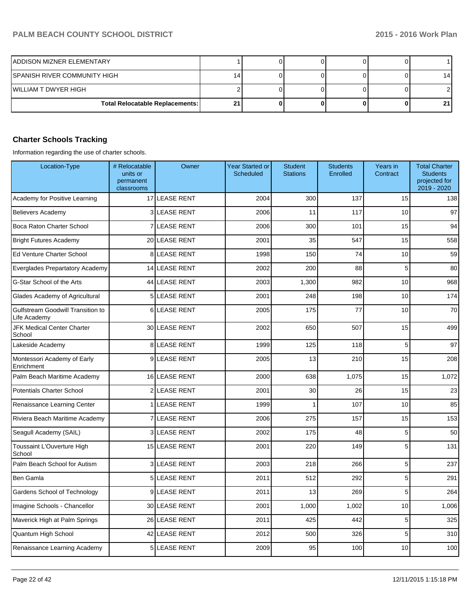| IADDISON MIZNER ELEMENTARY             |    |  |  |    |
|----------------------------------------|----|--|--|----|
| SPANISH RIVER COMMUNITY HIGH           | 14 |  |  | 14 |
| IWILLIAM T DWYER HIGH                  |    |  |  |    |
| <b>Total Relocatable Replacements:</b> | 21 |  |  |    |

## **Charter Schools Tracking**

Information regarding the use of charter schools.

| Location-Type                                     | # Relocatable<br>units or<br>permanent<br>classrooms | Owner                | Year Started or<br>Scheduled | <b>Student</b><br><b>Stations</b> | <b>Students</b><br>Enrolled | Years in<br>Contract | <b>Total Charter</b><br><b>Students</b><br>projected for<br>2019 - 2020 |
|---------------------------------------------------|------------------------------------------------------|----------------------|------------------------------|-----------------------------------|-----------------------------|----------------------|-------------------------------------------------------------------------|
| Academy for Positive Learning                     |                                                      | 17 LEASE RENT        | 2004                         | 300                               | 137                         | 15                   | 138                                                                     |
| <b>Believers Academy</b>                          |                                                      | 3 LEASE RENT         | 2006                         | 11                                | 117                         | 10                   | 97                                                                      |
| Boca Raton Charter School                         | 7                                                    | <b>LEASE RENT</b>    | 2006                         | 300                               | 101                         | 15                   | 94                                                                      |
| <b>Bright Futures Academy</b>                     |                                                      | 20 LEASE RENT        | 2001                         | 35                                | 547                         | 15                   | 558                                                                     |
| Ed Venture Charter School                         |                                                      | 8 LEASE RENT         | 1998                         | 150                               | 74                          | 10                   | 59                                                                      |
| Everglades Prepartatory Academy                   |                                                      | <b>14 LEASE RENT</b> | 2002                         | 200                               | 88                          | 5                    | 80                                                                      |
| G-Star School of the Arts                         |                                                      | 44 LEASE RENT        | 2003                         | 1,300                             | 982                         | 10                   | 968                                                                     |
| Glades Academy of Agricultural                    |                                                      | 5 LEASE RENT         | 2001                         | 248                               | 198                         | 10                   | 174                                                                     |
| Gulfstream Goodwill Transition to<br>Life Academy | $6 \mid$                                             | <b>LEASE RENT</b>    | 2005                         | 175                               | 77                          | 10                   | 70                                                                      |
| <b>JFK Medical Center Charter</b><br>School       |                                                      | 30 LEASE RENT        | 2002                         | 650                               | 507                         | 15                   | 499                                                                     |
| Lakeside Academy                                  |                                                      | <b>8 LEASE RENT</b>  | 1999                         | 125                               | 118                         | 5                    | 97                                                                      |
| Montessori Academy of Early<br>Enrichment         |                                                      | 9LEASE RENT          | 2005                         | 13                                | 210                         | 15                   | 208                                                                     |
| Palm Beach Maritime Academy                       |                                                      | 16 LEASE RENT        | 2000                         | 638                               | 1,075                       | 15                   | 1,072                                                                   |
| <b>Potentials Charter School</b>                  |                                                      | 2 LEASE RENT         | 2001                         | 30                                | 26                          | 15                   | 23                                                                      |
| Renaissance Learning Center                       | 1                                                    | <b>LEASE RENT</b>    | 1999                         | 1                                 | 107                         | 10                   | 85                                                                      |
| Riviera Beach Maritime Academy                    | $\overline{7}$                                       | <b>LEASE RENT</b>    | 2006                         | 275                               | 157                         | 15                   | 153                                                                     |
| Seagull Academy (SAIL)                            |                                                      | <b>3 LEASE RENT</b>  | 2002                         | 175                               | 48                          | 5                    | 50                                                                      |
| Toussaint L'Ouverture High<br>School              |                                                      | <b>15 LEASE RENT</b> | 2001                         | 220                               | 149                         | 5                    | 131                                                                     |
| Palm Beach School for Autism                      |                                                      | 3 LEASE RENT         | 2003                         | 218                               | 266                         | 5                    | 237                                                                     |
| Ben Gamla                                         |                                                      | 5 LEASE RENT         | 2011                         | 512                               | 292                         | 5                    | 291                                                                     |
| Gardens School of Technology                      | 9                                                    | <b>LEASE RENT</b>    | 2011                         | 13                                | 269                         | 5                    | 264                                                                     |
| Imagine Schools - Chancellor                      |                                                      | 30 LEASE RENT        | 2001                         | 1,000                             | 1,002                       | 10                   | 1,006                                                                   |
| Maverick High at Palm Springs                     |                                                      | 26 LEASE RENT        | 2011                         | 425                               | 442                         | 5                    | 325                                                                     |
| Quantum High School                               |                                                      | 42 LEASE RENT        | 2012                         | 500                               | 326                         | 5                    | 310                                                                     |
| Renaissance Learning Academy                      |                                                      | 5LEASE RENT          | 2009                         | 95                                | 100                         | 10                   | 100                                                                     |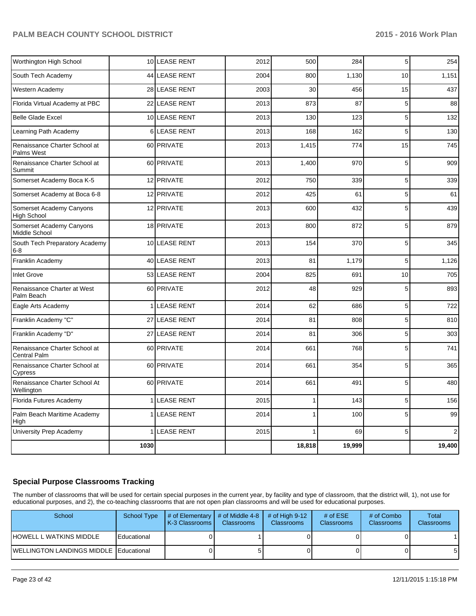| Worthington High School                              |                | 10 LEASE RENT     | 2012 | 500                      | 284    | 5  | 254            |
|------------------------------------------------------|----------------|-------------------|------|--------------------------|--------|----|----------------|
| South Tech Academy                                   |                | 44 LEASE RENT     | 2004 | 800                      | 1,130  | 10 | 1,151          |
| Western Academy                                      |                | 28 LEASE RENT     | 2003 | 30                       | 456    | 15 | 437            |
| Florida Virtual Academy at PBC                       |                | 22 LEASE RENT     | 2013 | 873                      | 87     | 5  | 88             |
| <b>Belle Glade Excel</b>                             |                | 10 LEASE RENT     | 2013 | 130                      | 123    | 5  | 132            |
| Learning Path Academy                                | 6              | <b>LEASE RENT</b> | 2013 | 168                      | 162    | 5  | 130            |
| Renaissance Charter School at<br>Palms West          |                | 60 PRIVATE        | 2013 | 1,415                    | 774    | 15 | 745            |
| Renaissance Charter School at<br>Summit              |                | 60 PRIVATE        | 2013 | 1.400                    | 970    | 5  | 909            |
| Somerset Academy Boca K-5                            |                | 12 PRIVATE        | 2012 | 750                      | 339    | 5  | 339            |
| Somerset Academy at Boca 6-8                         |                | 12 PRIVATE        | 2012 | 425                      | 61     | 5  | 61             |
| Somerset Academy Canyons<br><b>High School</b>       |                | 12 PRIVATE        | 2013 | 600                      | 432    | 5  | 439            |
| Somerset Academy Canyons<br>Middle School            |                | 18 PRIVATE        | 2013 | 800                      | 872    | 5  | 879            |
| South Tech Preparatory Academy<br>$6 - 8$            |                | 10 LEASE RENT     | 2013 | 154                      | 370    | 5  | 345            |
| Franklin Academy                                     |                | 40 LEASE RENT     | 2013 | 81                       | 1,179  | 5  | 1,126          |
| <b>Inlet Grove</b>                                   |                | 53 LEASE RENT     | 2004 | 825                      | 691    | 10 | 705            |
| Renaissance Charter at West<br>Palm Beach            |                | 60 PRIVATE        | 2012 | 48                       | 929    | 5  | 893            |
| Eagle Arts Academy                                   | 1 <sup>1</sup> | <b>LEASE RENT</b> | 2014 | 62                       | 686    | 5  | 722            |
| Franklin Academy "C"                                 |                | 27 LEASE RENT     | 2014 | 81                       | 808    | 5  | 810            |
| Franklin Academy "D"                                 | 27             | <b>LEASE RENT</b> | 2014 | 81                       | 306    | 5  | 303            |
| Renaissance Charter School at<br><b>Central Palm</b> |                | 60 PRIVATE        | 2014 | 661                      | 768    | 5  | 741            |
| Renaissance Charter School at<br>Cypress             |                | 60 PRIVATE        | 2014 | 661                      | 354    | 5  | 365            |
| Renaissance Charter School At<br>Wellington          |                | 60 PRIVATE        | 2014 | 661                      | 491    | 5  | 480            |
| Florida Futures Academy                              |                | 1 LEASE RENT      | 2015 | 1                        | 143    | 5  | 156            |
| Palm Beach Maritime Academy<br>High                  | $\mathbf{1}$   | <b>LEASE RENT</b> | 2014 | $\overline{\phantom{a}}$ | 100    | 5  | 99             |
| University Prep Academy                              |                | 1 LEASE RENT      | 2015 | 1                        | 69     | 5  | $\overline{2}$ |
|                                                      | 1030           |                   |      | 18,818                   | 19,999 |    | 19,400         |

#### **Special Purpose Classrooms Tracking**

The number of classrooms that will be used for certain special purposes in the current year, by facility and type of classroom, that the district will, 1), not use for educational purposes, and 2), the co-teaching classrooms that are not open plan classrooms and will be used for educational purposes.

| School                                 | <b>School Type</b> | $\parallel$ # of Elementary $\parallel$ # of Middle 4-8 $\parallel$<br><b>K-3 Classrooms L</b> | <b>Classrooms</b> | $\#$ of High 9-12<br><b>Classrooms</b> | # of $ESE$<br><b>Classrooms</b> | # of Combo<br><b>Classrooms</b> | Total<br><b>Classrooms</b> |
|----------------------------------------|--------------------|------------------------------------------------------------------------------------------------|-------------------|----------------------------------------|---------------------------------|---------------------------------|----------------------------|
| IHOWELL L WATKINS MIDDLE               | Educational        |                                                                                                |                   |                                        |                                 |                                 |                            |
| WELLINGTON LANDINGS MIDDLE Educational |                    |                                                                                                |                   |                                        |                                 |                                 | -5                         |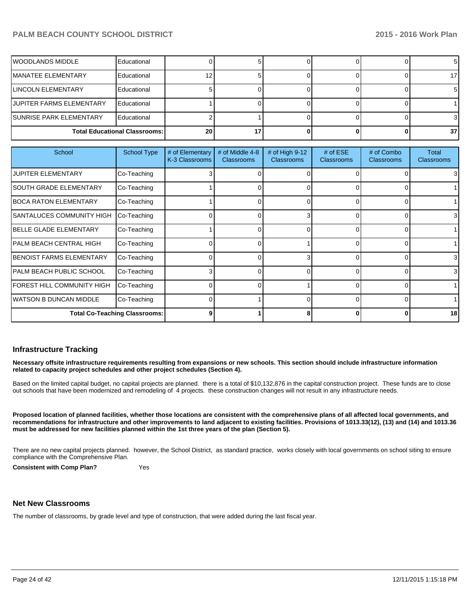| IWOODLANDS MIDDLE               | Educational                          |            |  |  |      |
|---------------------------------|--------------------------------------|------------|--|--|------|
| <b>IMANATEE ELEMENTARY</b>      | Educational                          |            |  |  |      |
| <b>LINCOLN ELEMENTARY</b>       | Educational                          |            |  |  |      |
| JUPITER FARMS ELEMENTARY        | Educational                          |            |  |  |      |
| <b>ISUNRISE PARK ELEMENTARY</b> | Educational                          |            |  |  |      |
|                                 | <b>Total Educational Classrooms:</b> | <b>201</b> |  |  | 37 I |

| School                               | <b>School Type</b> | # of Elementary<br>K-3 Classrooms | # of Middle 4-8<br><b>Classrooms</b> | # of High 9-12<br><b>Classrooms</b> | # of $ESE$<br><b>Classrooms</b> | # of Combo<br><b>Classrooms</b> | Total<br><b>Classrooms</b> |
|--------------------------------------|--------------------|-----------------------------------|--------------------------------------|-------------------------------------|---------------------------------|---------------------------------|----------------------------|
| <b>JUPITER ELEMENTARY</b>            | Co-Teaching        |                                   |                                      |                                     |                                 |                                 | 3                          |
| <b>SOUTH GRADE ELEMENTARY</b>        | Co-Teaching        |                                   |                                      |                                     | 0                               |                                 |                            |
| IBOCA RATON ELEMENTARY               | Co-Teaching        |                                   | ი                                    |                                     | $\Omega$                        | 0                               |                            |
| <b>SANTALUCES COMMUNITY HIGH</b>     | Co-Teaching        |                                   | 0                                    | 3                                   | $\Omega$                        | 0                               | 3                          |
| <b>IBELLE GLADE ELEMENTARY</b>       | Co-Teaching        |                                   | ი                                    |                                     | $\Omega$                        | 0                               |                            |
| PALM BEACH CENTRAL HIGH              | Co-Teaching        |                                   | 0                                    |                                     | $\Omega$                        | 0                               |                            |
| <b>IBENOIST FARMS ELEMENTARY</b>     | Co-Teaching        |                                   | 0                                    | 3                                   | $\Omega$                        | 0                               | 3                          |
| PALM BEACH PUBLIC SCHOOL             | Co-Teaching        |                                   | 0                                    |                                     | $\Omega$                        | 0                               | $\overline{3}$             |
| FOREST HILL COMMUNITY HIGH           | Co-Teaching        |                                   |                                      |                                     | $\Omega$                        | 0                               |                            |
| WATSON B DUNCAN MIDDLE               | Co-Teaching        |                                   |                                      |                                     | $\overline{0}$                  | 0                               |                            |
| <b>Total Co-Teaching Classrooms:</b> |                    |                                   |                                      |                                     | 0                               | 0                               | 18                         |

#### **Infrastructure Tracking**

**Necessary offsite infrastructure requirements resulting from expansions or new schools. This section should include infrastructure information related to capacity project schedules and other project schedules (Section 4).**

Based on the limited capital budget, no capital projects are planned. there is a total of \$10,132,876 in the capital construction project. These funds are to close out schools that have been modernized and remodeling of 4 projects. these construction changes will not result in any infrastructure needs.

**Proposed location of planned facilities, whether those locations are consistent with the comprehensive plans of all affected local governments, and recommendations for infrastructure and other improvements to land adjacent to existing facilities. Provisions of 1013.33(12), (13) and (14) and 1013.36 must be addressed for new facilities planned within the 1st three years of the plan (Section 5).**

There are no new capital projects planned. however, the School District, as standard practice, works closely with local governments on school siting to ensure compliance with the Comprehensive Plan.

**Consistent with Comp Plan?** Yes

#### **Net New Classrooms**

The number of classrooms, by grade level and type of construction, that were added during the last fiscal year.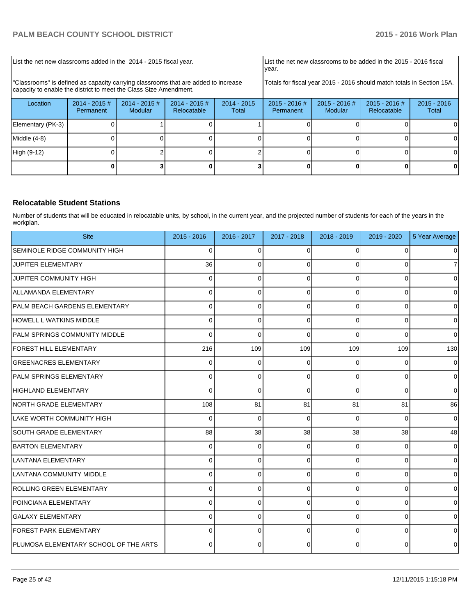| List the net new classrooms added in the 2014 - 2015 fiscal year.                                                                                       |                              |                                   |                                                                        |                        | List the net new classrooms to be added in the 2015 - 2016 fiscal<br>Ivear. |                            |                                |                        |
|---------------------------------------------------------------------------------------------------------------------------------------------------------|------------------------------|-----------------------------------|------------------------------------------------------------------------|------------------------|-----------------------------------------------------------------------------|----------------------------|--------------------------------|------------------------|
| "Classrooms" is defined as capacity carrying classrooms that are added to increase<br>capacity to enable the district to meet the Class Size Amendment. |                              |                                   | Totals for fiscal year 2015 - 2016 should match totals in Section 15A. |                        |                                                                             |                            |                                |                        |
| Location                                                                                                                                                | $2014 - 2015$ #<br>Permanent | $2014 - 2015$ #<br><b>Modular</b> | $2014 - 2015$ #<br><b>Relocatable</b>                                  | $2014 - 2015$<br>Total | $2015 - 2016$ #<br>Permanent                                                | $2015 - 2016$ #<br>Modular | $2015 - 2016$ #<br>Relocatable | $2015 - 2016$<br>Total |
| Elementary (PK-3)                                                                                                                                       |                              |                                   |                                                                        |                        |                                                                             |                            |                                | ΩI                     |
| Middle $(4-8)$                                                                                                                                          |                              |                                   |                                                                        |                        |                                                                             |                            |                                | ΟI                     |
| High (9-12)                                                                                                                                             |                              |                                   |                                                                        |                        |                                                                             |                            |                                |                        |
|                                                                                                                                                         |                              |                                   |                                                                        |                        |                                                                             |                            |                                |                        |

#### **Relocatable Student Stations**

Number of students that will be educated in relocatable units, by school, in the current year, and the projected number of students for each of the years in the workplan.

| <b>Site</b>                           | 2015 - 2016  | 2016 - 2017  | 2017 - 2018 | 2018 - 2019 | 2019 - 2020    | 5 Year Average |
|---------------------------------------|--------------|--------------|-------------|-------------|----------------|----------------|
| ISEMINOLE RIDGE COMMUNITY HIGH        | 0            | $\Omega$     | $\Omega$    | $\Omega$    | $\Omega$       | $\overline{0}$ |
| <b>JUPITER ELEMENTARY</b>             | 36           | $\Omega$     | $\Omega$    | $\Omega$    | $\Omega$       | $\overline{7}$ |
| <b>JUPITER COMMUNITY HIGH</b>         | <sup>0</sup> | 0            | ∩           | $\Omega$    | 0              | $\overline{0}$ |
| ALLAMANDA ELEMENTARY                  | $\Omega$     | $\mathbf 0$  | 0           | $\Omega$    | $\mathbf 0$    | $\overline{0}$ |
| PALM BEACH GARDENS ELEMENTARY         | 0            | $\mathbf{0}$ | $\Omega$    | $\Omega$    | $\mathbf 0$    | $\mathbf 0$    |
| HOWELL L WATKINS MIDDLE               | $\Omega$     | $\Omega$     | $\Omega$    | $\Omega$    | $\Omega$       | $\overline{0}$ |
| <b>PALM SPRINGS COMMUNITY MIDDLE</b>  | 0            | $\Omega$     | $\Omega$    | $\Omega$    | $\Omega$       | $\overline{0}$ |
| FOREST HILL ELEMENTARY                | 216          | 109          | 109         | 109         | 109            | 130            |
| <b>GREENACRES ELEMENTARY</b>          | 0            | $\Omega$     | 0           | $\Omega$    | 0              | $\overline{0}$ |
| PALM SPRINGS ELEMENTARY               | $\Omega$     | 0            | 0           | $\Omega$    | $\overline{0}$ | $\overline{0}$ |
| HIGHLAND ELEMENTARY                   | $\Omega$     | $\Omega$     | $\Omega$    | $\Omega$    | $\Omega$       | $\Omega$       |
| NORTH GRADE ELEMENTARY                | 108          | 81           | 81          | 81          | 81             | 86             |
| LAKE WORTH COMMUNITY HIGH             | 0            | $\Omega$     | $\Omega$    | $\Omega$    | $\Omega$       | $\pmb{0}$      |
| SOUTH GRADE ELEMENTARY                | 88           | 38           | 38          | 38          | 38             | 48             |
| BARTON ELEMENTARY                     | 0            | $\Omega$     | $\Omega$    | $\Omega$    | $\overline{0}$ | $\overline{0}$ |
| LLANTANA ELEMENTARY                   | U            | 0            | ∩           | $\Omega$    | $\Omega$       | $\overline{0}$ |
| LANTANA COMMUNITY MIDDLE              | 0            | $\Omega$     | 0           | $\Omega$    | $\Omega$       | $\overline{0}$ |
| ROLLING GREEN ELEMENTARY              | 0            | 0            | 0           | $\Omega$    | $\overline{0}$ | $\mathbf 0$    |
| POINCIANA ELEMENTARY                  | 0            | 0            | $\Omega$    | $\Omega$    | $\Omega$       | $\overline{0}$ |
| <b>GALAXY ELEMENTARY</b>              | 0            | 0            | $\Omega$    | $\Omega$    | $\overline{0}$ | $\mathbf 0$    |
| <b>FOREST PARK ELEMENTARY</b>         | 0            | $\Omega$     | $\Omega$    | $\Omega$    | $\overline{0}$ | $\overline{0}$ |
| PLUMOSA ELEMENTARY SCHOOL OF THE ARTS | U            | 0            |             | $\Omega$    | $\Omega$       | $\mathbf{0}$   |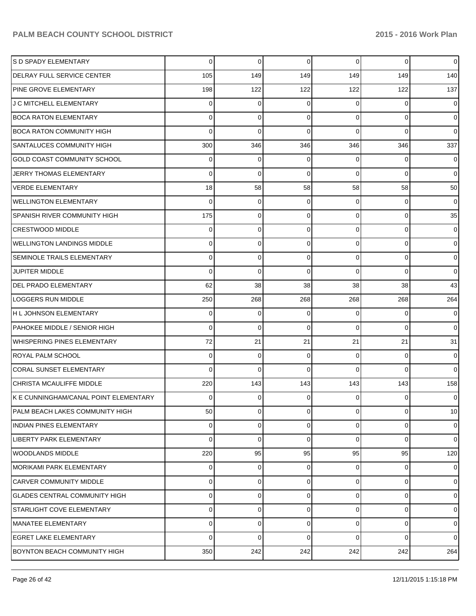| S D SPADY ELEMENTARY                   | 0        | 0        | 0        | $\Omega$       | $\mathbf 0$ | $\overline{0}$ |
|----------------------------------------|----------|----------|----------|----------------|-------------|----------------|
| <b>DELRAY FULL SERVICE CENTER</b>      | 105      | 149      | 149      | 149            | 149         | 140            |
| PINE GROVE ELEMENTARY                  | 198      | 122      | 122      | 122            | 122         | 137            |
| J C MITCHELL ELEMENTARY                | 0        | 0        | 0        | $\Omega$       | 0           | $\overline{0}$ |
| <b>BOCA RATON ELEMENTARY</b>           | 0        | 0        | $\Omega$ | $\Omega$       | 0           | $\overline{0}$ |
| <b>BOCA RATON COMMUNITY HIGH</b>       | $\Omega$ | 0        | 0        | $\Omega$       | 0           | $\overline{0}$ |
| <b>SANTALUCES COMMUNITY HIGH</b>       | 300      | 346      | 346      | 346            | 346         | 337            |
| <b>GOLD COAST COMMUNITY SCHOOL</b>     | 0        | 0        | 0        | $\Omega$       | 0           | $\overline{0}$ |
| JERRY THOMAS ELEMENTARY                | 0        | 0        | $\Omega$ | $\Omega$       | 0           | $\overline{0}$ |
| <b>VERDE ELEMENTARY</b>                | 18       | 58       | 58       | 58             | 58          | 50             |
| <b>WELLINGTON ELEMENTARY</b>           | 0        | 0        | 0        | $\Omega$       | 0           | $\overline{0}$ |
| SPANISH RIVER COMMUNITY HIGH           | 175      | 0        | 0        | $\Omega$       | 0           | 35             |
| <b>CRESTWOOD MIDDLE</b>                | 0        | 0        | 0        | $\Omega$       | 0           | $\overline{0}$ |
| <b>WELLINGTON LANDINGS MIDDLE</b>      | 0        | 0        | $\Omega$ | $\Omega$       | 0           | $\overline{0}$ |
| SEMINOLE TRAILS ELEMENTARY             | 0        | 0        | 0        | $\Omega$       | 0           | $\overline{0}$ |
| <b>JUPITER MIDDLE</b>                  | $\Omega$ | 0        | $\Omega$ | $\Omega$       | 0           | $\mathbf 0$    |
| <b>DEL PRADO ELEMENTARY</b>            | 62       | 38       | 38       | 38             | 38          | 43             |
| <b>LOGGERS RUN MIDDLE</b>              | 250      | 268      | 268      | 268            | 268         | 264            |
| H L JOHNSON ELEMENTARY                 | 0        | 0        | 0        | $\Omega$       | 0           | 0              |
| PAHOKEE MIDDLE / SENIOR HIGH           | $\Omega$ | 0        | 0        | $\Omega$       | $\mathbf 0$ | $\overline{0}$ |
| <b>WHISPERING PINES ELEMENTARY</b>     | 72       | 21       | 21       | 21             | 21          | 31             |
| <b>ROYAL PALM SCHOOL</b>               | 0        | 0        | 0        | $\Omega$       | 0           | $\overline{0}$ |
| <b>CORAL SUNSET ELEMENTARY</b>         | $\Omega$ | 0        | 0        | $\Omega$       | $\Omega$    | $\overline{0}$ |
| CHRISTA MCAULIFFE MIDDLE               | 220      | 143      | 143      | 143            | 143         | 158            |
| IK E CUNNINGHAM/CANAL POINT ELEMENTARY | 0        | 0        | 0        | 0              | 0           | $\overline{0}$ |
| PALM BEACH LAKES COMMUNITY HIGH        | 50       | $\Omega$ | 0        | $\overline{0}$ | 0           | 10             |
| <b>INDIAN PINES ELEMENTARY</b>         | 0        | 0        | 0        | $\overline{0}$ | 0           | $\overline{0}$ |
| LIBERTY PARK ELEMENTARY                | $\Omega$ | 0        | 0        | $\Omega$       | 0           | $\overline{0}$ |
| <b>WOODLANDS MIDDLE</b>                | 220      | 95       | 95       | 95             | 95          | 120            |
| <b>MORIKAMI PARK ELEMENTARY</b>        | 0        | 0        | 0        | 0              | 0           | $\overline{0}$ |
| <b>CARVER COMMUNITY MIDDLE</b>         | 0        | 0        | 0        | $\overline{0}$ | 0           | $\overline{0}$ |
| <b>GLADES CENTRAL COMMUNITY HIGH</b>   | 0        | 0        | 0        | $\Omega$       | 0           | $\overline{0}$ |
| <b>STARLIGHT COVE ELEMENTARY</b>       | $\Omega$ | 0        | 0        | $\overline{0}$ | 0           | $\overline{0}$ |
| MANATEE ELEMENTARY                     | 0        | 0        | 0        | $\Omega$       | 0           | $\overline{0}$ |
| <b>EGRET LAKE ELEMENTARY</b>           | 0        | 0        | 0        | $\Omega$       | 0           | $\overline{0}$ |
| BOYNTON BEACH COMMUNITY HIGH           | 350      | 242      | 242      | 242            | 242         | 264            |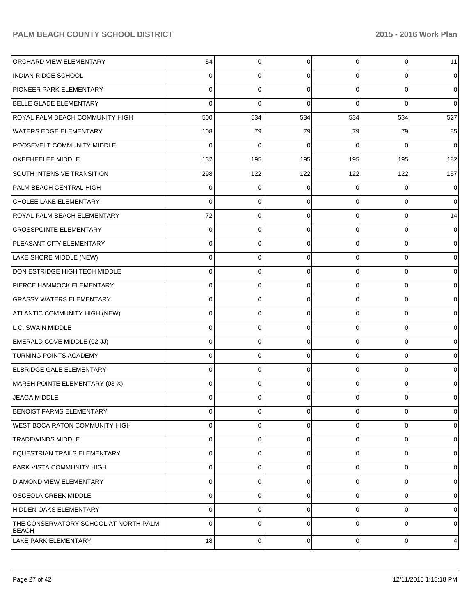| <b>ORCHARD VIEW ELEMENTARY</b>                        | 54  | 0        | 0           | $\overline{0}$ | 0        | 11               |
|-------------------------------------------------------|-----|----------|-------------|----------------|----------|------------------|
| <b>INDIAN RIDGE SCHOOL</b>                            | 0   | 0        | 0           | $\Omega$       | 0        | $\overline{0}$   |
| <b>PIONEER PARK ELEMENTARY</b>                        | 0   | 0        | 0           | $\Omega$       | $\Omega$ | $\overline{0}$   |
| <b>BELLE GLADE ELEMENTARY</b>                         | 0   | 0        | O           | $\Omega$       | $\Omega$ | $\overline{0}$   |
| ROYAL PALM BEACH COMMUNITY HIGH                       | 500 | 534      | 534         | 534            | 534      | 527              |
| <b>WATERS EDGE ELEMENTARY</b>                         | 108 | 79       | 79          | 79             | 79       | 85               |
| ROOSEVELT COMMUNITY MIDDLE                            | 0   | 0        | O           | $\Omega$       | $\Omega$ | $\overline{0}$   |
| OKEEHEELEE MIDDLE                                     | 132 | 195      | 195         | 195            | 195      | 182              |
| SOUTH INTENSIVE TRANSITION                            | 298 | 122      | 122         | 122            | 122      | 157              |
| PALM BEACH CENTRAL HIGH                               | 0   | 0        | 0           | $\Omega$       | 0        | $\overline{0}$   |
| CHOLEE LAKE ELEMENTARY                                | 0   | 0        | 0           | $\Omega$       | $\Omega$ | $\overline{0}$   |
| ROYAL PALM BEACH ELEMENTARY                           | 72  | 0        | 0           | $\Omega$       | 0        | 14               |
| <b>CROSSPOINTE ELEMENTARY</b>                         | 0   | 0        | O           | $\Omega$       | 0        | $\overline{0}$   |
| PLEASANT CITY ELEMENTARY                              | 0   | 0        | 0           | $\Omega$       | 0        | $\overline{0}$   |
| LAKE SHORE MIDDLE (NEW)                               | 0   | 0        | 0           | $\Omega$       | 0        | $\overline{0}$   |
| DON ESTRIDGE HIGH TECH MIDDLE                         | 0   | 0        | 0           | $\Omega$       | 0        | $\overline{0}$   |
| PIERCE HAMMOCK ELEMENTARY                             | 0   | 0        | O           | $\Omega$       | 0        | $\overline{0}$   |
| <b>GRASSY WATERS ELEMENTARY</b>                       | 0   | 0        | 0           | $\Omega$       | 0        | $\overline{0}$   |
| ATLANTIC COMMUNITY HIGH (NEW)                         | 0   | 0        | 0           | $\Omega$       | 0        | $\overline{0}$   |
| L.C. SWAIN MIDDLE                                     | 0   | 0        | 0           | $\overline{0}$ | 0        | $\overline{0}$   |
| EMERALD COVE MIDDLE (02-JJ)                           | 0   | 0        | O           | $\Omega$       | $\Omega$ | $\overline{0}$   |
| <b>TURNING POINTS ACADEMY</b>                         | 0   | 0        | 0           | $\Omega$       | 0        | $\overline{0}$   |
| ELBRIDGE GALE ELEMENTARY                              | 0   | 0        | O           | $\Omega$       | $\Omega$ | $\overline{0}$   |
| MARSH POINTE ELEMENTARY (03-X)                        | 0   | $\Omega$ | 0           | $\Omega$       | $\Omega$ | $\overline{0}$   |
| <b>JEAGA MIDDLE</b>                                   | 0   | 0        | O           | 0              | 0        | $\overline{0}$   |
| <b>BENOIST FARMS ELEMENTARY</b>                       | 0   | 0        | 0           | $\overline{0}$ | 0        | $\overline{0}$   |
| WEST BOCA RATON COMMUNITY HIGH                        | 0   | 0        | 0           | $\Omega$       | $\Omega$ | $\overline{0}$   |
| <b>TRADEWINDS MIDDLE</b>                              | 0   | 0        | C           | $\Omega$       | 0        | $\overline{0}$   |
| EQUESTRIAN TRAILS ELEMENTARY                          | 0   | 0        | 0           | $\Omega$       | 0        | $\overline{0}$   |
| PARK VISTA COMMUNITY HIGH                             | 0   | 0        | O           | $\Omega$       | $\Omega$ | $\overline{0}$   |
| <b>DIAMOND VIEW ELEMENTARY</b>                        | 0   | 0        | 0           | $\Omega$       | $\Omega$ | $\overline{0}$   |
| OSCEOLA CREEK MIDDLE                                  | 0   | 0        | C           | $\Omega$       | 0        | $\overline{0}$   |
| HIDDEN OAKS ELEMENTARY                                | 0   | 0        | 0           | $\Omega$       | $\Omega$ | $\overline{0}$   |
| THE CONSERVATORY SCHOOL AT NORTH PALM<br><b>BEACH</b> | 0   | $\Omega$ | C           | $\Omega$       | $\Omega$ | $\overline{0}$   |
| <b>LAKE PARK ELEMENTARY</b>                           | 18  | 0        | $\mathbf 0$ | $\overline{0}$ | 0        | $\boldsymbol{4}$ |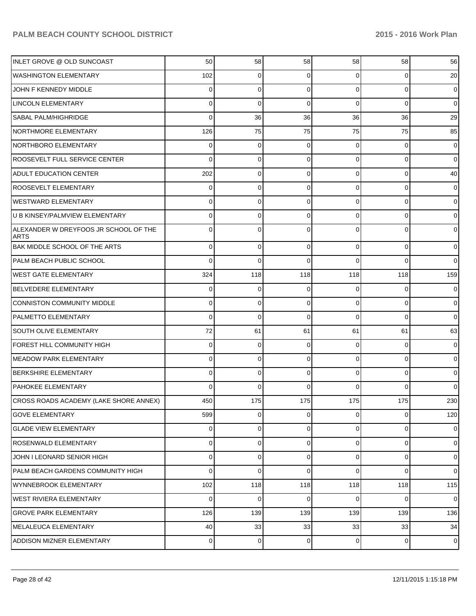| INLET GROVE @ OLD SUNCOAST                           | 50             | 58          | 58  | 58             | 58          | 56             |
|------------------------------------------------------|----------------|-------------|-----|----------------|-------------|----------------|
| <b>WASHINGTON ELEMENTARY</b>                         | 102            | 0           | 0   | $\Omega$       | 0           | 20             |
| JOHN F KENNEDY MIDDLE                                | 0              | 0           | 0   | $\Omega$       | $\mathbf 0$ | 0              |
| <b>LINCOLN ELEMENTARY</b>                            | 0              | 0           | 0   | $\Omega$       | 0           | $\overline{0}$ |
| SABAL PALM/HIGHRIDGE                                 | 0              | 36          | 36  | 36             | 36          | 29             |
| NORTHMORE ELEMENTARY                                 | 126            | 75          | 75  | 75             | 75          | 85             |
| <b>NORTHBORO ELEMENTARY</b>                          | 0              | 0           | 0   | $\Omega$       | 0           | 0              |
| ROOSEVELT FULL SERVICE CENTER                        | 0              | 0           | 0   | $\Omega$       | 0           | $\overline{0}$ |
| <b>ADULT EDUCATION CENTER</b>                        | 202            | 0           | 0   | $\Omega$       | 0           | 40             |
| ROOSEVELT ELEMENTARY                                 | 0              | 0           | 0   | $\Omega$       | 0           | 0              |
| <b>WESTWARD ELEMENTARY</b>                           | 0              | 0           | 0   | $\Omega$       | 0           | $\mathbf 0$    |
| <b>IU B KINSEY/PALMVIEW ELEMENTARY</b>               | 0              | 0           | 0   | $\Omega$       | 0           | 0              |
| ALEXANDER W DREYFOOS JR SCHOOL OF THE<br><b>ARTS</b> | 0              | 0           | 0   | U              | $\Omega$    | $\overline{0}$ |
| BAK MIDDLE SCHOOL OF THE ARTS                        | $\Omega$       | 0           | 0   | $\overline{0}$ | $\mathbf 0$ | $\overline{0}$ |
| PALM BEACH PUBLIC SCHOOL                             | 0              | $\mathbf 0$ | 0   | $\Omega$       | 0           | $\overline{0}$ |
| WEST GATE ELEMENTARY                                 | 324            | 118         | 118 | 118            | 118         | 159            |
| BELVEDERE ELEMENTARY                                 | 0              | 0           | 0   | $\overline{0}$ | 0           | $\overline{0}$ |
| CONNISTON COMMUNITY MIDDLE                           | 0              | 0           | 0   | $\overline{0}$ | $\mathbf 0$ | $\overline{0}$ |
| <b>PALMETTO ELEMENTARY</b>                           | 0              | $\mathbf 0$ | 0   | $\overline{0}$ | 0           | $\overline{0}$ |
| <b>SOUTH OLIVE ELEMENTARY</b>                        | 72             | 61          | 61  | 61             | 61          | 63             |
| FOREST HILL COMMUNITY HIGH                           | 0              | 0           | 0   | $\overline{0}$ | 0           | $\overline{0}$ |
| <b>IMEADOW PARK ELEMENTARY</b>                       | 0              | 0           | 0   | 0              | 0           | $\overline{0}$ |
| <b>BERKSHIRE ELEMENTARY</b>                          | 0              | 0           | 0   | $\overline{0}$ | $\mathbf 0$ | $\overline{0}$ |
| <b>PAHOKEE ELEMENTARY</b>                            | 0              | 0           | 0   | 0              | $\Omega$    | 0              |
| CROSS ROADS ACADEMY (LAKE SHORE ANNEX)               | 450            | 175         | 175 | 175            | 175         | 230            |
| <b>GOVE ELEMENTARY</b>                               | 599            | 0           | 0   | $\overline{0}$ | 0           | 120            |
| <b>GLADE VIEW ELEMENTARY</b>                         | $\Omega$       | $\mathbf 0$ | 0   | $\overline{0}$ | $\mathbf 0$ | $\overline{0}$ |
| ROSENWALD ELEMENTARY                                 | $\Omega$       | 0           | 0   | $\overline{0}$ | $\mathbf 0$ | $\overline{0}$ |
| JOHN I LEONARD SENIOR HIGH                           | $\Omega$       | 0           | 0   | $\overline{0}$ | 0           | $\overline{0}$ |
| PALM BEACH GARDENS COMMUNITY HIGH                    | 0              | $\mathbf 0$ | 0   | $\overline{0}$ | 0           | $\overline{0}$ |
| WYNNEBROOK ELEMENTARY                                | 102            | 118         | 118 | 118            | 118         | 115            |
| WEST RIVIERA ELEMENTARY                              | $\Omega$       | 0           | 0   | $\overline{0}$ | $\mathbf 0$ | $\overline{0}$ |
| <b>GROVE PARK ELEMENTARY</b>                         | 126            | 139         | 139 | 139            | 139         | 136            |
| MELALEUCA ELEMENTARY                                 | 40             | 33          | 33  | 33             | 33          | 34             |
| <b>ADDISON MIZNER ELEMENTARY</b>                     | $\overline{0}$ | $\mathbf 0$ | 0   | $\overline{0}$ | $\pmb{0}$   | $\overline{0}$ |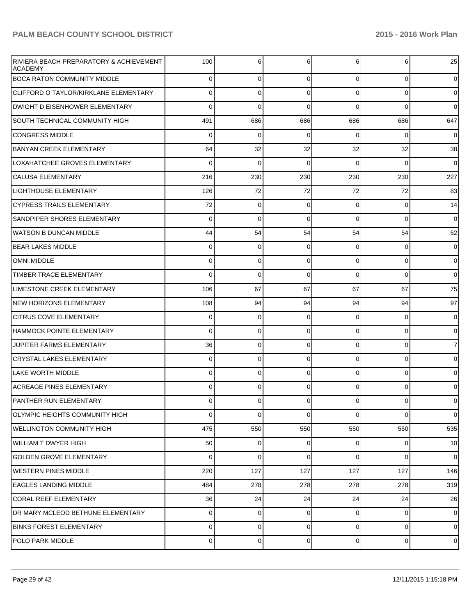| <b>RIVIERA BEACH PREPARATORY &amp; ACHIEVEMENT</b><br><b>ACADEMY</b> | 100            | 6           | 6              | 6              | 6              | 25              |
|----------------------------------------------------------------------|----------------|-------------|----------------|----------------|----------------|-----------------|
| <b>BOCA RATON COMMUNITY MIDDLE</b>                                   | $\Omega$       | $\mathbf 0$ | $\overline{0}$ | $\Omega$       | $\overline{0}$ | $\overline{0}$  |
| CLIFFORD O TAYLOR/KIRKLANE ELEMENTARY                                | 0              | $\mathbf 0$ | 0              | $\Omega$       | $\Omega$       | $\overline{0}$  |
| DWIGHT D EISENHOWER ELEMENTARY                                       | $\Omega$       | $\Omega$    | $\Omega$       | $\Omega$       | $\Omega$       | $\mathbf 0$     |
| <b>SOUTH TECHNICAL COMMUNITY HIGH</b>                                | 491            | 686         | 686            | 686            | 686            | 647             |
| <b>CONGRESS MIDDLE</b>                                               | $\Omega$       | $\mathbf 0$ | 0              | $\Omega$       | $\Omega$       | $\overline{0}$  |
| <b>BANYAN CREEK ELEMENTARY</b>                                       | 64             | 32          | 32             | 32             | 32             | 38              |
| LOXAHATCHEE GROVES ELEMENTARY                                        | $\Omega$       | $\Omega$    | 0              | $\Omega$       | $\Omega$       | $\mathbf 0$     |
| <b>CALUSA ELEMENTARY</b>                                             | 216            | 230         | 230            | 230            | 230            | 227             |
| <b>LIGHTHOUSE ELEMENTARY</b>                                         | 126            | 72          | 72             | 72             | 72             | 83              |
| CYPRESS TRAILS ELEMENTARY                                            | 72             | $\mathbf 0$ | 0              | $\Omega$       | $\Omega$       | 14              |
| <b>SANDPIPER SHORES ELEMENTARY</b>                                   | $\Omega$       | $\mathbf 0$ | $\Omega$       | $\Omega$       | $\Omega$       | $\mathbf 0$     |
| WATSON B DUNCAN MIDDLE                                               | 44             | 54          | 54             | 54             | 54             | 52              |
| <b>BEAR LAKES MIDDLE</b>                                             | 0              | 0           | 0              | $\Omega$       | $\mathbf 0$    | $\overline{0}$  |
| <b>OMNI MIDDLE</b>                                                   | 0              | $\mathbf 0$ | 0              | $\overline{0}$ | $\Omega$       | 0               |
| TIMBER TRACE ELEMENTARY                                              | $\Omega$       | $\mathbf 0$ | $\Omega$       | $\Omega$       | $\Omega$       | $\overline{0}$  |
| LIMESTONE CREEK ELEMENTARY                                           | 106            | 67          | 67             | 67             | 67             | 75              |
| NEW HORIZONS ELEMENTARY                                              | 108            | 94          | 94             | 94             | 94             | 97              |
| <b>CITRUS COVE ELEMENTARY</b>                                        | 0              | $\mathbf 0$ | 0              | $\overline{0}$ | $\Omega$       | 0               |
| <b>HAMMOCK POINTE ELEMENTARY</b>                                     | $\Omega$       | $\mathbf 0$ | 0              | $\Omega$       | $\Omega$       | $\overline{0}$  |
| JUPITER FARMS ELEMENTARY                                             | 36             | $\mathbf 0$ | 0              | $\Omega$       | $\Omega$       | $\overline{7}$  |
| <b>CRYSTAL LAKES ELEMENTARY</b>                                      | 0              | 0           | 0              | $\Omega$       | $\Omega$       | $\overline{0}$  |
| LAKE WORTH MIDDLE                                                    | 0              | $\mathbf 0$ | 0              | $\Omega$       | $\Omega$       | 0               |
| ACREAGE PINES ELEMENTARY                                             | 0              | 0           | 0              | $\Omega$       | $\mathbf 0$    | $\mathbf 0$     |
| <b>PANTHER RUN ELEMENTARY</b>                                        | $\Omega$       | 0           | 0              | $\overline{0}$ | 0              | $\overline{0}$  |
| OLYMPIC HEIGHTS COMMUNITY HIGH                                       | $\Omega$       | $\mathbf 0$ | $\Omega$       | $\Omega$       | $\Omega$       | $\overline{0}$  |
| WELLINGTON COMMUNITY HIGH                                            | 475            | 550         | 550            | 550            | 550            | 535             |
| WILLIAM T DWYER HIGH                                                 | 50             | $\mathbf 0$ | 0              | $\overline{0}$ | $\mathbf 0$    | 10 <sup>1</sup> |
| <b>GOLDEN GROVE ELEMENTARY</b>                                       | $\Omega$       | $\mathbf 0$ | 0              | $\Omega$       | $\Omega$       | $\overline{0}$  |
| WESTERN PINES MIDDLE                                                 | 220            | 127         | 127            | 127            | 127            | 146             |
| <b>EAGLES LANDING MIDDLE</b>                                         | 484            | 278         | 278            | 278            | 278            | 319             |
| CORAL REEF ELEMENTARY                                                | 36             | 24          | 24             | 24             | 24             | 26              |
| DR MARY MCLEOD BETHUNE ELEMENTARY                                    | $\Omega$       | $\mathbf 0$ | 0              | $\overline{0}$ | $\mathbf 0$    | $\overline{0}$  |
| BINKS FOREST ELEMENTARY                                              | $\Omega$       | $\mathbf 0$ | 0              | $\overline{0}$ | $\mathbf 0$    | $\overline{0}$  |
| <b>POLO PARK MIDDLE</b>                                              | $\overline{0}$ | $\mathbf 0$ | 0              | $\overline{0}$ | 0              | $\overline{0}$  |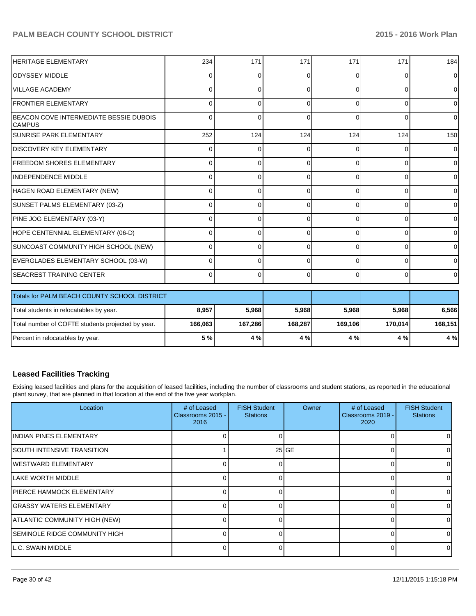| HERITAGE ELEMENTARY                                     | 234          | 171      | 171      | 171      | 171      | 184            |
|---------------------------------------------------------|--------------|----------|----------|----------|----------|----------------|
| IODYSSEY MIDDLE                                         | 0            | O        | U        | ∩        | 0        | 0              |
| <b>VILLAGE ACADEMY</b>                                  | 0            | $\Omega$ | 0        | ∩        | $\Omega$ | 0              |
| <b>FRONTIER ELEMENTARY</b>                              | 0            | 0        | 0        | ∩        | $\Omega$ | 0              |
| BEACON COVE INTERMEDIATE BESSIE DUBOIS<br><b>CAMPUS</b> | <sup>0</sup> | $\Omega$ | O        | $\Omega$ | $\Omega$ | 0              |
| <b>SUNRISE PARK ELEMENTARY</b>                          | 252          | 124      | 124      | 124      | 124      | 150            |
| IDISCOVERY KEY ELEMENTARY                               | 0            | 0        | 0        | ∩        | $\Omega$ | 0              |
| <b>IFREEDOM SHORES ELEMENTARY</b>                       | 0            | 0        | 0        | ∩        | 0        | 0              |
| INDEPENDENCE MIDDLE                                     | 0            | $\Omega$ | U        | ∩        | $\Omega$ | $\overline{0}$ |
| HAGEN ROAD ELEMENTARY (NEW)                             | U            | $\Omega$ | U        | ∩        | $\Omega$ | 0              |
| SUNSET PALMS ELEMENTARY (03-Z)                          | U            | U        | O        | $\Omega$ | $\Omega$ | 0              |
| PINE JOG ELEMENTARY (03-Y)                              | U            | 0        | 0        | $\Omega$ | $\Omega$ | 0              |
| HOPE CENTENNIAL ELEMENTARY (06-D)                       |              | 0        | 0        | $\Omega$ | $\Omega$ | 0              |
| SUNCOAST COMMUNITY HIGH SCHOOL (NEW)                    | U            | U        | 0        | $\Omega$ | $\Omega$ | 0              |
| EVERGLADES ELEMENTARY SCHOOL (03-W)                     | 0            | $\Omega$ | $\Omega$ | $\Omega$ | $\Omega$ | 0              |
| <b>SEACREST TRAINING CENTER</b>                         | 0            | $\Omega$ | $\Omega$ | $\Omega$ | 0        | 0              |
| Totals for PALM BEACH COUNTY SCHOOL DISTRICT            |              |          |          |          |          |                |
| Total students in relocatables by year.                 | 8,957        | 5,968    | 5,968    | 5,968    | 5,968    | 6,566          |
| Total number of COFTE students projected by year.       | 166,063      | 167,286  | 168,287  | 169,106  | 170,014  | 168,151        |

#### **Leased Facilities Tracking**

Exising leased facilities and plans for the acquisition of leased facilities, including the number of classrooms and student stations, as reported in the educational plant survey, that are planned in that location at the end of the five year workplan.

Percent in relocatables by year. **5 % 4 % 4 % 4 % 4 % 4 %**

| Location                       | # of Leased<br>Classrooms 2015 -<br>2016 | <b>FISH Student</b><br><b>Stations</b> | Owner             | # of Leased<br>Classrooms 2019 -<br>2020 | <b>FISH Student</b><br><b>Stations</b> |
|--------------------------------|------------------------------------------|----------------------------------------|-------------------|------------------------------------------|----------------------------------------|
| IINDIAN PINES ELEMENTARY       |                                          |                                        |                   |                                          |                                        |
| ISOUTH INTENSIVE TRANSITION    |                                          |                                        | 25 <sub>IGE</sub> |                                          |                                        |
| lWESTWARD ELEMENTARY           |                                          |                                        |                   |                                          |                                        |
| lLAKE WORTH MIDDLE             | ∩                                        |                                        |                   |                                          |                                        |
| IPIERCE HAMMOCK ELEMENTARY     |                                          |                                        |                   |                                          |                                        |
| IGRASSY WATERS ELEMENTARY      |                                          |                                        |                   |                                          |                                        |
| ATLANTIC COMMUNITY HIGH (NEW)  |                                          |                                        |                   |                                          |                                        |
| ISEMINOLE RIDGE COMMUNITY HIGH |                                          |                                        |                   |                                          |                                        |
| IL.C. SWAIN MIDDLE             |                                          |                                        |                   |                                          |                                        |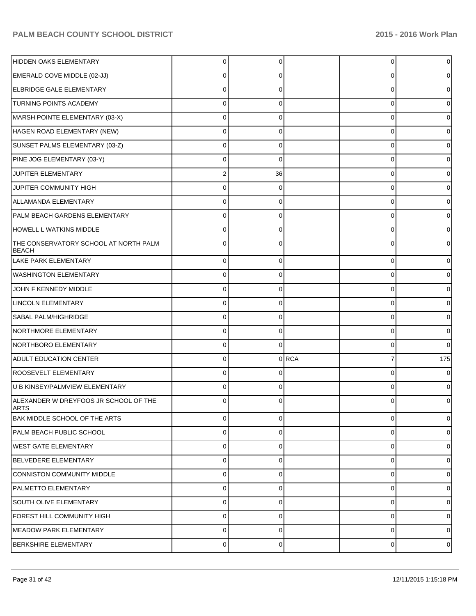| HIDDEN OAKS ELEMENTARY                                | 0              | 0              |         | 0        | $\overline{0}$ |
|-------------------------------------------------------|----------------|----------------|---------|----------|----------------|
| EMERALD COVE MIDDLE (02-JJ)                           | 0              |                |         | 0        | 0              |
| <b>ELBRIDGE GALE ELEMENTARY</b>                       | 0              |                |         | Ω        | 0              |
| <b>TURNING POINTS ACADEMY</b>                         | 0              | 0              |         | 0        | 0              |
| MARSH POINTE ELEMENTARY (03-X)                        | 0              |                |         | 0        | 0              |
| HAGEN ROAD ELEMENTARY (NEW)                           | 0              | 0              |         | 0        | 0              |
| SUNSET PALMS ELEMENTARY (03-Z)                        | 0              |                |         | 0        | 0              |
| PINE JOG ELEMENTARY (03-Y)                            | 0              | 0              |         | 0        | 0              |
| JUPITER ELEMENTARY                                    |                | 36             |         | 0        | 0              |
| JUPITER COMMUNITY HIGH                                | $\Omega$       | 0              |         | 0        | 0              |
| <b>ALLAMANDA ELEMENTARY</b>                           | 0              |                |         | 0        | 0              |
| PALM BEACH GARDENS ELEMENTARY                         | $\Omega$       | 0              |         | 0        | 0              |
| <b>HOWELL L WATKINS MIDDLE</b>                        | 0              |                |         | Ω        | 0              |
| THE CONSERVATORY SCHOOL AT NORTH PALM<br><b>BEACH</b> | $\Omega$       | 0              |         | 0        | 0              |
| LAKE PARK ELEMENTARY                                  | $\mathbf 0$    | 0              |         | 0        | 0              |
| <b>WASHINGTON ELEMENTARY</b>                          | $\Omega$       | 0              |         | 0        | 0              |
| JOHN F KENNEDY MIDDLE                                 | $\mathbf 0$    | 0              |         | 0        | 0              |
| LINCOLN ELEMENTARY                                    | 0              | 0              |         | 0        | 0              |
| SABAL PALM/HIGHRIDGE                                  | $\mathbf 0$    | 0              |         | 0        | $\overline{0}$ |
| NORTHMORE ELEMENTARY                                  | 0              | 0              |         | 0        | 0              |
| NORTHBORO ELEMENTARY                                  | $\mathbf 0$    | $\Omega$       |         | 0        | $\overline{0}$ |
| ADULT EDUCATION CENTER                                | $\mathbf 0$    |                | $0$ RCA | 7        | 175            |
| <b>ROOSEVELT ELEMENTARY</b>                           | $\mathbf 0$    | 0              |         | 0        | 0              |
| U B KINSEY/PALMVIEW ELEMENTARY                        | $\Omega$       | 0              |         | 0        | 0              |
| ALEXANDER W DREYFOOS JR SCHOOL OF THE<br><b>ARTS</b>  | $\Omega$       | 0              |         | O        | 01             |
| <b>BAK MIDDLE SCHOOL OF THE ARTS</b>                  | $\overline{0}$ | $\overline{0}$ |         | 0        | $\overline{0}$ |
| PALM BEACH PUBLIC SCHOOL                              | $\mathbf 0$    | $\Omega$       |         | 0        | $\overline{0}$ |
| WEST GATE ELEMENTARY                                  | $\overline{0}$ | 0              |         | 0        | $\overline{0}$ |
| BELVEDERE ELEMENTARY                                  | $\mathbf 0$    | 0              |         | 0        | $\overline{0}$ |
| CONNISTON COMMUNITY MIDDLE                            | $\mathbf 0$    | 0              |         | 0        | $\overline{0}$ |
| <b>PALMETTO ELEMENTARY</b>                            | $\mathbf 0$    | $\Omega$       |         | 0        | $\overline{0}$ |
| <b>SOUTH OLIVE ELEMENTARY</b>                         | $\overline{0}$ | 0              |         | 0        | $\overline{0}$ |
| FOREST HILL COMMUNITY HIGH                            | $\mathbf 0$    | $\Omega$       |         | $\Omega$ | $\overline{0}$ |
| <b>MEADOW PARK ELEMENTARY</b>                         | $\mathbf 0$    | 0              |         | 0        | $\overline{0}$ |
| <b>BERKSHIRE ELEMENTARY</b>                           | $\pmb{0}$      | 0              |         | 0        | $\overline{0}$ |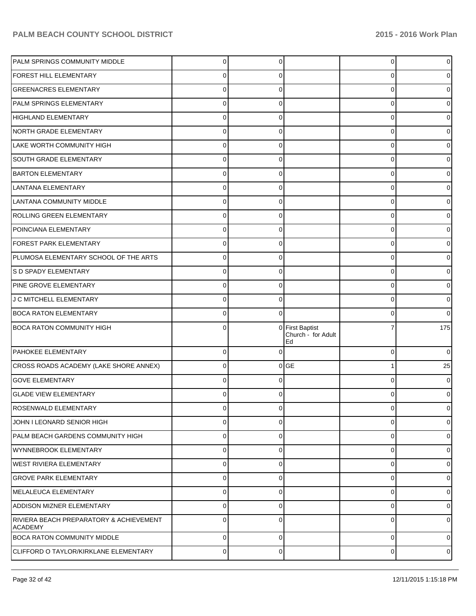| PALM SPRINGS COMMUNITY MIDDLE                      | 0              | 0              |                                           | 0 | 0              |
|----------------------------------------------------|----------------|----------------|-------------------------------------------|---|----------------|
| FOREST HILL ELEMENTARY                             | 0              | 0              |                                           | 0 |                |
| <b>GREENACRES ELEMENTARY</b>                       | $\Omega$       | 0              |                                           | 0 | o              |
| PALM SPRINGS ELEMENTARY                            | 0              | 0              |                                           | 0 | o              |
| <b>HIGHLAND ELEMENTARY</b>                         | $\Omega$       | 0              |                                           | 0 |                |
| NORTH GRADE ELEMENTARY                             | 0              | 0              |                                           | 0 |                |
| LAKE WORTH COMMUNITY HIGH                          | $\Omega$       | 0              |                                           | 0 | 0              |
| <b>SOUTH GRADE ELEMENTARY</b>                      | 0              | 0              |                                           | 0 | o              |
| <b>BARTON ELEMENTARY</b>                           | 0              | 0              |                                           | 0 |                |
| <b>LANTANA ELEMENTARY</b>                          | 0              | 0              |                                           | 0 |                |
| LANTANA COMMUNITY MIDDLE                           | $\Omega$       | 0              |                                           | 0 | o              |
| ROLLING GREEN ELEMENTARY                           | 0              | 0              |                                           | 0 | o              |
| POINCIANA ELEMENTARY                               | 0              | 0              |                                           | 0 |                |
| FOREST PARK ELEMENTARY                             | 0              | 0              |                                           | 0 |                |
| PLUMOSA ELEMENTARY SCHOOL OF THE ARTS              | 0              | 0              |                                           | 0 | o              |
| S D SPADY ELEMENTARY                               | 0              | 0              |                                           | 0 | 0              |
| PINE GROVE ELEMENTARY                              | 0              | 0              |                                           | 0 | 0              |
| J C MITCHELL ELEMENTARY                            | 0              | 0              |                                           | 0 | 0              |
| <b>BOCA RATON ELEMENTARY</b>                       | 0              | 0              |                                           | 0 | $\Omega$       |
| <b>BOCA RATON COMMUNITY HIGH</b>                   | 0              | $\Omega$       | First Baptist<br>Church - for Adult<br>Ed |   | 175            |
| <b>PAHOKEE ELEMENTARY</b>                          | $\mathbf 0$    | $\Omega$       |                                           | 0 | $\mathbf 0$    |
| CROSS ROADS ACADEMY (LAKE SHORE ANNEX)             | $\Omega$       |                | $0$ GE                                    | 1 | 25             |
| <b>GOVE ELEMENTARY</b>                             | $\Omega$       | 0              |                                           | 0 | 0              |
| <b>GLADE VIEW ELEMENTARY</b>                       | $\Omega$       | 0              |                                           | 0 | 0              |
| <b>ROSENWALD ELEMENTARY</b>                        | $\overline{0}$ | $\overline{0}$ |                                           | 0 | $\overline{0}$ |
| JOHN I LEONARD SENIOR HIGH                         | $\mathbf 0$    | 0              |                                           | 0 | 0              |
| PALM BEACH GARDENS COMMUNITY HIGH                  | $\mathbf 0$    | 0              |                                           | 0 | 0              |
| WYNNEBROOK ELEMENTARY                              | $\mathbf 0$    | 0              |                                           | 0 | 0              |
| <b>WEST RIVIERA ELEMENTARY</b>                     | $\mathbf 0$    | 0              |                                           | 0 | 0              |
| <b>GROVE PARK ELEMENTARY</b>                       | $\mathbf 0$    | 0              |                                           | 0 | 0              |
| MELALEUCA ELEMENTARY                               | $\mathbf 0$    | $\Omega$       |                                           | 0 | 0              |
| <b>ADDISON MIZNER ELEMENTARY</b>                   | $\mathbf 0$    | $\Omega$       |                                           | 0 | 0              |
| RIVIERA BEACH PREPARATORY & ACHIEVEMENT<br>ACADEMY | $\mathbf 0$    | $\Omega$       |                                           | 0 | 0              |
| <b>BOCA RATON COMMUNITY MIDDLE</b>                 | $\mathbf 0$    | 0              |                                           | 0 | 0              |
| CLIFFORD O TAYLOR/KIRKLANE ELEMENTARY              | 0              | 0              |                                           | 0 | $\overline{0}$ |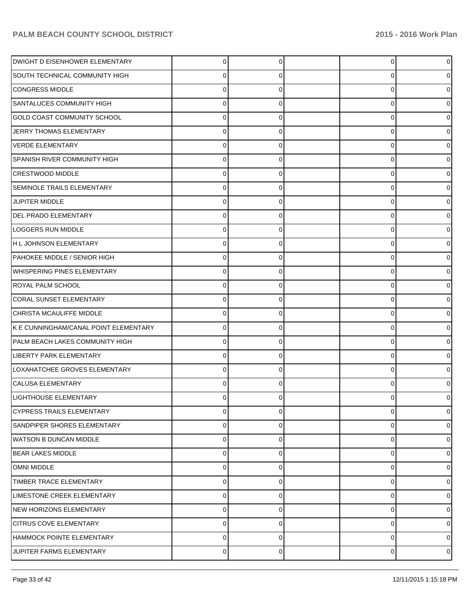| DWIGHT D EISENHOWER ELEMENTARY        | 0           |   | 0 | 0              |
|---------------------------------------|-------------|---|---|----------------|
| SOUTH TECHNICAL COMMUNITY HIGH        |             |   | 0 | o              |
| <b>CONGRESS MIDDLE</b>                |             |   | 0 |                |
| <b>SANTALUCES COMMUNITY HIGH</b>      |             | n | 0 |                |
| <b>GOLD COAST COMMUNITY SCHOOL</b>    |             |   | 0 |                |
| JERRY THOMAS ELEMENTARY               | 0           | n | 0 |                |
| <b>VERDE ELEMENTARY</b>               |             |   | 0 |                |
| <b>SPANISH RIVER COMMUNITY HIGH</b>   | 0           | n | 0 |                |
| <b>CRESTWOOD MIDDLE</b>               |             |   | 0 |                |
| <b>SEMINOLE TRAILS ELEMENTARY</b>     | 0           | 0 | 0 | o              |
| JUPITER MIDDLE                        |             |   | 0 |                |
| DEL PRADO ELEMENTARY                  | 0           | ∩ | 0 |                |
| <b>LOGGERS RUN MIDDLE</b>             |             |   | 0 |                |
| H L JOHNSON ELEMENTARY                | 0           | 0 | 0 | o              |
| PAHOKEE MIDDLE / SENIOR HIGH          |             |   | 0 | o              |
| <b>WHISPERING PINES ELEMENTARY</b>    | 0           | ∩ | 0 |                |
| ROYAL PALM SCHOOL                     |             |   | 0 |                |
| <b>CORAL SUNSET ELEMENTARY</b>        | 0           | 0 | 0 | o              |
| CHRISTA MCAULIFFE MIDDLE              |             |   | 0 | o              |
| K E CUNNINGHAM/CANAL POINT ELEMENTARY | 0           | ∩ | 0 |                |
| PALM BEACH LAKES COMMUNITY HIGH       |             |   | 0 |                |
| LIBERTY PARK ELEMENTARY               | 0           | ∩ | 0 | o              |
| LOXAHATCHEE GROVES ELEMENTARY         |             |   | 0 | o              |
| <b>CALUSA ELEMENTARY</b>              | U           | n | 0 |                |
| <b>LIGHTHOUSE ELEMENTARY</b>          |             |   | 0 |                |
| <b>CYPRESS TRAILS ELEMENTARY</b>      | 0           | 0 | 0 | 0              |
| <b>SANDPIPER SHORES ELEMENTARY</b>    | $\mathbf 0$ | 0 | 0 | 0              |
| <b>WATSON B DUNCAN MIDDLE</b>         | $\mathbf 0$ | 0 | 0 | 0              |
| <b>BEAR LAKES MIDDLE</b>              | $\mathbf 0$ | 0 | 0 | 0              |
| <b>OMNI MIDDLE</b>                    | 0           | 0 | 0 | 0              |
| <b>TIMBER TRACE ELEMENTARY</b>        | $\mathbf 0$ | 0 | 0 | 0              |
| LIMESTONE CREEK ELEMENTARY            | $\mathbf 0$ | 0 | 0 | 0              |
| NEW HORIZONS ELEMENTARY               | $\mathbf 0$ | 0 | 0 | 0              |
| <b>CITRUS COVE ELEMENTARY</b>         | 0           | 0 | 0 | 0              |
| HAMMOCK POINTE ELEMENTARY             | 0           | 0 | 0 | 0              |
| JUPITER FARMS ELEMENTARY              | $\pmb{0}$   | 0 | 0 | $\overline{0}$ |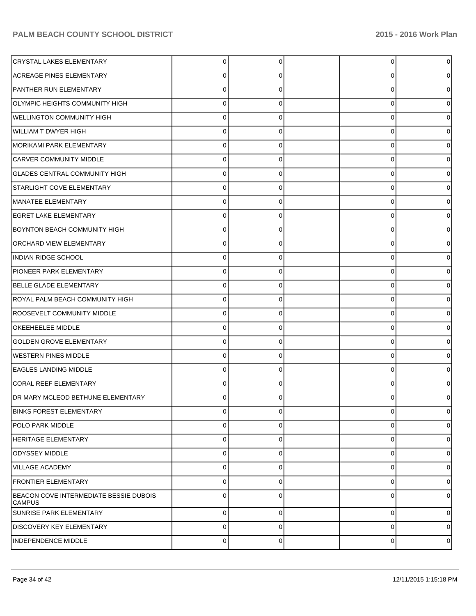| <b>CRYSTAL LAKES ELEMENTARY</b>                         | 0           | 0 | 0 | $\overline{0}$ |
|---------------------------------------------------------|-------------|---|---|----------------|
| <b>ACREAGE PINES ELEMENTARY</b>                         | 0           | 0 | 0 | 01             |
| PANTHER RUN ELEMENTARY                                  | 0           |   | 0 | 01             |
| OLYMPIC HEIGHTS COMMUNITY HIGH                          | 0           | 0 | 0 | 01             |
| WELLINGTON COMMUNITY HIGH                               | 0           |   | 0 | 01             |
| WILLIAM T DWYER HIGH                                    | 0           | 0 | 0 | 01             |
| MORIKAMI PARK ELEMENTARY                                | 0           |   | 0 | 0              |
| <b>CARVER COMMUNITY MIDDLE</b>                          | 0           | 0 | 0 | 01             |
| <b>GLADES CENTRAL COMMUNITY HIGH</b>                    | 0           |   | 0 | 0              |
| STARLIGHT COVE ELEMENTARY                               | 0           | 0 | 0 | 01             |
| MANATEE ELEMENTARY                                      | 0           |   | 0 | 0              |
| <b>EGRET LAKE ELEMENTARY</b>                            | 0           | 0 | 0 | 0              |
| <b>BOYNTON BEACH COMMUNITY HIGH</b>                     | 0           | 0 | 0 | 01             |
| <b>ORCHARD VIEW ELEMENTARY</b>                          | 0           | 0 | 0 | 01             |
| INDIAN RIDGE SCHOOL                                     | 0           |   | 0 | 0              |
| PIONEER PARK ELEMENTARY                                 | 0           | 0 | 0 | 0              |
| BELLE GLADE ELEMENTARY                                  | 0           | 0 | 0 | 0              |
| ROYAL PALM BEACH COMMUNITY HIGH                         | 0           | 0 | 0 | 0              |
| ROOSEVELT COMMUNITY MIDDLE                              | 0           |   | 0 | 0              |
| <b>OKEEHEELEE MIDDLE</b>                                | 0           | 0 | 0 | 01             |
| <b>GOLDEN GROVE ELEMENTARY</b>                          | 0           |   | 0 | 01             |
| <b>WESTERN PINES MIDDLE</b>                             | 0           | 0 | 0 | 0              |
| EAGLES LANDING MIDDLE                                   | 0           | 0 | 0 | 0              |
| <b>CORAL REEF ELEMENTARY</b>                            | 0           | 0 | 0 | 0              |
| DR MARY MCLEOD BETHUNE ELEMENTARY                       | U           | 0 | U | 0              |
| <b>BINKS FOREST ELEMENTARY</b>                          | 0           | 0 | 0 | $\overline{0}$ |
| <b>POLO PARK MIDDLE</b>                                 | 0           | 0 | 0 | 0              |
| <b>HERITAGE ELEMENTARY</b>                              | 0           | 0 | 0 | 0              |
| <b>ODYSSEY MIDDLE</b>                                   | 0           | 0 | 0 | 0              |
| <b>VILLAGE ACADEMY</b>                                  | 0           | 0 | 0 | 0              |
| <b>FRONTIER ELEMENTARY</b>                              | 0           | 0 | 0 | 0              |
| BEACON COVE INTERMEDIATE BESSIE DUBOIS<br><b>CAMPUS</b> | $\Omega$    | 0 | 0 | 0l             |
| SUNRISE PARK ELEMENTARY                                 | $\mathbf 0$ | 0 | 0 | $\overline{0}$ |
| <b>DISCOVERY KEY ELEMENTARY</b>                         | $\mathbf 0$ | 0 | 0 | $\overline{0}$ |
| <b>INDEPENDENCE MIDDLE</b>                              | $\pmb{0}$   | 0 | 0 | $\circ$        |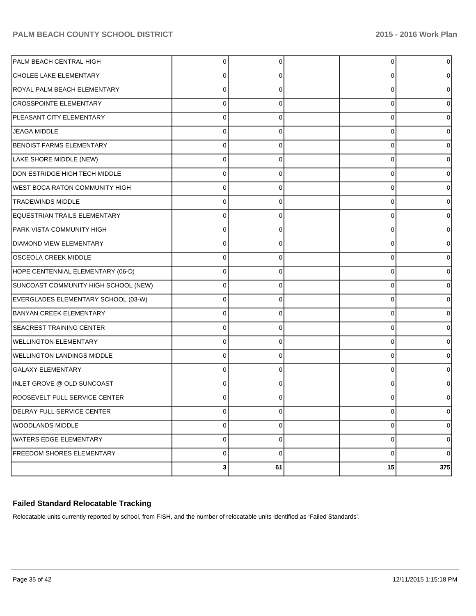| PALM BEACH CENTRAL HIGH               | $\Omega$       | 0           | 0  | 0              |
|---------------------------------------|----------------|-------------|----|----------------|
| CHOLEE LAKE ELEMENTARY                | 0              | 0           | 0  | 0              |
| ROYAL PALM BEACH ELEMENTARY           | $\Omega$       | 0           | 0  | 0              |
| <b>CROSSPOINTE ELEMENTARY</b>         | 0              | 0           | 0  | 0              |
| PLEASANT CITY ELEMENTARY              | $\Omega$       | 0           | 0  |                |
| <b>JEAGA MIDDLE</b>                   | 0              | 0           | 0  | 0              |
| <b>BENOIST FARMS ELEMENTARY</b>       | 0              | 0           | 0  |                |
| LAKE SHORE MIDDLE (NEW)               | 0              | 0           | 0  | 0              |
| DON ESTRIDGE HIGH TECH MIDDLE         | $\Omega$       | 0           | 0  | o              |
| <b>WEST BOCA RATON COMMUNITY HIGH</b> | 0              | 0           | 0  | 0              |
| <b>TRADEWINDS MIDDLE</b>              | 0              | 0           | 0  |                |
| <b>EQUESTRIAN TRAILS ELEMENTARY</b>   | 0              | 0           | 0  | 0              |
| PARK VISTA COMMUNITY HIGH             | $\Omega$       | 0           | 0  |                |
| <b>DIAMOND VIEW ELEMENTARY</b>        | 0              | 0           | 0  | 0              |
| <b>OSCEOLA CREEK MIDDLE</b>           | $\Omega$       | 0           | 0  |                |
| HOPE CENTENNIAL ELEMENTARY (06-D)     | $\Omega$       | 0           | 0  | 0              |
| SUNCOAST COMMUNITY HIGH SCHOOL (NEW)  | $\Omega$       | O           | 0  |                |
| EVERGLADES ELEMENTARY SCHOOL (03-W)   | 0              | 0           | 0  | 0              |
| <b>BANYAN CREEK ELEMENTARY</b>        | $\Omega$       | 0           | 0  |                |
| <b>SEACREST TRAINING CENTER</b>       | 0              | 0           | 0  | 0              |
| <b>WELLINGTON ELEMENTARY</b>          | $\Omega$       | 0           | 0  |                |
| <b>WELLINGTON LANDINGS MIDDLE</b>     | $\Omega$       | 0           | 0  | 0              |
| <b>GALAXY ELEMENTARY</b>              | $\Omega$       |             | 0  |                |
| INLET GROVE @ OLD SUNCOAST            | $\Omega$       | 0           | 0  | 0              |
| <b>ROOSEVELT FULL SERVICE CENTER</b>  | 0              |             | U  | 0              |
| DELRAY FULL SERVICE CENTER            | $\pmb{0}$      | 0           | 0  | $\overline{0}$ |
| <b>WOODLANDS MIDDLE</b>               | $\pmb{0}$      | 0           | 0  | $\overline{0}$ |
| WATERS EDGE ELEMENTARY                | $\pmb{0}$      | 0           | 0  | $\overline{0}$ |
| <b>FREEDOM SHORES ELEMENTARY</b>      | $\pmb{0}$      | $\mathbf 0$ | 0  | $\overline{0}$ |
|                                       | 3 <sup>1</sup> | 61          | 15 | 375            |

#### **Failed Standard Relocatable Tracking**

Relocatable units currently reported by school, from FISH, and the number of relocatable units identified as 'Failed Standards'.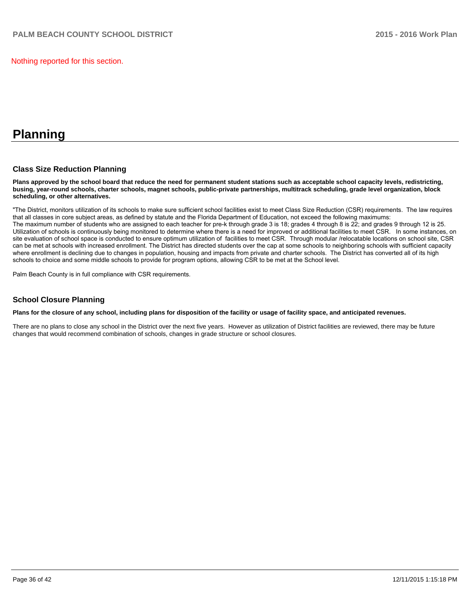Nothing reported for this section.

## **Planning**

#### **Class Size Reduction Planning**

**Plans approved by the school board that reduce the need for permanent student stations such as acceptable school capacity levels, redistricting, busing, year-round schools, charter schools, magnet schools, public-private partnerships, multitrack scheduling, grade level organization, block scheduling, or other alternatives.**

"The District, monitors utilization of its schools to make sure sufficient school facilities exist to meet Class Size Reduction (CSR) requirements. The law requires that all classes in core subiect areas, as defined by statute and the Florida Department of Education, not exceed the following maximums: The maximum number of students who are assigned to each teacher for pre-k through grade 3 is 18; grades 4 through 8 is 22; and grades 9 through 12 is 25. Utilization of schools is continuously being monitored to determine where there is a need for improved or additional facilities to meet CSR. In some instances, on site evaluation of school space is conducted to ensure optimum utilization of facilities to meet CSR. Through modular /relocatable locations on school site. CSR can be met at schools with increased enrollment. The District has directed students over the cap at some schools to neighboring schools with sufficient capacity where enrollment is declining due to changes in population, housing and impacts from private and charter schools. The District has converted all of its high schools to choice and some middle schools to provide for program options, allowing CSR to be met at the School level.

Palm Beach County is in full compliance with CSR requirements.

#### **School Closure Planning**

**Plans for the closure of any school, including plans for disposition of the facility or usage of facility space, and anticipated revenues.**

There are no plans to close any school in the District over the next five years. However as utilization of District facilities are reviewed, there may be future changes that would recommend combination of schools, changes in grade structure or school closures.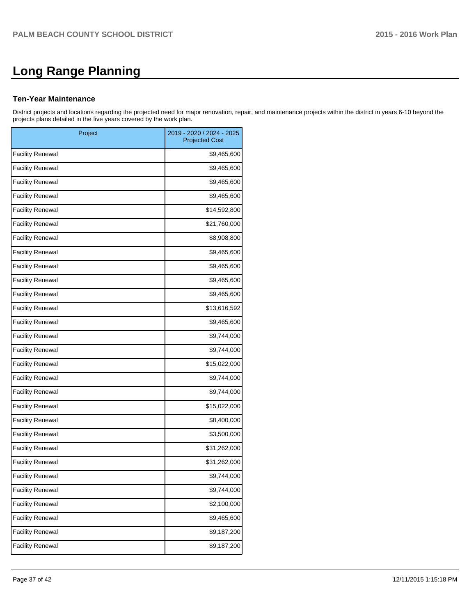# **Long Range Planning**

#### **Ten-Year Maintenance**

District projects and locations regarding the projected need for major renovation, repair, and maintenance projects within the district in years 6-10 beyond the projects plans detailed in the five years covered by the work plan.

| Project                 | 2019 - 2020 / 2024 - 2025<br><b>Projected Cost</b> |
|-------------------------|----------------------------------------------------|
| <b>Facility Renewal</b> | \$9,465,600                                        |
| <b>Facility Renewal</b> | \$9,465,600                                        |
| <b>Facility Renewal</b> | \$9,465,600                                        |
| <b>Facility Renewal</b> | \$9,465,600                                        |
| <b>Facility Renewal</b> | \$14,592,800                                       |
| <b>Facility Renewal</b> | \$21,760,000                                       |
| <b>Facility Renewal</b> | \$8,908,800                                        |
| <b>Facility Renewal</b> | \$9,465,600                                        |
| <b>Facility Renewal</b> | \$9,465,600                                        |
| <b>Facility Renewal</b> | \$9,465,600                                        |
| <b>Facility Renewal</b> | \$9,465,600                                        |
| <b>Facility Renewal</b> | \$13,616,592                                       |
| <b>Facility Renewal</b> | \$9,465,600                                        |
| <b>Facility Renewal</b> | \$9,744,000                                        |
| <b>Facility Renewal</b> | \$9,744,000                                        |
| <b>Facility Renewal</b> | \$15,022,000                                       |
| <b>Facility Renewal</b> | \$9,744,000                                        |
| <b>Facility Renewal</b> | \$9,744,000                                        |
| <b>Facility Renewal</b> | \$15,022,000                                       |
| <b>Facility Renewal</b> | \$8,400,000                                        |
| <b>Facility Renewal</b> | \$3,500,000                                        |
| <b>Facility Renewal</b> | \$31,262,000                                       |
| <b>Facility Renewal</b> | \$31,262,000                                       |
| <b>Facility Renewal</b> | \$9,744,000                                        |
| <b>Facility Renewal</b> | \$9,744,000                                        |
| <b>Facility Renewal</b> | \$2,100,000                                        |
| <b>Facility Renewal</b> | \$9,465,600                                        |
| <b>Facility Renewal</b> | \$9,187,200                                        |
| <b>Facility Renewal</b> | \$9,187,200                                        |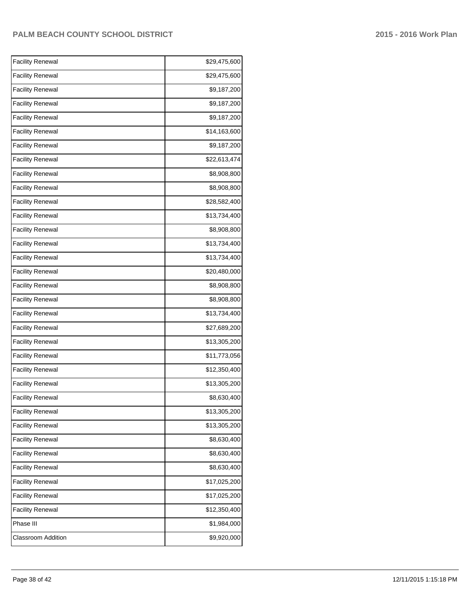| \$29,475,600<br>\$29,475,600 |
|------------------------------|
|                              |
|                              |
| \$9,187,200                  |
| \$9,187,200                  |
| \$9,187,200                  |
| \$14,163,600                 |
| \$9,187,200                  |
| \$22,613,474                 |
| \$8,908,800                  |
| \$8,908,800                  |
| \$28,582,400                 |
| \$13,734,400                 |
| \$8,908,800                  |
| \$13,734,400                 |
| \$13,734,400                 |
| \$20,480,000                 |
| \$8,908,800                  |
| \$8,908,800                  |
| \$13,734,400                 |
| \$27,689,200                 |
| \$13,305,200                 |
| \$11,773,056                 |
| \$12,350,400                 |
| \$13,305,200                 |
| \$8,630,400                  |
| \$13,305,200                 |
| \$13,305,200                 |
| \$8,630,400                  |
| \$8,630,400                  |
| \$8,630,400                  |
| \$17,025,200                 |
| \$17,025,200                 |
| \$12,350,400                 |
| \$1,984,000                  |
|                              |
|                              |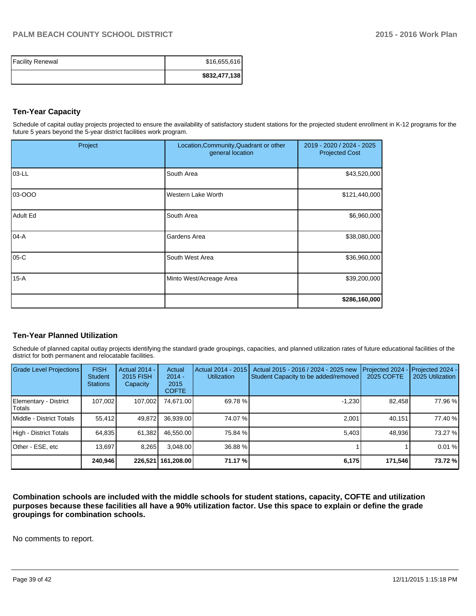| <b>Facility Renewal</b> | \$16,655,616  |
|-------------------------|---------------|
|                         | \$832,477,138 |

#### **Ten-Year Capacity**

Schedule of capital outlay projects projected to ensure the availability of satisfactory student stations for the projected student enrollment in K-12 programs for the future 5 years beyond the 5-year district facilities work program.

| Project         | Location, Community, Quadrant or other<br>general location | 2019 - 2020 / 2024 - 2025<br><b>Projected Cost</b> |
|-----------------|------------------------------------------------------------|----------------------------------------------------|
| 03-LL           | South Area                                                 | \$43,520,000                                       |
| 03-000          | <b>Western Lake Worth</b>                                  | \$121,440,000                                      |
| <b>Adult Ed</b> | South Area                                                 | \$6,960,000                                        |
| $04-A$          | Gardens Area                                               | \$38,080,000                                       |
| 05-C            | South West Area                                            | \$36,960,000                                       |
| $15-A$          | Minto West/Acreage Area                                    | \$39,200,000                                       |
|                 |                                                            | \$286,160,000                                      |

#### **Ten-Year Planned Utilization**

Schedule of planned capital outlay projects identifying the standard grade groupings, capacities, and planned utilization rates of future educational facilities of the district for both permanent and relocatable facilities.

| Grade Level Projections         | <b>FISH</b><br><b>Student</b><br><b>Stations</b> | <b>Actual 2014 -</b><br><b>2015 FISH</b><br>Capacity | Actual<br>$2014 -$<br>2015<br><b>COFTE</b> | Actual 2014 - 2015<br><b>Utilization</b> | Actual 2015 - 2016 / 2024 - 2025 new<br>Student Capacity to be added/removed | Projected 2024<br><b>2025 COFTE</b> | Projected 2024 -<br>2025 Utilization |
|---------------------------------|--------------------------------------------------|------------------------------------------------------|--------------------------------------------|------------------------------------------|------------------------------------------------------------------------------|-------------------------------------|--------------------------------------|
| Elementary - District<br>Totals | 107,002                                          | 107,002                                              | 74,671.00                                  | 69.78 %                                  | $-1,230$                                                                     | 82,458                              | 77.96 %                              |
| Middle - District Totals        | 55.412                                           | 49,872                                               | 36.939.00                                  | 74.07%                                   | 2.001                                                                        | 40,151                              | 77.40 %                              |
| High - District Totals          | 64,835                                           | 61,382                                               | 46,550.00                                  | 75.84 %                                  | 5,403                                                                        | 48,936                              | 73.27 %                              |
| Other - ESE, etc                | 13.697                                           | 8,265                                                | 3,048.00                                   | 36.88 %                                  |                                                                              |                                     | 0.01%                                |
|                                 | 240,946                                          |                                                      | 226,521   161,208.00                       | 71.17 %                                  | 6,175                                                                        | 171,546                             | 73.72 %                              |

**Combination schools are included with the middle schools for student stations, capacity, COFTE and utilization purposes because these facilities all have a 90% utilization factor. Use this space to explain or define the grade groupings for combination schools.**

No comments to report.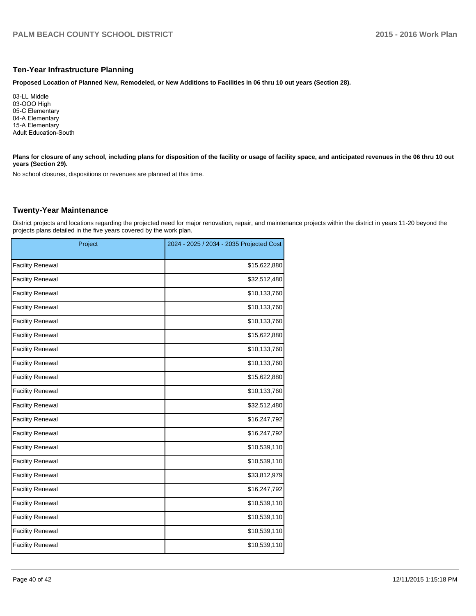#### **Ten-Year Infrastructure Planning**

**Proposed Location of Planned New, Remodeled, or New Additions to Facilities in 06 thru 10 out years (Section 28).**

03-LL Middle 03-OOO High 05-C Elementary 04-A Elementary 15-A Elementary Adult Education-South

Plans for closure of any school, including plans for disposition of the facility or usage of facility space, and anticipated revenues in the 06 thru 10 out **years (Section 29).**

No school closures, dispositions or revenues are planned at this time.

#### **Twenty-Year Maintenance**

District projects and locations regarding the projected need for major renovation, repair, and maintenance projects within the district in years 11-20 beyond the projects plans detailed in the five years covered by the work plan.

| Project                 | 2024 - 2025 / 2034 - 2035 Projected Cost |
|-------------------------|------------------------------------------|
| <b>Facility Renewal</b> | \$15,622,880                             |
| <b>Facility Renewal</b> | \$32,512,480                             |
| <b>Facility Renewal</b> | \$10,133,760                             |
| <b>Facility Renewal</b> | \$10,133,760                             |
| <b>Facility Renewal</b> | \$10,133,760                             |
| <b>Facility Renewal</b> | \$15,622,880                             |
| <b>Facility Renewal</b> | \$10,133,760                             |
| <b>Facility Renewal</b> | \$10,133,760                             |
| <b>Facility Renewal</b> | \$15,622,880                             |
| <b>Facility Renewal</b> | \$10,133,760                             |
| <b>Facility Renewal</b> | \$32,512,480                             |
| <b>Facility Renewal</b> | \$16,247,792                             |
| <b>Facility Renewal</b> | \$16,247,792                             |
| <b>Facility Renewal</b> | \$10,539,110                             |
| <b>Facility Renewal</b> | \$10,539,110                             |
| <b>Facility Renewal</b> | \$33,812,979                             |
| <b>Facility Renewal</b> | \$16,247,792                             |
| <b>Facility Renewal</b> | \$10,539,110                             |
| <b>Facility Renewal</b> | \$10,539,110                             |
| <b>Facility Renewal</b> | \$10,539,110                             |
| <b>Facility Renewal</b> | \$10,539,110                             |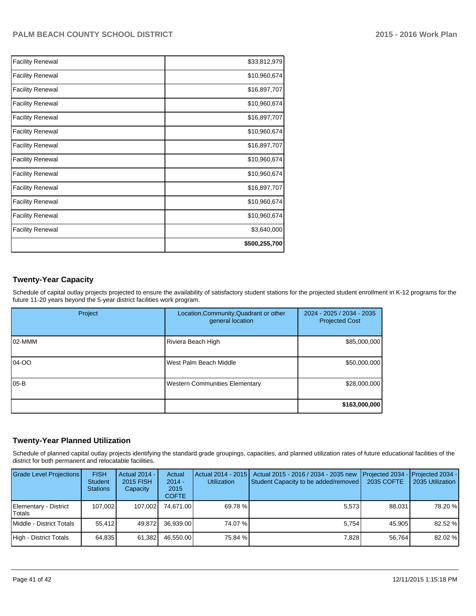| <b>Facility Renewal</b> | \$33,812,979  |
|-------------------------|---------------|
| <b>Facility Renewal</b> | \$10,960,674  |
| <b>Facility Renewal</b> | \$16,897,707  |
| <b>Facility Renewal</b> | \$10,960,674  |
| <b>Facility Renewal</b> | \$16,897,707  |
| <b>Facility Renewal</b> | \$10,960,674  |
| <b>Facility Renewal</b> | \$16,897,707  |
| <b>Facility Renewal</b> | \$10,960,674  |
| <b>Facility Renewal</b> | \$10,960,674  |
| <b>Facility Renewal</b> | \$16,897,707  |
| <b>Facility Renewal</b> | \$10,960,674  |
| <b>Facility Renewal</b> | \$10,960,674  |
| <b>Facility Renewal</b> | \$3,640,000   |
|                         | \$500,255,700 |

## **Twenty-Year Capacity**

Schedule of capital outlay projects projected to ensure the availability of satisfactory student stations for the projected student enrollment in K-12 programs for the future 11-20 years beyond the 5-year district facilities work program.

| Project | Location, Community, Quadrant or other<br>general location | 2024 - 2025 / 2034 - 2035<br><b>Projected Cost</b> |
|---------|------------------------------------------------------------|----------------------------------------------------|
| 102-MMM | Riviera Beach High                                         | \$85,000,000                                       |
| 04-00   | West Palm Beach Middle                                     | \$50,000,000                                       |
| l05-B   | <b>Western Communities Elementary</b>                      | \$28,000,000                                       |
|         |                                                            | \$163,000,000                                      |

#### **Twenty-Year Planned Utilization**

Schedule of planned capital outlay projects identifying the standard grade groupings, capacities, and planned utilization rates of future educational facilities of the district for both permanent and relocatable facilities.

| <b>Grade Level Projections</b>  | <b>FISH</b><br><b>Student</b><br><b>Stations</b> | <b>Actual 2014 -</b><br>2015 FISH<br>Capacity | Actual<br>$2014 -$<br>2015<br><b>COFTE</b> | Actual 2014 - 2015<br><b>Utilization</b> | Actual 2015 - 2016 / 2034 - 2035 new<br>Student Capacity to be added/removed | <b>IProjected 2034 - IProjected 2034 -</b><br>2035 COFTE | 2035 Utilization |
|---------------------------------|--------------------------------------------------|-----------------------------------------------|--------------------------------------------|------------------------------------------|------------------------------------------------------------------------------|----------------------------------------------------------|------------------|
| Elementary - District<br>Totals | 107.002                                          | 107.002                                       | 74.671.00                                  | 69.78 %                                  | 5.573                                                                        | 88.031                                                   | 78.20 %          |
| Middle - District Totals        | 55.412                                           | 49.872                                        | 36.939.00                                  | 74.07 %                                  | 5.754                                                                        | 45.905                                                   | 82.52 %          |
| High - District Totals          | 64,835                                           | 61,382                                        | 46,550.00                                  | 75.84 %                                  | 7,828                                                                        | 56,764                                                   | 82.02 %          |